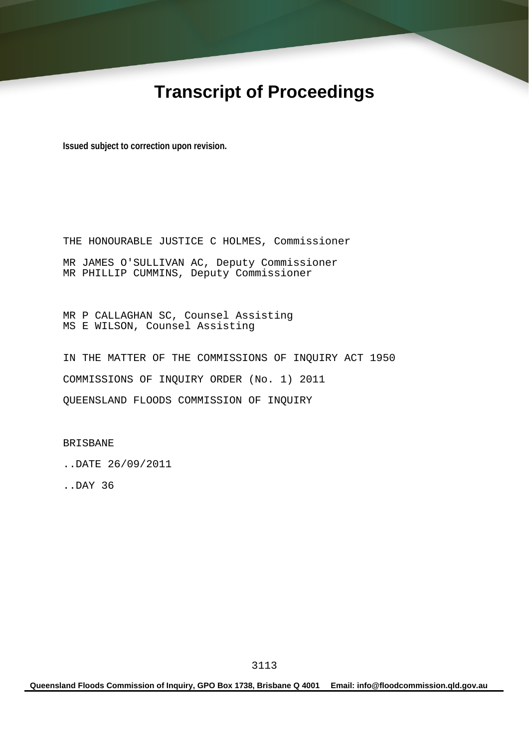# **Transcript of Proceedings**

**Issued subject to correction upon revision.** 

THE HONOURABLE JUSTICE C HOLMES, Commissioner MR JAMES O'SULLIVAN AC, Deputy Commissioner MR PHILLIP CUMMINS, Deputy Commissioner

MR P CALLAGHAN SC, Counsel Assisting MS E WILSON, Counsel Assisting

IN THE MATTER OF THE COMMISSIONS OF INQUIRY ACT 1950 COMMISSIONS OF INQUIRY ORDER (No. 1) 2011 QUEENSLAND FLOODS COMMISSION OF INQUIRY

BRISBANE

..DATE 26/09/2011

..DAY 36

**Queensland Floods Commission of Inquiry, GPO Box 1738, Brisbane Q 4001 Email: info@floodcommission.qld.gov.au**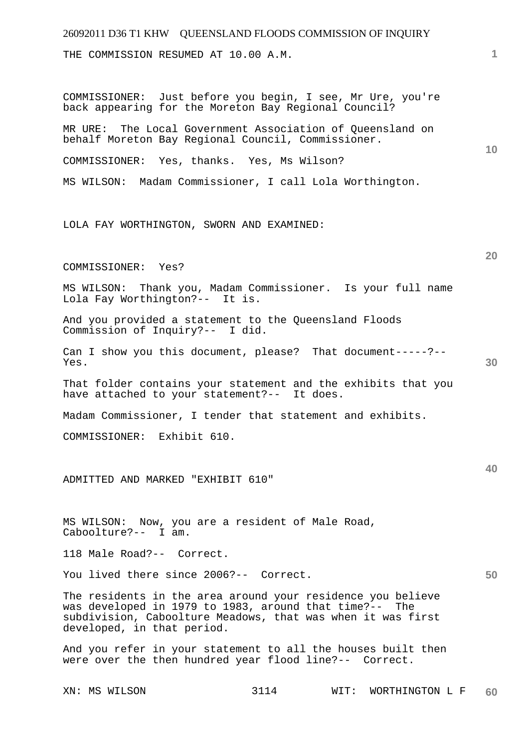## 26092011 D36 T1 KHW QUEENSLAND FLOODS COMMISSION OF INQUIRY **1 10 20 30 40 50**  THE COMMISSION RESUMED AT 10.00 A.M. COMMISSIONER: Just before you begin, I see, Mr Ure, you're back appearing for the Moreton Bay Regional Council? MR URE: The Local Government Association of Queensland on behalf Moreton Bay Regional Council, Commissioner. COMMISSIONER: Yes, thanks. Yes, Ms Wilson? MS WILSON: Madam Commissioner, I call Lola Worthington. LOLA FAY WORTHINGTON, SWORN AND EXAMINED: COMMISSIONER: Yes? MS WILSON: Thank you, Madam Commissioner. Is your full name Lola Fay Worthington?-- It is. And you provided a statement to the Queensland Floods Commission of Inquiry?-- I did. Can I show you this document, please? That document-----?-- Yes. That folder contains your statement and the exhibits that you have attached to your statement?-- It does. Madam Commissioner, I tender that statement and exhibits. COMMISSIONER: Exhibit 610. ADMITTED AND MARKED "EXHIBIT 610" MS WILSON: Now, you are a resident of Male Road, Caboolture?-- I am. 118 Male Road?-- Correct. You lived there since 2006?-- Correct. The residents in the area around your residence you believe was developed in 1979 to 1983, around that time?-- The subdivision, Caboolture Meadows, that was when it was first developed, in that period. And you refer in your statement to all the houses built then were over the then hundred year flood line?-- Correct.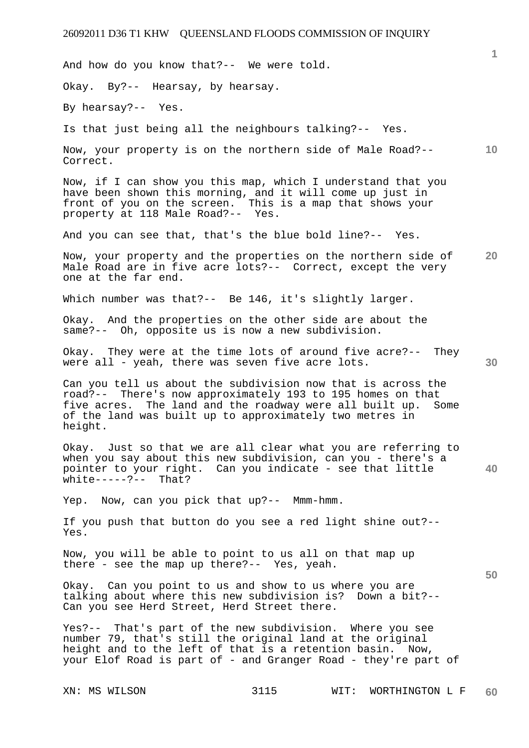And how do you know that?-- We were told.

Okay. By?-- Hearsay, by hearsay.

By hearsay?-- Yes.

Is that just being all the neighbours talking?-- Yes.

**10**  Now, your property is on the northern side of Male Road?-- Correct.

Now, if I can show you this map, which I understand that you have been shown this morning, and it will come up just in front of you on the screen. This is a map that shows your property at 118 Male Road?-- Yes.

And you can see that, that's the blue bold line?-- Yes.

**20**  Now, your property and the properties on the northern side of Male Road are in five acre lots?-- Correct, except the very one at the far end.

Which number was that?-- Be 146, it's slightly larger.

Okay. And the properties on the other side are about the same?-- Oh, opposite us is now a new subdivision.

Okay. They were at the time lots of around five acre?-- They were all - yeah, there was seven five acre lots.

Can you tell us about the subdivision now that is across the road?-- There's now approximately 193 to 195 homes on that five acres. The land and the roadway were all built up. Some of the land was built up to approximately two metres in height.

**40**  Okay. Just so that we are all clear what you are referring to when you say about this new subdivision, can you - there's a pointer to your right. Can you indicate - see that little white-----?-- That?

Yep. Now, can you pick that up?-- Mmm-hmm.

If you push that button do you see a red light shine out?-- Yes.

Now, you will be able to point to us all on that map up there - see the map up there?-- Yes, yeah.

Okay. Can you point to us and show to us where you are talking about where this new subdivision is? Down a bit?-- Can you see Herd Street, Herd Street there.

Yes?-- That's part of the new subdivision. Where you see number 79, that's still the original land at the original height and to the left of that is a retention basin. Now, your Elof Road is part of - and Granger Road - they're part of

**1**

**30**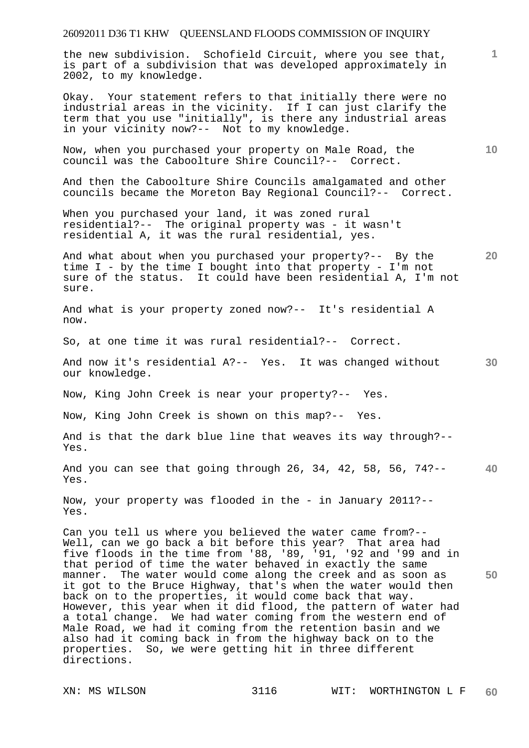the new subdivision. Schofield Circuit, where you see that, is part of a subdivision that was developed approximately in 2002, to my knowledge.

Okay. Your statement refers to that initially there were no industrial areas in the vicinity. If I can just clarify the term that you use "initially", is there any industrial areas in your vicinity now?-- Not to my knowledge.

Now, when you purchased your property on Male Road, the council was the Caboolture Shire Council?-- Correct.

And then the Caboolture Shire Councils amalgamated and other councils became the Moreton Bay Regional Council?-- Correct.

When you purchased your land, it was zoned rural residential?-- The original property was - it wasn't residential A, it was the rural residential, yes.

**20**  And what about when you purchased your property?-- By the time I - by the time I bought into that property - I'm not sure of the status. It could have been residential A, I'm not sure.

And what is your property zoned now?-- It's residential A now.

So, at one time it was rural residential?-- Correct.

**30**  And now it's residential A?-- Yes. It was changed without our knowledge.

Now, King John Creek is near your property?-- Yes.

Now, King John Creek is shown on this map?-- Yes.

And is that the dark blue line that weaves its way through?-- Yes.

**40**  And you can see that going through 26, 34, 42, 58, 56, 74?-- Yes.

Now, your property was flooded in the - in January 2011?-- Yes.

**50**  Can you tell us where you believed the water came from?-- Well, can we go back a bit before this year? That area had five floods in the time from '88, '89, '91, '92 and '99 and in that period of time the water behaved in exactly the same manner. The water would come along the creek and as soon as it got to the Bruce Highway, that's when the water would then back on to the properties, it would come back that way. However, this year when it did flood, the pattern of water had a total change. We had water coming from the western end of Male Road, we had it coming from the retention basin and we also had it coming back in from the highway back on to the properties. So, we were getting hit in three different directions.

**1**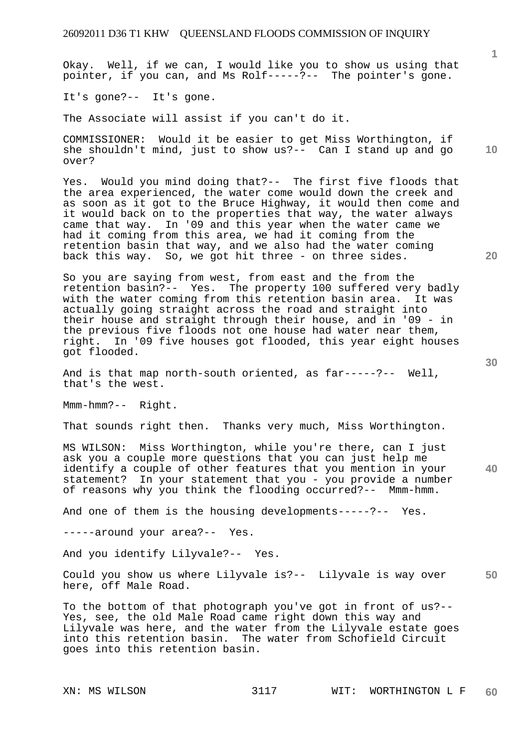Okay. Well, if we can, I would like you to show us using that pointer, if you can, and Ms Rolf-----?-- The pointer's gone.

It's gone?-- It's gone.

The Associate will assist if you can't do it.

COMMISSIONER: Would it be easier to get Miss Worthington, if she shouldn't mind, just to show us?-- Can I stand up and go over?

Yes. Would you mind doing that?-- The first five floods that the area experienced, the water come would down the creek and as soon as it got to the Bruce Highway, it would then come and it would back on to the properties that way, the water always came that way. In '09 and this year when the water came we had it coming from this area, we had it coming from the retention basin that way, and we also had the water coming back this way. So, we got hit three - on three sides.

So you are saying from west, from east and the from the retention basin?-- Yes. The property 100 suffered very badly with the water coming from this retention basin area. It was actually going straight across the road and straight into their house and straight through their house, and in '09 - in the previous five floods not one house had water near them, right. In '09 five houses got flooded, this year eight houses got flooded.

And is that map north-south oriented, as far-----?-- Well, that's the west.

Mmm-hmm?-- Right.

That sounds right then. Thanks very much, Miss Worthington.

**40**  MS WILSON: Miss Worthington, while you're there, can I just ask you a couple more questions that you can just help me identify a couple of other features that you mention in your statement? In your statement that you - you provide a number of reasons why you think the flooding occurred?-- Mmm-hmm.

And one of them is the housing developments-----?-- Yes.

-----around your area?-- Yes.

And you identify Lilyvale?-- Yes.

**50**  Could you show us where Lilyvale is?-- Lilyvale is way over here, off Male Road.

To the bottom of that photograph you've got in front of us?-- Yes, see, the old Male Road came right down this way and Lilyvale was here, and the water from the Lilyvale estate goes into this retention basin. The water from Schofield Circuit goes into this retention basin.

**20** 

**10**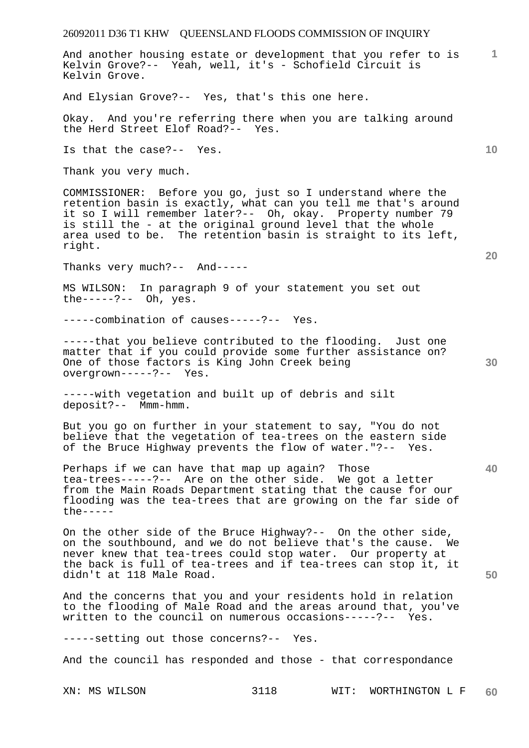**1** And another housing estate or development that you refer to is Kelvin Grove?-- Yeah, well, it's - Schofield Circuit is Kelvin Grove.

And Elysian Grove?-- Yes, that's this one here.

Okay. And you're referring there when you are talking around the Herd Street Elof Road?-- Yes.

Is that the case?-- Yes.

Thank you very much.

COMMISSIONER: Before you go, just so I understand where the retention basin is exactly, what can you tell me that's around it so I will remember later?-- Oh, okay. Property number 79 is still the - at the original ground level that the whole area used to be. The retention basin is straight to its left, right.

Thanks very much?-- And-----

MS WILSON: In paragraph 9 of your statement you set out the-----?-- Oh, yes.

-----combination of causes-----?-- Yes.

-----that you believe contributed to the flooding. Just one matter that if you could provide some further assistance on? One of those factors is King John Creek being overgrown-----?-- Yes.

-----with vegetation and built up of debris and silt deposit?-- Mmm-hmm.

But you go on further in your statement to say, "You do not believe that the vegetation of tea-trees on the eastern side of the Bruce Highway prevents the flow of water."?-- Yes.

Perhaps if we can have that map up again? Those tea-trees-----?-- Are on the other side. We got a letter from the Main Roads Department stating that the cause for our flooding was the tea-trees that are growing on the far side of the-----

On the other side of the Bruce Highway?-- On the other side, on the southbound, and we do not believe that's the cause. We never knew that tea-trees could stop water. Our property at the back is full of tea-trees and if tea-trees can stop it, it didn't at 118 Male Road.

And the concerns that you and your residents hold in relation to the flooding of Male Road and the areas around that, you've written to the council on numerous occasions-----?-- Yes.

-----setting out those concerns?-- Yes.

And the council has responded and those - that correspondance

**20** 

**10** 

**50**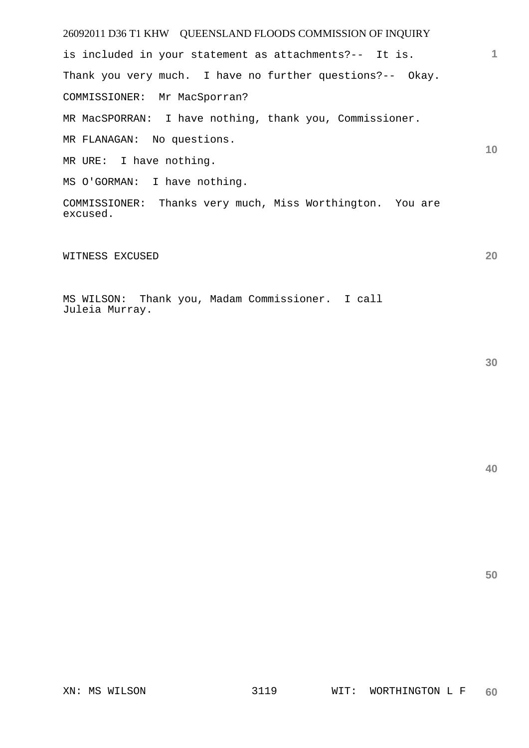26092011 D36 T1 KHW QUEENSLAND FLOODS COMMISSION OF INQUIRY **10**  is included in your statement as attachments?-- It is. Thank you very much. I have no further questions?-- Okay. COMMISSIONER: Mr MacSporran? MR MacSPORRAN: I have nothing, thank you, Commissioner. MR FLANAGAN: No questions. MR URE: I have nothing. MS O'GORMAN: I have nothing. COMMISSIONER: Thanks very much, Miss Worthington. You are

WITNESS EXCUSED

excused.

MS WILSON: Thank you, Madam Commissioner. I call Juleia Murray.

**40** 

**50** 

**20**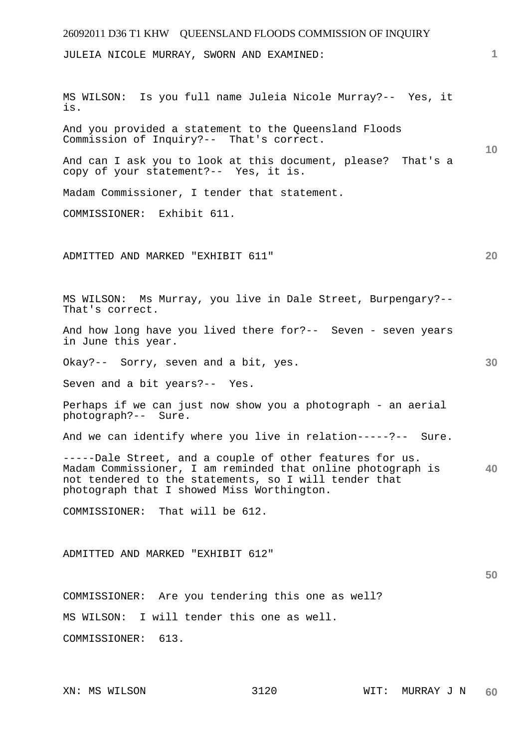| 26092011 D36 T1 KHW QUEENSLAND FLOODS COMMISSION OF INQUIRY                                                                                                                                                                    |    |
|--------------------------------------------------------------------------------------------------------------------------------------------------------------------------------------------------------------------------------|----|
| JULEIA NICOLE MURRAY, SWORN AND EXAMINED:                                                                                                                                                                                      | 1  |
| MS WILSON: Is you full name Juleia Nicole Murray?-- Yes, it<br>is.                                                                                                                                                             |    |
| And you provided a statement to the Queensland Floods<br>Commission of Inquiry?-- That's correct.                                                                                                                              | 10 |
| And can I ask you to look at this document, please? That's a<br>copy of your statement?-- Yes, it is.                                                                                                                          |    |
| Madam Commissioner, I tender that statement.                                                                                                                                                                                   |    |
| COMMISSIONER: Exhibit 611.                                                                                                                                                                                                     |    |
| ADMITTED AND MARKED "EXHIBIT 611"                                                                                                                                                                                              | 20 |
| MS WILSON: Ms Murray, you live in Dale Street, Burpengary?--<br>That's correct.                                                                                                                                                |    |
| And how long have you lived there for ?-- Seven - seven years<br>in June this year.                                                                                                                                            |    |
| Okay?-- Sorry, seven and a bit, yes.                                                                                                                                                                                           | 30 |
| Seven and a bit years?-- Yes.                                                                                                                                                                                                  |    |
| Perhaps if we can just now show you a photograph - an aerial<br>photograph?-- Sure.                                                                                                                                            |    |
| And we can identify where you live in relation-----?-- Sure.                                                                                                                                                                   |    |
| -----Dale Street, and a couple of other features for us.<br>Madam Commissioner, I am reminded that online photograph is<br>not tendered to the statements, so I will tender that<br>photograph that I showed Miss Worthington. | 40 |
| COMMISSIONER: That will be 612.                                                                                                                                                                                                |    |
|                                                                                                                                                                                                                                |    |
| ADMITTED AND MARKED "EXHIBIT 612"                                                                                                                                                                                              |    |
|                                                                                                                                                                                                                                | 50 |
| COMMISSIONER: Are you tendering this one as well?                                                                                                                                                                              |    |
| MS WILSON: I will tender this one as well.                                                                                                                                                                                     |    |
| 613.<br>COMMISSIONER:                                                                                                                                                                                                          |    |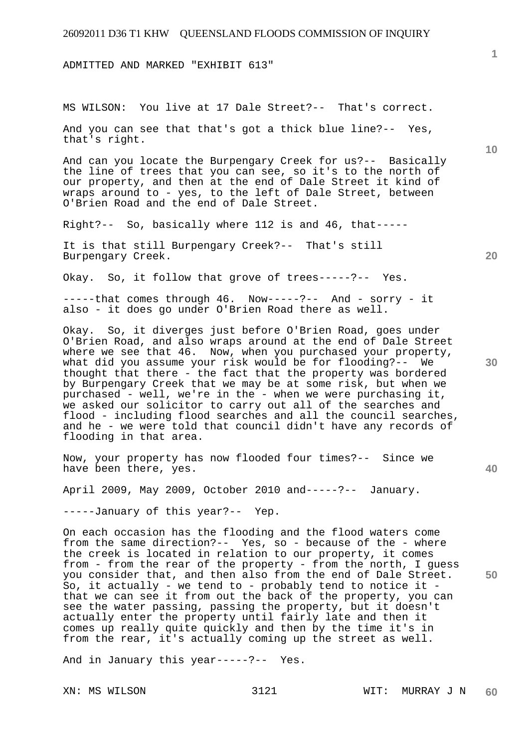ADMITTED AND MARKED "EXHIBIT 613"

MS WILSON: You live at 17 Dale Street?-- That's correct.

And you can see that that's got a thick blue line?-- Yes, that's right.

And can you locate the Burpengary Creek for us?-- Basically the line of trees that you can see, so it's to the north of our property, and then at the end of Dale Street it kind of wraps around to - yes, to the left of Dale Street, between O'Brien Road and the end of Dale Street.

Right?-- So, basically where 112 is and 46, that-----

It is that still Burpengary Creek?-- That's still Burpengary Creek.

Okay. So, it follow that grove of trees-----?-- Yes.

 $---$ -that comes through  $46.$  Now-----?-- And - sorry - it also - it does go under O'Brien Road there as well.

Okay. So, it diverges just before O'Brien Road, goes under O'Brien Road, and also wraps around at the end of Dale Street where we see that 46. Now, when you purchased your property, what did you assume your risk would be for flooding?-- We thought that there - the fact that the property was bordered by Burpengary Creek that we may be at some risk, but when we purchased - well, we're in the - when we were purchasing it, we asked our solicitor to carry out all of the searches and flood - including flood searches and all the council searches, and he - we were told that council didn't have any records of flooding in that area.

Now, your property has now flooded four times?-- Since we have been there, yes.

April 2009, May 2009, October 2010 and-----?-- January.

-----January of this year?-- Yep.

On each occasion has the flooding and the flood waters come from the same direction?-- Yes, so - because of the - where the creek is located in relation to our property, it comes from - from the rear of the property - from the north, I guess you consider that, and then also from the end of Dale Street. So, it actually - we tend to - probably tend to notice it that we can see it from out the back of the property, you can see the water passing, passing the property, but it doesn't actually enter the property until fairly late and then it comes up really quite quickly and then by the time it's in from the rear, it's actually coming up the street as well.

And in January this year-----?-- Yes.

**20** 

**10** 

**30** 

**40**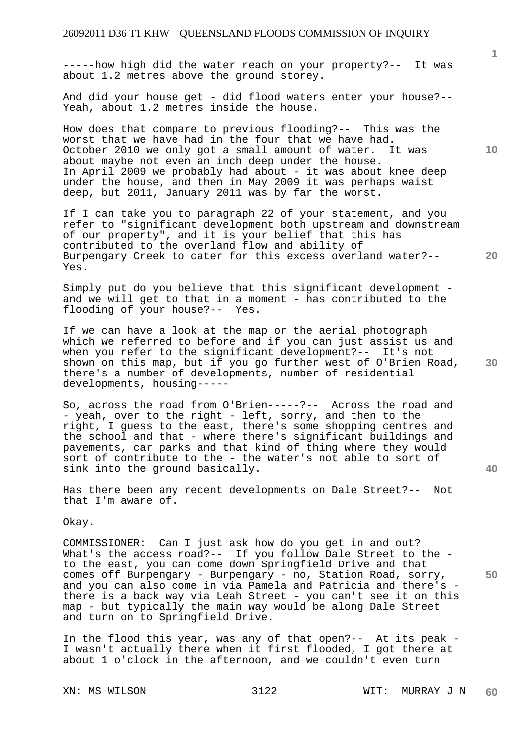-----how high did the water reach on your property?-- It was about 1.2 metres above the ground storey.

And did your house get - did flood waters enter your house?-- Yeah, about 1.2 metres inside the house.

How does that compare to previous flooding?-- This was the worst that we have had in the four that we have had. October 2010 we only got a small amount of water. It was about maybe not even an inch deep under the house. In April 2009 we probably had about - it was about knee deep under the house, and then in May 2009 it was perhaps waist deep, but 2011, January 2011 was by far the worst.

If I can take you to paragraph 22 of your statement, and you refer to "significant development both upstream and downstream of our property", and it is your belief that this has contributed to the overland flow and ability of Burpengary Creek to cater for this excess overland water?-- Yes.

Simply put do you believe that this significant development and we will get to that in a moment - has contributed to the flooding of your house?-- Yes.

If we can have a look at the map or the aerial photograph which we referred to before and if you can just assist us and when you refer to the significant development?-- It's not shown on this map, but if you go further west of O'Brien Road, there's a number of developments, number of residential developments, housing-----

So, across the road from O'Brien-----?-- Across the road and - yeah, over to the right - left, sorry, and then to the right, I guess to the east, there's some shopping centres and the school and that - where there's significant buildings and pavements, car parks and that kind of thing where they would sort of contribute to the - the water's not able to sort of sink into the ground basically.

Has there been any recent developments on Dale Street?-- Not that I'm aware of.

Okay.

COMMISSIONER: Can I just ask how do you get in and out? What's the access road?-- If you follow Dale Street to the to the east, you can come down Springfield Drive and that comes off Burpengary - Burpengary - no, Station Road, sorry, and you can also come in via Pamela and Patricia and there's there is a back way via Leah Street - you can't see it on this map - but typically the main way would be along Dale Street and turn on to Springfield Drive.

In the flood this year, was any of that open?-- At its peak - I wasn't actually there when it first flooded, I got there at about 1 o'clock in the afternoon, and we couldn't even turn

**1**

**20** 

**30** 

**40** 

**50**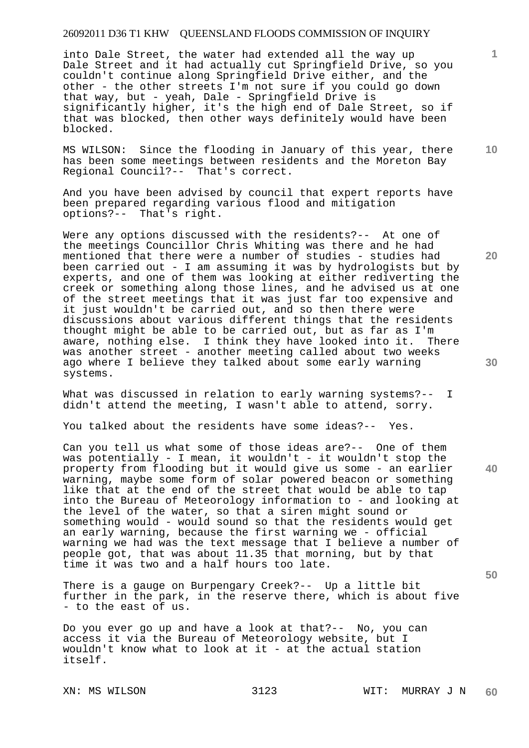into Dale Street, the water had extended all the way up Dale Street and it had actually cut Springfield Drive, so you couldn't continue along Springfield Drive either, and the other - the other streets I'm not sure if you could go down that way, but - yeah, Dale - Springfield Drive is significantly higher, it's the high end of Dale Street, so if that was blocked, then other ways definitely would have been blocked.

MS WILSON: Since the flooding in January of this year, there has been some meetings between residents and the Moreton Bay Regional Council?-- That's correct.

And you have been advised by council that expert reports have been prepared regarding various flood and mitigation options?-- That's right.

Were any options discussed with the residents?-- At one of the meetings Councillor Chris Whiting was there and he had mentioned that there were a number of studies - studies had been carried out - I am assuming it was by hydrologists but by experts, and one of them was looking at either rediverting the creek or something along those lines, and he advised us at one of the street meetings that it was just far too expensive and it just wouldn't be carried out, and so then there were discussions about various different things that the residents thought might be able to be carried out, but as far as I'm aware, nothing else. I think they have looked into it. There was another street - another meeting called about two weeks ago where I believe they talked about some early warning systems.

What was discussed in relation to early warning systems?-- I didn't attend the meeting, I wasn't able to attend, sorry.

You talked about the residents have some ideas?-- Yes.

Can you tell us what some of those ideas are?-- One of them was potentially - I mean, it wouldn't - it wouldn't stop the property from flooding but it would give us some - an earlier warning, maybe some form of solar powered beacon or something like that at the end of the street that would be able to tap into the Bureau of Meteorology information to - and looking at the level of the water, so that a siren might sound or something would - would sound so that the residents would get an early warning, because the first warning we - official warning we had was the text message that I believe a number of people got, that was about 11.35 that morning, but by that time it was two and a half hours too late.

There is a gauge on Burpengary Creek?-- Up a little bit further in the park, in the reserve there, which is about five - to the east of us.

Do you ever go up and have a look at that?-- No, you can access it via the Bureau of Meteorology website, but I wouldn't know what to look at it - at the actual station itself.

**10** 

**1**

**20** 

**40**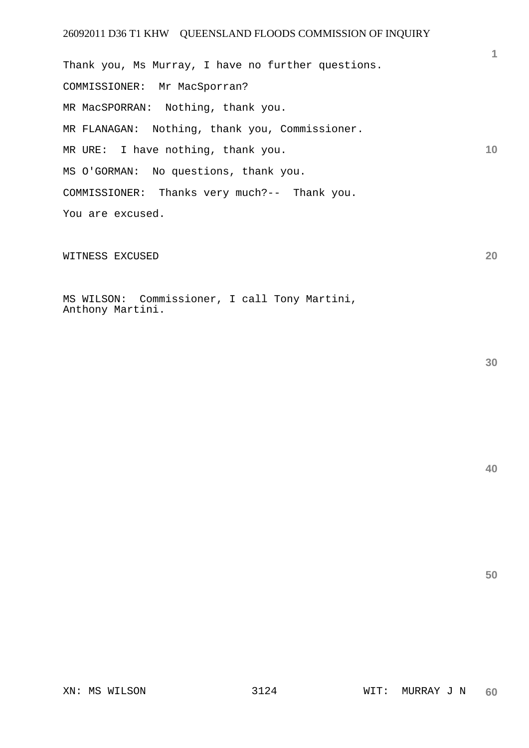**10**  Thank you, Ms Murray, I have no further questions. COMMISSIONER: Mr MacSporran? MR MacSPORRAN: Nothing, thank you. MR FLANAGAN: Nothing, thank you, Commissioner. MR URE: I have nothing, thank you. MS O'GORMAN: No questions, thank you. COMMISSIONER: Thanks very much?-- Thank you. You are excused.

WITNESS EXCUSED

MS WILSON: Commissioner, I call Tony Martini, Anthony Martini.

**30** 

**20** 

**1**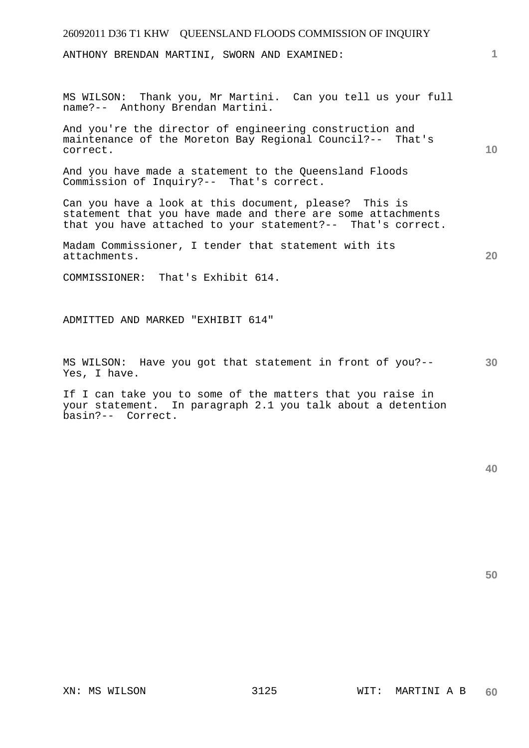ANTHONY BRENDAN MARTINI, SWORN AND EXAMINED:

MS WILSON: Thank you, Mr Martini. Can you tell us your full name?-- Anthony Brendan Martini.

And you're the director of engineering construction and maintenance of the Moreton Bay Regional Council?-- That's correct.

And you have made a statement to the Queensland Floods Commission of Inquiry?-- That's correct.

Can you have a look at this document, please? This is statement that you have made and there are some attachments that you have attached to your statement?-- That's correct.

Madam Commissioner, I tender that statement with its attachments.

COMMISSIONER: That's Exhibit 614.

ADMITTED AND MARKED "EXHIBIT 614"

**30**  MS WILSON: Have you got that statement in front of you?-- Yes, I have.

If I can take you to some of the matters that you raise in your statement. In paragraph 2.1 you talk about a detention basin?-- Correct.

**50** 

**1**

**10**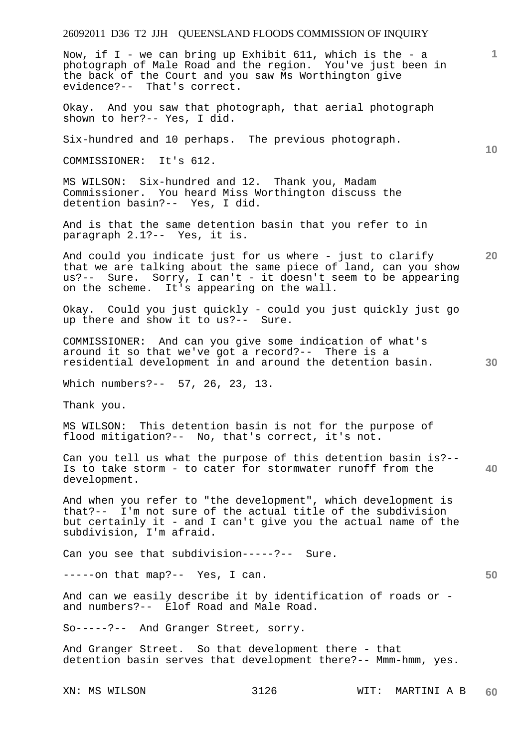Now, if  $I -$  we can bring up Exhibit 611, which is the - a photograph of Male Road and the region. You've just been in the back of the Court and you saw Ms Worthington give evidence?-- That's correct.

Okay. And you saw that photograph, that aerial photograph shown to her?-- Yes, I did.

Six-hundred and 10 perhaps. The previous photograph.

COMMISSIONER: It's 612.

MS WILSON: Six-hundred and 12. Thank you, Madam Commissioner. You heard Miss Worthington discuss the detention basin?-- Yes, I did.

And is that the same detention basin that you refer to in paragraph 2.1?-- Yes, it is.

**20**  And could you indicate just for us where - just to clarify that we are talking about the same piece of land, can you show us?-- Sure. Sorry, I can't - it doesn't seem to be appearing on the scheme. It's appearing on the wall.

Okay. Could you just quickly - could you just quickly just go up there and show it to us?-- Sure.

COMMISSIONER: And can you give some indication of what's around it so that we've got a record?-- There is a residential development in and around the detention basin.

Which numbers?-- 57, 26, 23, 13.

Thank you.

MS WILSON: This detention basin is not for the purpose of flood mitigation?-- No, that's correct, it's not.

**40**  Can you tell us what the purpose of this detention basin is?-- Is to take storm - to cater for stormwater runoff from the development.

And when you refer to "the development", which development is that?-- I'm not sure of the actual title of the subdivision but certainly it - and I can't give you the actual name of the subdivision, I'm afraid.

Can you see that subdivision-----?-- Sure.

-----on that map?-- Yes, I can.

And can we easily describe it by identification of roads or and numbers?-- Elof Road and Male Road.

So-----?-- And Granger Street, sorry.

And Granger Street. So that development there - that detention basin serves that development there?-- Mmm-hmm, yes.

**10** 

**1**

**30**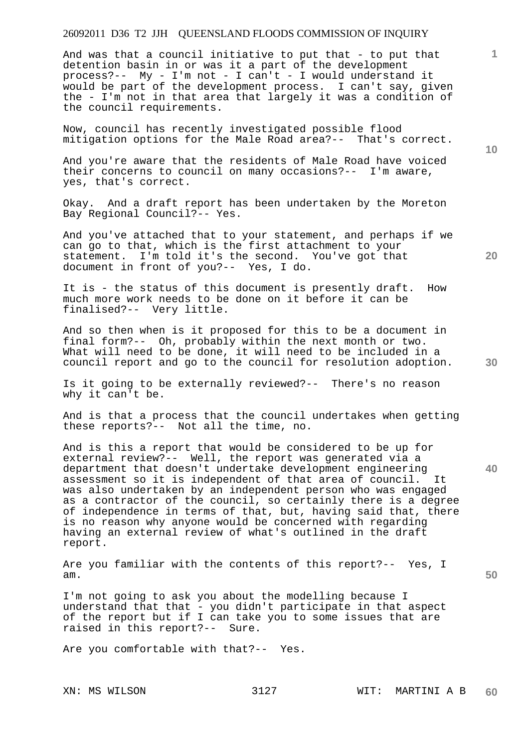And was that a council initiative to put that - to put that detention basin in or was it a part of the development process?-- My - I'm not - I can't - I would understand it would be part of the development process. I can't say, given the - I'm not in that area that largely it was a condition of the council requirements.

Now, council has recently investigated possible flood mitigation options for the Male Road area?-- That's correct.

And you're aware that the residents of Male Road have voiced their concerns to council on many occasions?-- I'm aware, yes, that's correct.

Okay. And a draft report has been undertaken by the Moreton Bay Regional Council?-- Yes.

And you've attached that to your statement, and perhaps if we can go to that, which is the first attachment to your<br>statement. I'm told it's the second. You've got tha I'm told it's the second. You've got that document in front of you?-- Yes, I do.

It is - the status of this document is presently draft. How much more work needs to be done on it before it can be finalised?-- Very little.

And so then when is it proposed for this to be a document in final form?-- Oh, probably within the next month or two. What will need to be done, it will need to be included in a council report and go to the council for resolution adoption.

Is it going to be externally reviewed?-- There's no reason why it can't be.

And is that a process that the council undertakes when getting these reports?-- Not all the time, no.

And is this a report that would be considered to be up for external review?-- Well, the report was generated via a department that doesn't undertake development engineering assessment so it is independent of that area of council. It was also undertaken by an independent person who was engaged as a contractor of the council, so certainly there is a degree of independence in terms of that, but, having said that, there is no reason why anyone would be concerned with regarding having an external review of what's outlined in the draft report.

Are you familiar with the contents of this report?-- Yes, I am.

I'm not going to ask you about the modelling because I understand that that - you didn't participate in that aspect of the report but if I can take you to some issues that are raised in this report?-- Sure.

Are you comfortable with that?-- Yes.

**10** 

**1**

**20** 

**30** 

**40**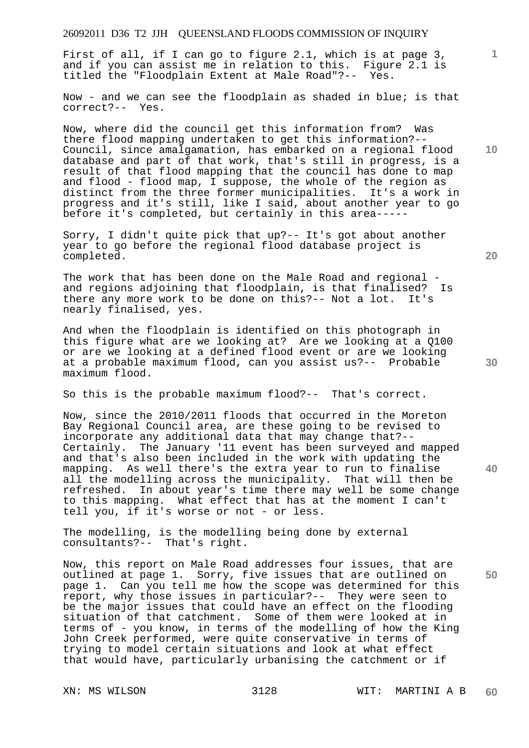First of all, if I can go to figure 2.1, which is at page 3, and if you can assist me in relation to this. Figure 2.1 is titled the "Floodplain Extent at Male Road"?-- Yes.

Now - and we can see the floodplain as shaded in blue; is that correct?-- Yes.

Now, where did the council get this information from? Was there flood mapping undertaken to get this information?-- Council, since amalgamation, has embarked on a regional flood database and part of that work, that's still in progress, is a result of that flood mapping that the council has done to map and flood - flood map, I suppose, the whole of the region as distinct from the three former municipalities. It's a work in progress and it's still, like I said, about another year to go before it's completed, but certainly in this area-----

Sorry, I didn't quite pick that up?-- It's got about another year to go before the regional flood database project is completed.

The work that has been done on the Male Road and regional and regions adjoining that floodplain, is that finalised? Is there any more work to be done on this?-- Not a lot. It's nearly finalised, yes.

And when the floodplain is identified on this photograph in this figure what are we looking at? Are we looking at a Q100 or are we looking at a defined flood event or are we looking at a probable maximum flood, can you assist us?-- Probable maximum flood.

So this is the probable maximum flood?-- That's correct.

Now, since the 2010/2011 floods that occurred in the Moreton Bay Regional Council area, are these going to be revised to incorporate any additional data that may change that?-- Certainly. The January '11 event has been surveyed and mapped and that's also been included in the work with updating the mapping. As well there's the extra year to run to finalise all the modelling across the municipality. That will then be refreshed. In about year's time there may well be some change to this mapping. What effect that has at the moment I can't tell you, if it's worse or not - or less.

The modelling, is the modelling being done by external consultants?-- That's right.

Now, this report on Male Road addresses four issues, that are outlined at page 1. Sorry, five issues that are outlined on page 1. Can you tell me how the scope was determined for this report, why those issues in particular?-- They were seen to be the major issues that could have an effect on the flooding situation of that catchment. Some of them were looked at in terms of - you know, in terms of the modelling of how the King John Creek performed, were quite conservative in terms of trying to model certain situations and look at what effect that would have, particularly urbanising the catchment or if

**20** 

**10** 

**1**

**40**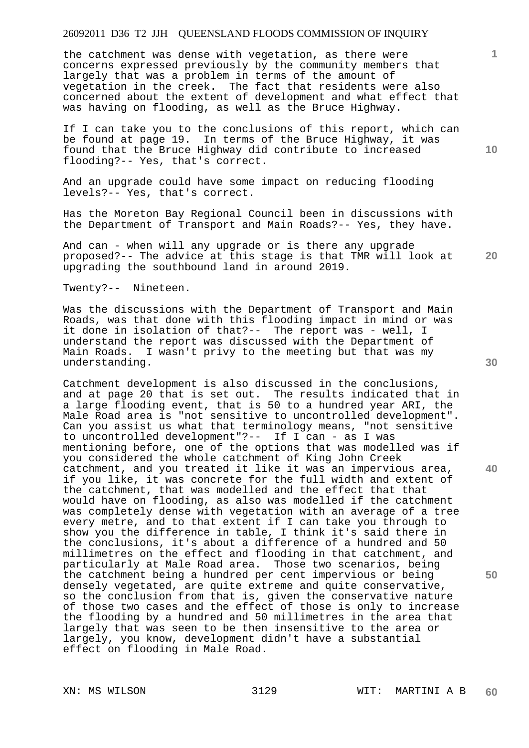the catchment was dense with vegetation, as there were concerns expressed previously by the community members that largely that was a problem in terms of the amount of vegetation in the creek. The fact that residents were also concerned about the extent of development and what effect that was having on flooding, as well as the Bruce Highway.

If I can take you to the conclusions of this report, which can be found at page 19. In terms of the Bruce Highway, it was found that the Bruce Highway did contribute to increased flooding?-- Yes, that's correct.

And an upgrade could have some impact on reducing flooding levels?-- Yes, that's correct.

Has the Moreton Bay Regional Council been in discussions with the Department of Transport and Main Roads?-- Yes, they have.

And can - when will any upgrade or is there any upgrade proposed?-- The advice at this stage is that TMR will look at upgrading the southbound land in around 2019.

Twenty?-- Nineteen.

Was the discussions with the Department of Transport and Main Roads, was that done with this flooding impact in mind or was it done in isolation of that?-- The report was - well, I understand the report was discussed with the Department of Main Roads. I wasn't privy to the meeting but that was my understanding.

Catchment development is also discussed in the conclusions, and at page 20 that is set out. The results indicated that in a large flooding event, that is 50 to a hundred year ARI, the Male Road area is "not sensitive to uncontrolled development". Can you assist us what that terminology means, "not sensitive to uncontrolled development"?-- If I can - as I was mentioning before, one of the options that was modelled was if you considered the whole catchment of King John Creek catchment, and you treated it like it was an impervious area, if you like, it was concrete for the full width and extent of the catchment, that was modelled and the effect that that would have on flooding, as also was modelled if the catchment was completely dense with vegetation with an average of a tree every metre, and to that extent if I can take you through to show you the difference in table, I think it's said there in the conclusions, it's about a difference of a hundred and 50 millimetres on the effect and flooding in that catchment, and particularly at Male Road area. Those two scenarios, being the catchment being a hundred per cent impervious or being densely vegetated, are quite extreme and quite conservative, so the conclusion from that is, given the conservative nature of those two cases and the effect of those is only to increase the flooding by a hundred and 50 millimetres in the area that largely that was seen to be then insensitive to the area or largely, you know, development didn't have a substantial effect on flooding in Male Road.

**30** 

**40** 

**50** 

**20** 

**10**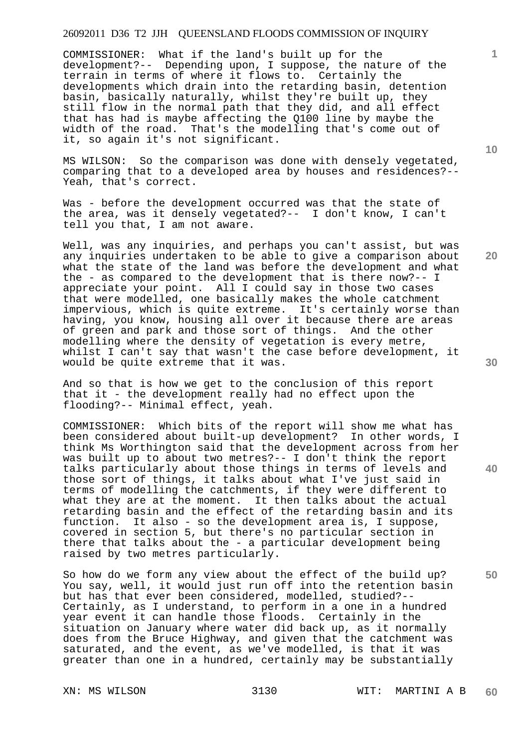COMMISSIONER: What if the land's built up for the development?-- Depending upon, I suppose, the nature of the terrain in terms of where it flows to. Certainly the developments which drain into the retarding basin, detention basin, basically naturally, whilst they're built up, they still flow in the normal path that they did, and all effect that has had is maybe affecting the Q100 line by maybe the width of the road. That's the modelling that's come out of it, so again it's not significant.

MS WILSON: So the comparison was done with densely vegetated, comparing that to a developed area by houses and residences?-- Yeah, that's correct.

Was - before the development occurred was that the state of the area, was it densely vegetated?-- I don't know, I can't tell you that, I am not aware.

Well, was any inquiries, and perhaps you can't assist, but was any inquiries undertaken to be able to give a comparison about what the state of the land was before the development and what the - as compared to the development that is there now?-- I appreciate your point. All I could say in those two cases that were modelled, one basically makes the whole catchment impervious, which is quite extreme. It's certainly worse than having, you know, housing all over it because there are areas of green and park and those sort of things. And the other modelling where the density of vegetation is every metre, whilst I can't say that wasn't the case before development, it would be quite extreme that it was.

And so that is how we get to the conclusion of this report that it - the development really had no effect upon the flooding?-- Minimal effect, yeah.

COMMISSIONER: Which bits of the report will show me what has been considered about built-up development? In other words, I think Ms Worthington said that the development across from her was built up to about two metres?-- I don't think the report talks particularly about those things in terms of levels and those sort of things, it talks about what I've just said in terms of modelling the catchments, if they were different to what they are at the moment. It then talks about the actual retarding basin and the effect of the retarding basin and its function. It also - so the development area is, I suppose, covered in section 5, but there's no particular section in there that talks about the - a particular development being raised by two metres particularly.

So how do we form any view about the effect of the build up? You say, well, it would just run off into the retention basin but has that ever been considered, modelled, studied?-- Certainly, as I understand, to perform in a one in a hundred year event it can handle those floods. Certainly in the situation on January where water did back up, as it normally does from the Bruce Highway, and given that the catchment was saturated, and the event, as we've modelled, is that it was greater than one in a hundred, certainly may be substantially

**10** 

**1**

**30** 

**20** 

**40**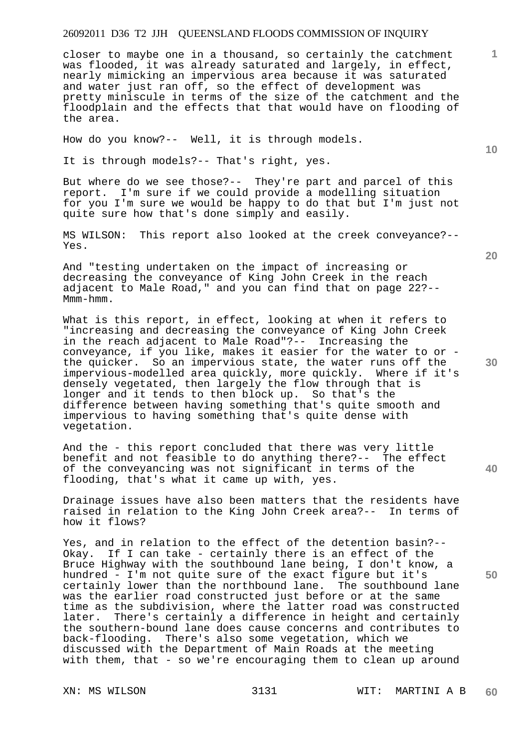closer to maybe one in a thousand, so certainly the catchment was flooded, it was already saturated and largely, in effect, nearly mimicking an impervious area because it was saturated and water just ran off, so the effect of development was pretty miniscule in terms of the size of the catchment and the floodplain and the effects that that would have on flooding of the area.

How do you know?-- Well, it is through models.

It is through models?-- That's right, yes.

But where do we see those?-- They're part and parcel of this report. I'm sure if we could provide a modelling situation for you I'm sure we would be happy to do that but I'm just not quite sure how that's done simply and easily.

MS WILSON: This report also looked at the creek conveyance?-- Yes.

And "testing undertaken on the impact of increasing or decreasing the conveyance of King John Creek in the reach adjacent to Male Road," and you can find that on page 22?-- Mmm-hmm.

What is this report, in effect, looking at when it refers to "increasing and decreasing the conveyance of King John Creek in the reach adjacent to Male Road"?-- Increasing the conveyance, if you like, makes it easier for the water to or the quicker. So an impervious state, the water runs off the impervious-modelled area quickly, more quickly. Where if it's densely vegetated, then largely the flow through that is longer and it tends to then block up. So that's the difference between having something that's quite smooth and impervious to having something that's quite dense with vegetation.

And the - this report concluded that there was very little benefit and not feasible to do anything there?-- The effect of the conveyancing was not significant in terms of the flooding, that's what it came up with, yes.

Drainage issues have also been matters that the residents have raised in relation to the King John Creek area?-- In terms of how it flows?

Yes, and in relation to the effect of the detention basin?-- Okay. If I can take - certainly there is an effect of the Bruce Highway with the southbound lane being, I don't know, a hundred - I'm not quite sure of the exact figure but it's certainly lower than the northbound lane. The southbound lane was the earlier road constructed just before or at the same time as the subdivision, where the latter road was constructed later. There's certainly a difference in height and certainly the southern-bound lane does cause concerns and contributes to back-flooding. There's also some vegetation, which we discussed with the Department of Main Roads at the meeting with them, that - so we're encouraging them to clean up around

**20** 

**1**

**10** 

**40**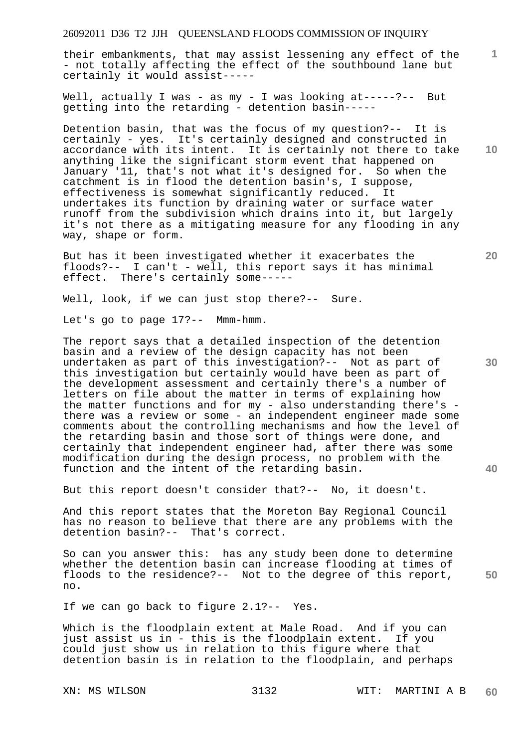their embankments, that may assist lessening any effect of the - not totally affecting the effect of the southbound lane but certainly it would assist-----

Well, actually I was - as my - I was looking at-----?-- But getting into the retarding - detention basin-----

Detention basin, that was the focus of my question?-- It is certainly - yes. It's certainly designed and constructed in accordance with its intent. It is certainly not there to take anything like the significant storm event that happened on January '11, that's not what it's designed for. So when the catchment is in flood the detention basin's, I suppose, effectiveness is somewhat significantly reduced. It undertakes its function by draining water or surface water runoff from the subdivision which drains into it, but largely it's not there as a mitigating measure for any flooding in any way, shape or form.

But has it been investigated whether it exacerbates the floods?-- I can't - well, this report says it has minimal effect. There's certainly some-----

Well, look, if we can just stop there?-- Sure.

Let's go to page 17?-- Mmm-hmm.

The report says that a detailed inspection of the detention basin and a review of the design capacity has not been undertaken as part of this investigation?-- Not as part of this investigation but certainly would have been as part of the development assessment and certainly there's a number of letters on file about the matter in terms of explaining how the matter functions and for my - also understanding there's there was a review or some - an independent engineer made some comments about the controlling mechanisms and how the level of the retarding basin and those sort of things were done, and certainly that independent engineer had, after there was some modification during the design process, no problem with the function and the intent of the retarding basin.

But this report doesn't consider that?-- No, it doesn't.

And this report states that the Moreton Bay Regional Council has no reason to believe that there are any problems with the detention basin?-- That's correct.

So can you answer this: has any study been done to determine whether the detention basin can increase flooding at times of floods to the residence?-- Not to the degree of this report, no.

If we can go back to figure 2.1?-- Yes.

Which is the floodplain extent at Male Road. And if you can just assist us in - this is the floodplain extent. If you could just show us in relation to this figure where that detention basin is in relation to the floodplain, and perhaps

**10** 

**1**

**20** 

**30**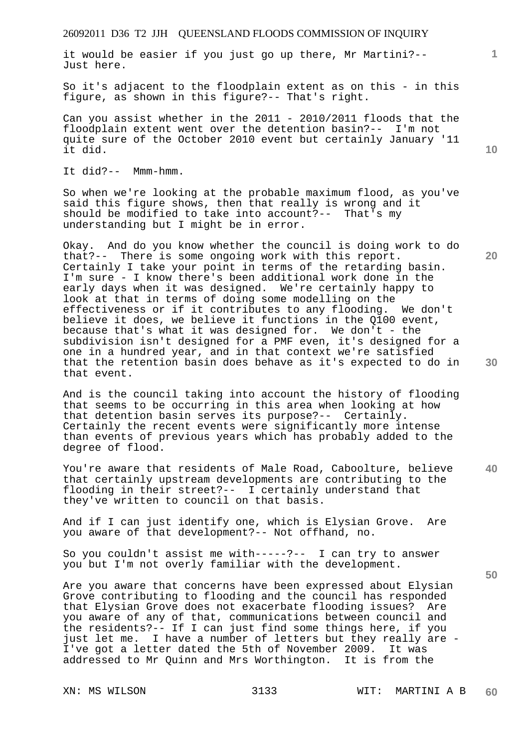it would be easier if you just go up there, Mr Martini?-- Just here.

So it's adjacent to the floodplain extent as on this - in this figure, as shown in this figure?-- That's right.

Can you assist whether in the 2011 - 2010/2011 floods that the floodplain extent went over the detention basin?-- I'm not quite sure of the October 2010 event but certainly January '11 it did.

It did?-- Mmm-hmm.

So when we're looking at the probable maximum flood, as you've said this figure shows, then that really is wrong and it should be modified to take into account?-- That's my understanding but I might be in error.

Okay. And do you know whether the council is doing work to do that?-- There is some ongoing work with this report. Certainly I take your point in terms of the retarding basin. I'm sure - I know there's been additional work done in the early days when it was designed. We're certainly happy to look at that in terms of doing some modelling on the effectiveness or if it contributes to any flooding. We don't believe it does, we believe it functions in the Q100 event, because that's what it was designed for. We don't - the subdivision isn't designed for a PMF even, it's designed for a one in a hundred year, and in that context we're satisfied that the retention basin does behave as it's expected to do in that event.

And is the council taking into account the history of flooding that seems to be occurring in this area when looking at how that detention basin serves its purpose?-- Certainly. Certainly the recent events were significantly more intense than events of previous years which has probably added to the degree of flood.

**40**  You're aware that residents of Male Road, Caboolture, believe that certainly upstream developments are contributing to the flooding in their street?-- I certainly understand that they've written to council on that basis.

And if I can just identify one, which is Elysian Grove. Are you aware of that development?-- Not offhand, no.

So you couldn't assist me with-----?-- I can try to answer you but I'm not overly familiar with the development.

Are you aware that concerns have been expressed about Elysian Grove contributing to flooding and the council has responded that Elysian Grove does not exacerbate flooding issues? Are you aware of any of that, communications between council and the residents?-- If I can just find some things here, if you just let me. I have a number of letters but they really are - I've got a letter dated the 5th of November 2009. It was addressed to Mr Quinn and Mrs Worthington. It is from the

**10** 

**1**

**20**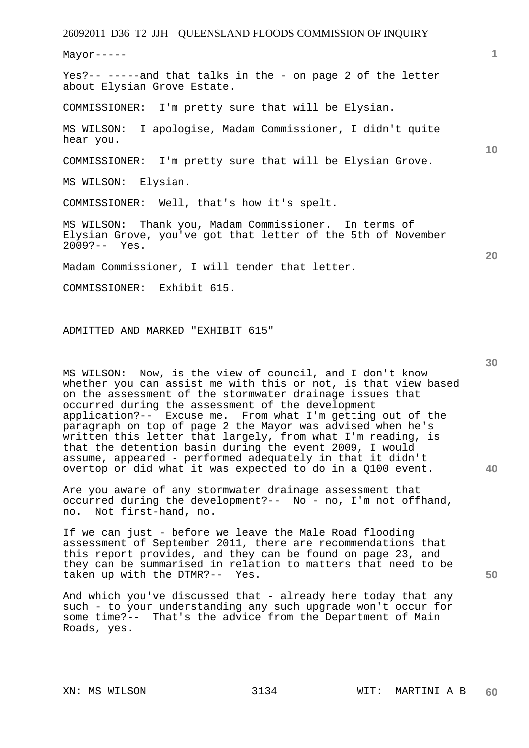Mayor-----

Yes?-- -----and that talks in the - on page 2 of the letter about Elysian Grove Estate.

COMMISSIONER: I'm pretty sure that will be Elysian.

MS WILSON: I apologise, Madam Commissioner, I didn't quite hear you.

COMMISSIONER: I'm pretty sure that will be Elysian Grove.

MS WILSON: Elysian.

COMMISSIONER: Well, that's how it's spelt.

MS WILSON: Thank you, Madam Commissioner. In terms of Elysian Grove, you've got that letter of the 5th of November 2009?-- Yes.

Madam Commissioner, I will tender that letter.

COMMISSIONER: Exhibit 615.

ADMITTED AND MARKED "EXHIBIT 615"

MS WILSON: Now, is the view of council, and I don't know whether you can assist me with this or not, is that view based on the assessment of the stormwater drainage issues that occurred during the assessment of the development application?-- Excuse me. From what I'm getting out of the paragraph on top of page 2 the Mayor was advised when he's written this letter that largely, from what I'm reading, is that the detention basin during the event 2009, I would assume, appeared - performed adequately in that it didn't overtop or did what it was expected to do in a Q100 event.

Are you aware of any stormwater drainage assessment that occurred during the development?-- No - no, I'm not offhand, no. Not first-hand, no.

If we can just - before we leave the Male Road flooding assessment of September 2011, there are recommendations that this report provides, and they can be found on page 23, and they can be summarised in relation to matters that need to be taken up with the DTMR?-- Yes.

And which you've discussed that - already here today that any such - to your understanding any such upgrade won't occur for some time?-- That's the advice from the Department of Main Roads, yes.

**10** 

**20** 

**1**

**30** 

**40**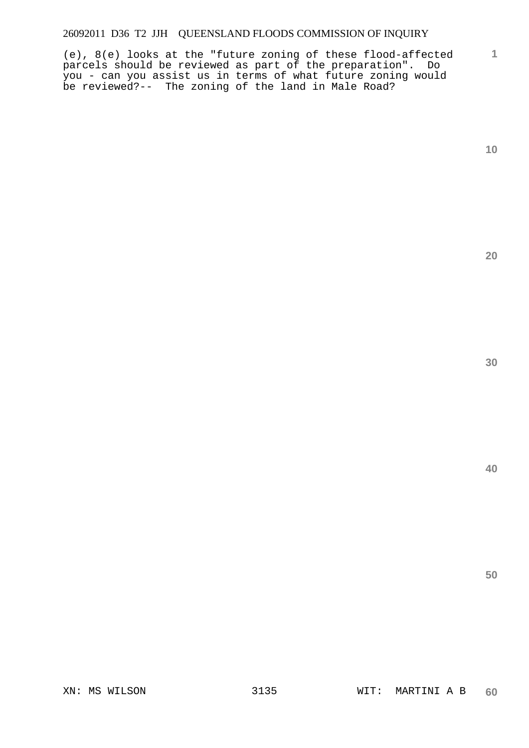(e), 8(e) looks at the "future zoning of these flood-affected parcels should be reviewed as part of the preparation". Do you - can you assist us in terms of what future zoning would be reviewed?-- The zoning of the land in Male Road?

**10** 

**1**

**20** 

**30** 

**40**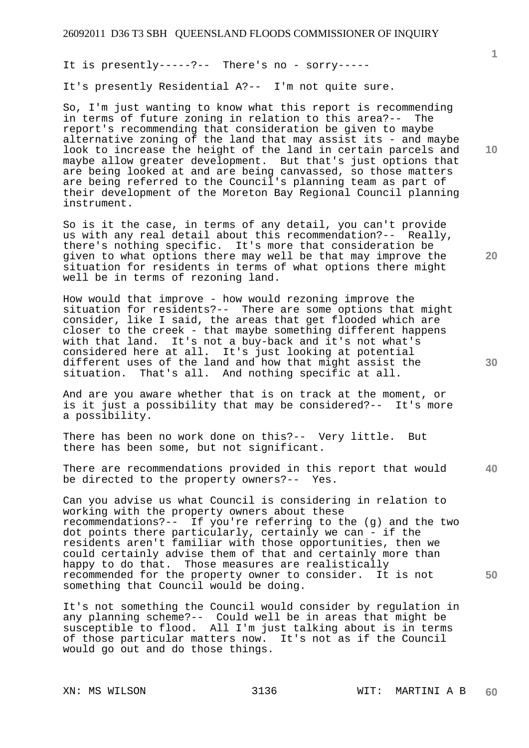It is presently-----?-- There's no - sorry-----

It's presently Residential A?-- I'm not quite sure.

So, I'm just wanting to know what this report is recommending in terms of future zoning in relation to this area?-- The report's recommending that consideration be given to maybe alternative zoning of the land that may assist its - and maybe look to increase the height of the land in certain parcels and maybe allow greater development. But that's just options that are being looked at and are being canvassed, so those matters are being referred to the Council's planning team as part of their development of the Moreton Bay Regional Council planning instrument.

So is it the case, in terms of any detail, you can't provide us with any real detail about this recommendation?-- Really, there's nothing specific. It's more that consideration be given to what options there may well be that may improve the situation for residents in terms of what options there might well be in terms of rezoning land.

How would that improve - how would rezoning improve the situation for residents?-- There are some options that might consider, like I said, the areas that get flooded which are closer to the creek - that maybe something different happens with that land. It's not a buy-back and it's not what's considered here at all. It's just looking at potential different uses of the land and how that might assist the situation. That's all. And nothing specific at all.

And are you aware whether that is on track at the moment, or is it just a possibility that may be considered?-- It's more a possibility.

There has been no work done on this?-- Very little. But there has been some, but not significant.

**40**  There are recommendations provided in this report that would be directed to the property owners?-- Yes.

Can you advise us what Council is considering in relation to working with the property owners about these recommendations?-- If you're referring to the (g) and the two dot points there particularly, certainly we can - if the residents aren't familiar with those opportunities, then we could certainly advise them of that and certainly more than happy to do that. Those measures are realistically recommended for the property owner to consider. It is not something that Council would be doing.

It's not something the Council would consider by regulation in any planning scheme?-- Could well be in areas that might be susceptible to flood. All I'm just talking about is in terms of those particular matters now. It's not as if the Council would go out and do those things.

**1**

**20**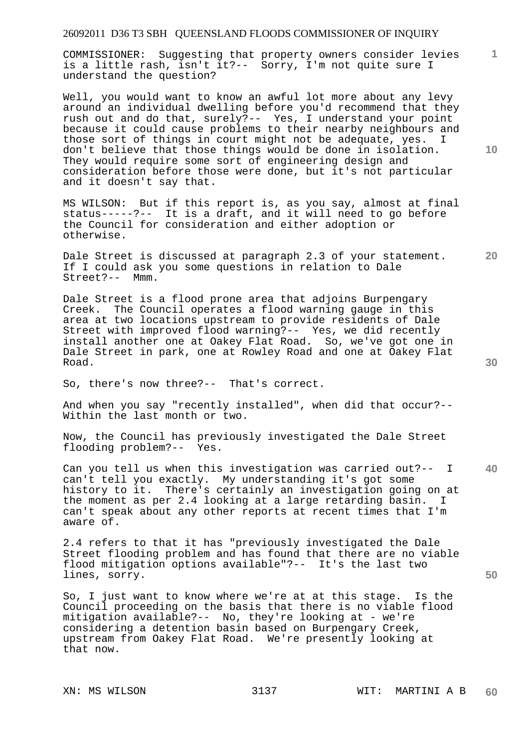COMMISSIONER: Suggesting that property owners consider levies is a little rash, isn't it?-- Sorry, I'm not quite sure I understand the question?

Well, you would want to know an awful lot more about any levy around an individual dwelling before you'd recommend that they rush out and do that, surely?-- Yes, I understand your point because it could cause problems to their nearby neighbours and those sort of things in court might not be adequate, yes. I don't believe that those things would be done in isolation. They would require some sort of engineering design and consideration before those were done, but it's not particular and it doesn't say that.

MS WILSON: But if this report is, as you say, almost at final status-----?-- It is a draft, and it will need to go before the Council for consideration and either adoption or otherwise.

Dale Street is discussed at paragraph 2.3 of your statement. If I could ask you some questions in relation to Dale Street?-- Mmm.

Dale Street is a flood prone area that adjoins Burpengary Creek. The Council operates a flood warning gauge in this area at two locations upstream to provide residents of Dale Street with improved flood warning?-- Yes, we did recently install another one at Oakey Flat Road. So, we've got one in Dale Street in park, one at Rowley Road and one at Oakey Flat Road.

So, there's now three?-- That's correct.

And when you say "recently installed", when did that occur?-- Within the last month or two.

Now, the Council has previously investigated the Dale Street flooding problem?-- Yes.

**40**  Can you tell us when this investigation was carried out?-- I can't tell you exactly. My understanding it's got some history to it. There's certainly an investigation going on at the moment as per 2.4 looking at a large retarding basin. I can't speak about any other reports at recent times that I'm aware of.

2.4 refers to that it has "previously investigated the Dale Street flooding problem and has found that there are no viable flood mitigation options available"?-- It's the last two lines, sorry.

So, I just want to know where we're at at this stage. Is the Council proceeding on the basis that there is no viable flood mitigation available?-- No, they're looking at - we're considering a detention basin based on Burpengary Creek, upstream from Oakey Flat Road. We're presently looking at that now.

**10** 

**1**

**30** 

**50**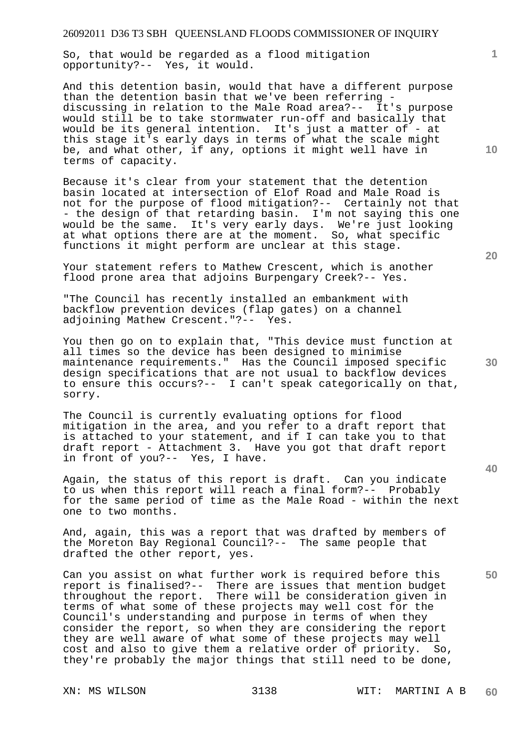So, that would be regarded as a flood mitigation opportunity?-- Yes, it would.

And this detention basin, would that have a different purpose than the detention basin that we've been referring discussing in relation to the Male Road area?-- It's purpose would still be to take stormwater run-off and basically that would be its general intention. It's just a matter of - at this stage it's early days in terms of what the scale might be, and what other, if any, options it might well have in terms of capacity.

Because it's clear from your statement that the detention basin located at intersection of Elof Road and Male Road is not for the purpose of flood mitigation?-- Certainly not that - the design of that retarding basin. I'm not saying this one would be the same. It's very early days. We're just looking at what options there are at the moment. So, what specific functions it might perform are unclear at this stage.

Your statement refers to Mathew Crescent, which is another flood prone area that adjoins Burpengary Creek?-- Yes.

"The Council has recently installed an embankment with backflow prevention devices (flap gates) on a channel adjoining Mathew Crescent."?-- Yes.

You then go on to explain that, "This device must function at all times so the device has been designed to minimise maintenance requirements." Has the Council imposed specific design specifications that are not usual to backflow devices to ensure this occurs?-- I can't speak categorically on that, sorry.

The Council is currently evaluating options for flood mitigation in the area, and you refer to a draft report that is attached to your statement, and if I can take you to that draft report - Attachment 3. Have you got that draft report in front of you?-- Yes, I have.

Again, the status of this report is draft. Can you indicate to us when this report will reach a final form?-- Probably for the same period of time as the Male Road - within the next one to two months.

And, again, this was a report that was drafted by members of the Moreton Bay Regional Council?-- The same people that drafted the other report, yes.

Can you assist on what further work is required before this report is finalised?-- There are issues that mention budget throughout the report. There will be consideration given in terms of what some of these projects may well cost for the Council's understanding and purpose in terms of when they consider the report, so when they are considering the report they are well aware of what some of these projects may well cost and also to give them a relative order of priority. So, they're probably the major things that still need to be done,

**20** 

**10** 

**1**

**30** 

**40**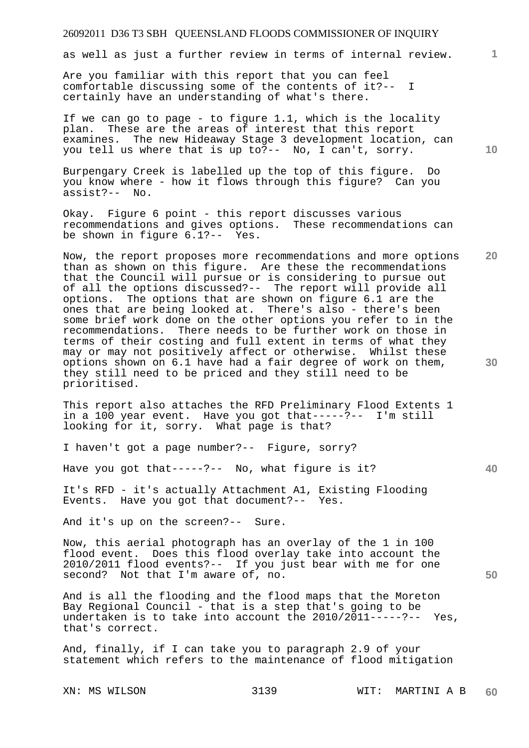as well as just a further review in terms of internal review.

Are you familiar with this report that you can feel comfortable discussing some of the contents of it?-- I certainly have an understanding of what's there.

If we can go to page - to figure 1.1, which is the locality plan. These are the areas of interest that this report examines. The new Hideaway Stage 3 development location, can you tell us where that is up to?-- No, I can't, sorry.

Burpengary Creek is labelled up the top of this figure. Do you know where - how it flows through this figure? Can you assist?-- No.

Okay. Figure 6 point - this report discusses various recommendations and gives options. These recommendations can be shown in figure 6.1?-- Yes.

**20**  Now, the report proposes more recommendations and more options than as shown on this figure. Are these the recommendations that the Council will pursue or is considering to pursue out of all the options discussed?-- The report will provide all options. The options that are shown on figure 6.1 are the ones that are being looked at. There's also - there's been some brief work done on the other options you refer to in the recommendations. There needs to be further work on those in terms of their costing and full extent in terms of what they may or may not positively affect or otherwise. Whilst these options shown on 6.1 have had a fair degree of work on them, they still need to be priced and they still need to be prioritised.

This report also attaches the RFD Preliminary Flood Extents 1 in a 100 year event. Have you got that-----?-- I'm still looking for it, sorry. What page is that?

I haven't got a page number?-- Figure, sorry?

Have you got that-----?-- No, what figure is it?

It's RFD - it's actually Attachment A1, Existing Flooding Events. Have you got that document?-- Yes.

And it's up on the screen?-- Sure.

Now, this aerial photograph has an overlay of the 1 in 100 flood event. Does this flood overlay take into account the 2010/2011 flood events?-- If you just bear with me for one second? Not that I'm aware of, no.

And is all the flooding and the flood maps that the Moreton Bay Regional Council - that is a step that's going to be undertaken is to take into account the 2010/2011-----?-- Yes, that's correct.

And, finally, if I can take you to paragraph 2.9 of your statement which refers to the maintenance of flood mitigation

XN: MS WILSON 3139 WIT: MARTINI A B **60** 

**10** 

**1**

**30** 

**40**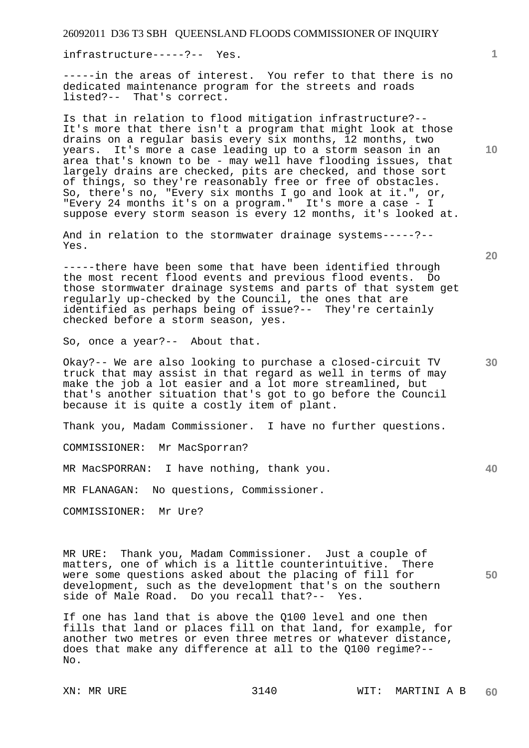infrastructure-----?-- Yes.

-----in the areas of interest. You refer to that there is no dedicated maintenance program for the streets and roads listed?-- That's correct.

Is that in relation to flood mitigation infrastructure?-- It's more that there isn't a program that might look at those drains on a regular basis every six months, 12 months, two years. It's more a case leading up to a storm season in an area that's known to be - may well have flooding issues, that largely drains are checked, pits are checked, and those sort of things, so they're reasonably free or free of obstacles. So, there's no, "Every six months I go and look at it.", or, "Every 24 months it's on a program." It's more a case - I suppose every storm season is every 12 months, it's looked at.

And in relation to the stormwater drainage systems-----?-- Yes.

-----there have been some that have been identified through the most recent flood events and previous flood events. Do those stormwater drainage systems and parts of that system get regularly up-checked by the Council, the ones that are identified as perhaps being of issue?-- They're certainly checked before a storm season, yes.

So, once a year?-- About that.

Okay?-- We are also looking to purchase a closed-circuit TV truck that may assist in that regard as well in terms of may make the job a lot easier and a lot more streamlined, but that's another situation that's got to go before the Council because it is quite a costly item of plant.

Thank you, Madam Commissioner. I have no further questions.

COMMISSIONER: Mr MacSporran?

MR MacSPORRAN: I have nothing, thank you.

MR FLANAGAN: No questions, Commissioner.

COMMISSIONER: Mr Ure?

MR URE: Thank you, Madam Commissioner. Just a couple of matters, one of which is a little counterintuitive. There were some questions asked about the placing of fill for development, such as the development that's on the southern<br>side of Male Road. Do you recall that?-- Yes. side of Male Road. Do you recall that?--

If one has land that is above the Q100 level and one then fills that land or places fill on that land, for example, for another two metres or even three metres or whatever distance, does that make any difference at all to the Q100 regime?-- No.

**10** 

**1**

**20** 

**40**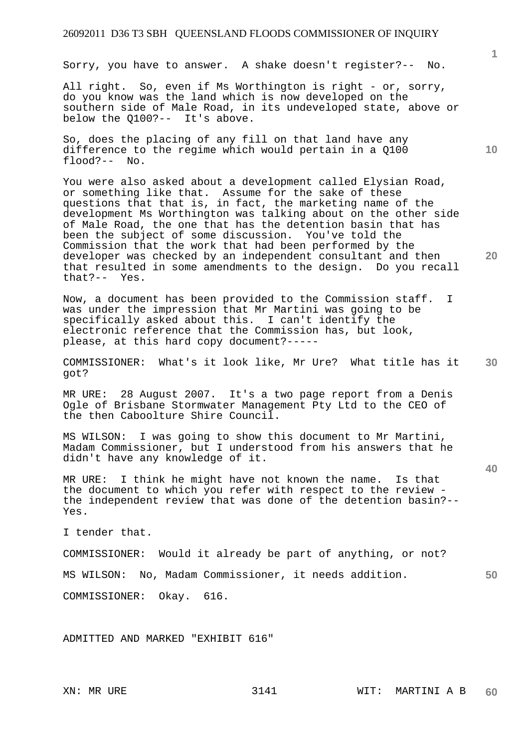Sorry, you have to answer. A shake doesn't register?-- No.

All right. So, even if Ms Worthington is right - or, sorry, do you know was the land which is now developed on the southern side of Male Road, in its undeveloped state, above or below the Q100?-- It's above.

So, does the placing of any fill on that land have any difference to the regime which would pertain in a Q100 flood?-- No.

You were also asked about a development called Elysian Road, or something like that. Assume for the sake of these questions that that is, in fact, the marketing name of the development Ms Worthington was talking about on the other side of Male Road, the one that has the detention basin that has been the subject of some discussion. You've told the Commission that the work that had been performed by the developer was checked by an independent consultant and then that resulted in some amendments to the design. Do you recall that?-- Yes.

Now, a document has been provided to the Commission staff. I was under the impression that Mr Martini was going to be specifically asked about this. I can't identify the electronic reference that the Commission has, but look, please, at this hard copy document?-----

**30**  COMMISSIONER: What's it look like, Mr Ure? What title has it got?

MR URE: 28 August 2007. It's a two page report from a Denis Ogle of Brisbane Stormwater Management Pty Ltd to the CEO of the then Caboolture Shire Council.

MS WILSON: I was going to show this document to Mr Martini, Madam Commissioner, but I understood from his answers that he didn't have any knowledge of it.

MR URE: I think he might have not known the name. Is that the document to which you refer with respect to the review the independent review that was done of the detention basin?-- Yes.

I tender that.

COMMISSIONER: Would it already be part of anything, or not?

MS WILSON: No, Madam Commissioner, it needs addition.

COMMISSIONER: Okay. 616.

ADMITTED AND MARKED "EXHIBIT 616"

**20** 

**40** 

**50**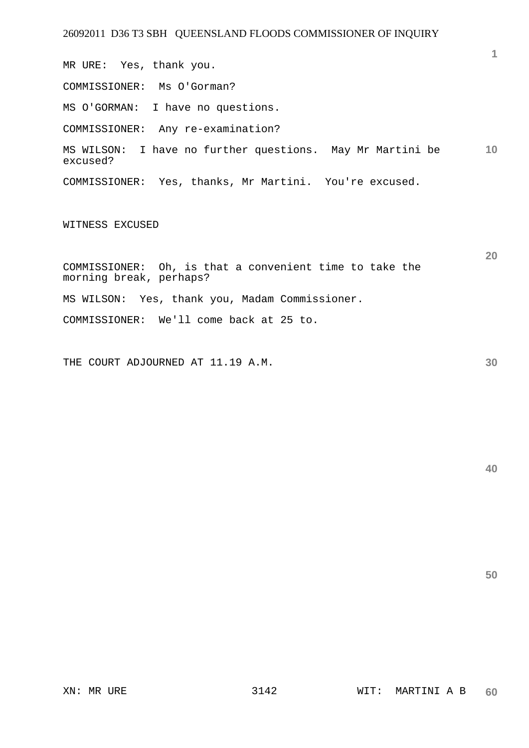MR URE: Yes, thank you.

COMMISSIONER: Ms O'Gorman?

MS O'GORMAN: I have no questions.

COMMISSIONER: Any re-examination?

**10**  MS WILSON: I have no further questions. May Mr Martini be excused?

COMMISSIONER: Yes, thanks, Mr Martini. You're excused.

WITNESS EXCUSED

COMMISSIONER: Oh, is that a convenient time to take the morning break, perhaps? MS WILSON: Yes, thank you, Madam Commissioner. COMMISSIONER: We'll come back at 25 to.

THE COURT ADJOURNED AT 11.19 A.M.

**40** 

**50** 

**1**

**20**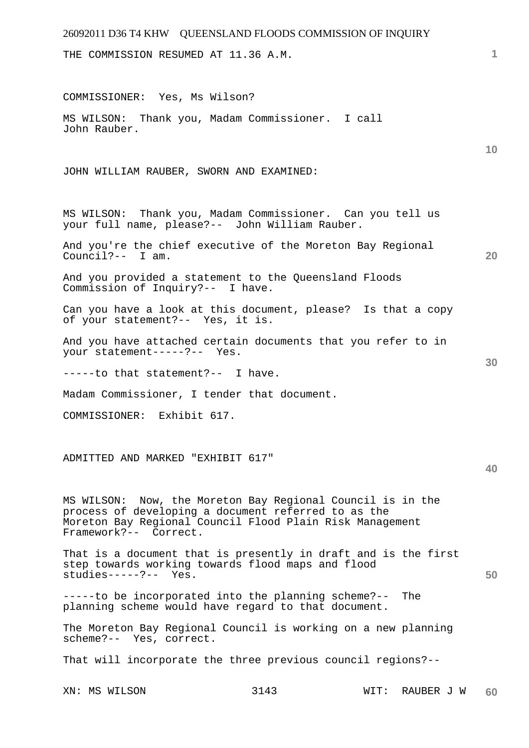## 26092011 D36 T4 KHW QUEENSLAND FLOODS COMMISSION OF INQUIRY XN: MS WILSON 3143 WIT: RAUBER J W **1 10 20 30 40 50 60**  THE COMMISSION RESUMED AT 11.36 A.M. COMMISSIONER: Yes, Ms Wilson? MS WILSON: Thank you, Madam Commissioner. I call John Rauber. JOHN WILLIAM RAUBER, SWORN AND EXAMINED: MS WILSON: Thank you, Madam Commissioner. Can you tell us your full name, please?-- John William Rauber. And you're the chief executive of the Moreton Bay Regional Council?-- I am. And you provided a statement to the Queensland Floods Commission of Inquiry?-- I have. Can you have a look at this document, please? Is that a copy of your statement?-- Yes, it is. And you have attached certain documents that you refer to in your statement-----?-- Yes. -----to that statement?-- I have. Madam Commissioner, I tender that document. COMMISSIONER: Exhibit 617. ADMITTED AND MARKED "EXHIBIT 617" MS WILSON: Now, the Moreton Bay Regional Council is in the process of developing a document referred to as the Moreton Bay Regional Council Flood Plain Risk Management Framework?-- Correct. That is a document that is presently in draft and is the first step towards working towards flood maps and flood studies-----?-- Yes. -----to be incorporated into the planning scheme?-- The planning scheme would have regard to that document. The Moreton Bay Regional Council is working on a new planning scheme?-- Yes, correct. That will incorporate the three previous council regions?--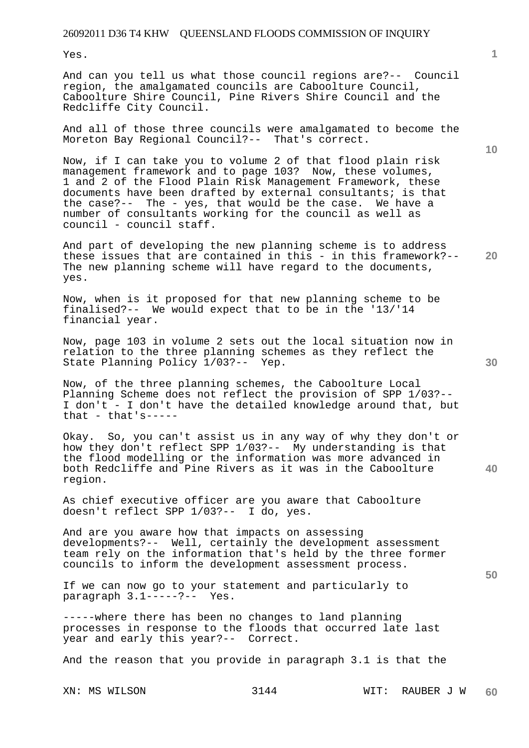Yes.

And can you tell us what those council regions are?-- Council region, the amalgamated councils are Caboolture Council, Caboolture Shire Council, Pine Rivers Shire Council and the Redcliffe City Council.

And all of those three councils were amalgamated to become the Moreton Bay Regional Council?-- That's correct.

Now, if I can take you to volume 2 of that flood plain risk management framework and to page 103? Now, these volumes, 1 and 2 of the Flood Plain Risk Management Framework, these documents have been drafted by external consultants; is that the case?-- The - yes, that would be the case. We have a number of consultants working for the council as well as council - council staff.

**20**  And part of developing the new planning scheme is to address these issues that are contained in this - in this framework?-- The new planning scheme will have regard to the documents, yes.

Now, when is it proposed for that new planning scheme to be finalised?-- We would expect that to be in the '13/'14 financial year.

Now, page 103 in volume 2 sets out the local situation now in relation to the three planning schemes as they reflect the State Planning Policy 1/03?-- Yep.

Now, of the three planning schemes, the Caboolture Local Planning Scheme does not reflect the provision of SPP 1/03?-- I don't - I don't have the detailed knowledge around that, but that  $-$  that's-----

Okay. So, you can't assist us in any way of why they don't or how they don't reflect SPP 1/03?-- My understanding is that the flood modelling or the information was more advanced in both Redcliffe and Pine Rivers as it was in the Caboolture region.

As chief executive officer are you aware that Caboolture doesn't reflect SPP 1/03?-- I do, yes.

And are you aware how that impacts on assessing developments?-- Well, certainly the development assessment team rely on the information that's held by the three former councils to inform the development assessment process.

If we can now go to your statement and particularly to paragraph 3.1-----?-- Yes.

-----where there has been no changes to land planning processes in response to the floods that occurred late last year and early this year?-- Correct.

And the reason that you provide in paragraph 3.1 is that the

**10** 

**40**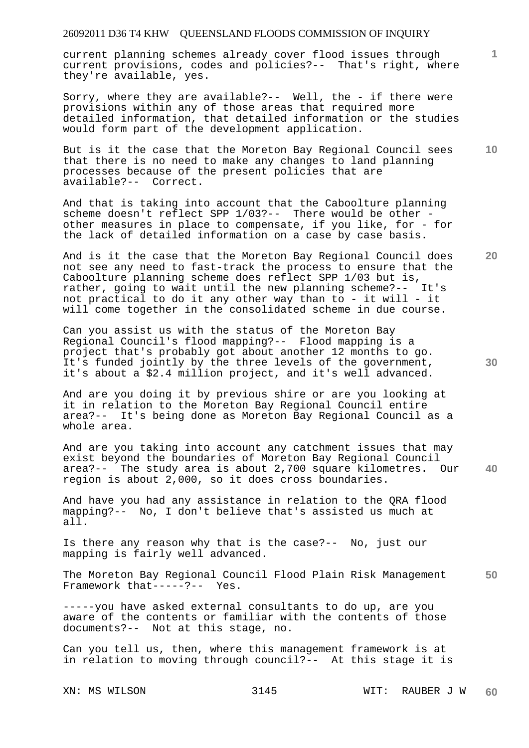current planning schemes already cover flood issues through current provisions, codes and policies?-- That's right, where they're available, yes.

Sorry, where they are available?-- Well, the - if there were provisions within any of those areas that required more detailed information, that detailed information or the studies would form part of the development application.

**10**  But is it the case that the Moreton Bay Regional Council sees that there is no need to make any changes to land planning processes because of the present policies that are available?-- Correct.

And that is taking into account that the Caboolture planning scheme doesn't reflect SPP 1/03?-- There would be other other measures in place to compensate, if you like, for - for the lack of detailed information on a case by case basis.

And is it the case that the Moreton Bay Regional Council does not see any need to fast-track the process to ensure that the Caboolture planning scheme does reflect SPP 1/03 but is, rather, going to wait until the new planning scheme?-- It's not practical to do it any other way than to - it will - it will come together in the consolidated scheme in due course.

Can you assist us with the status of the Moreton Bay Regional Council's flood mapping?-- Flood mapping is a project that's probably got about another 12 months to go. It's funded jointly by the three levels of the government, it's about a \$2.4 million project, and it's well advanced.

And are you doing it by previous shire or are you looking at it in relation to the Moreton Bay Regional Council entire area?-- It's being done as Moreton Bay Regional Council as a whole area.

**40**  And are you taking into account any catchment issues that may exist beyond the boundaries of Moreton Bay Regional Council area?-- The study area is about 2,700 square kilometres. Our region is about 2,000, so it does cross boundaries.

And have you had any assistance in relation to the QRA flood mapping?-- No, I don't believe that's assisted us much at all.

Is there any reason why that is the case?-- No, just our mapping is fairly well advanced.

**50**  The Moreton Bay Regional Council Flood Plain Risk Management Framework that-----?-- Yes.

-----you have asked external consultants to do up, are you aware of the contents or familiar with the contents of those documents?-- Not at this stage, no.

Can you tell us, then, where this management framework is at in relation to moving through council?-- At this stage it is

XN: MS WILSON 3145 WIT: RAUBER J W **60** 

**30** 

**20**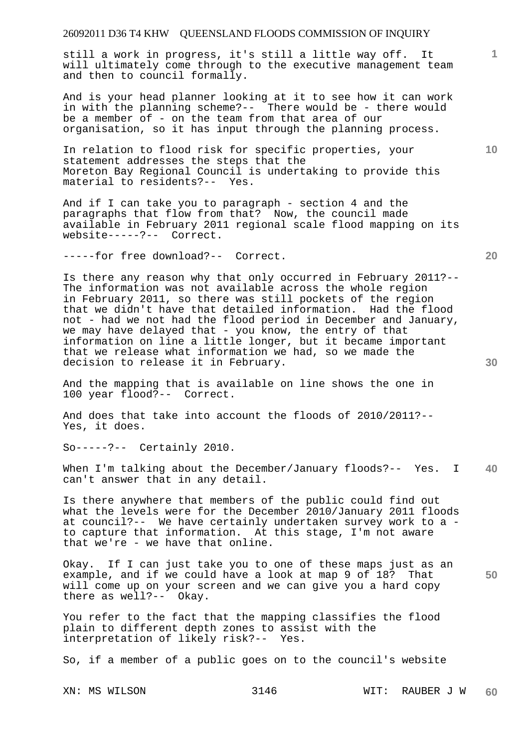still a work in progress, it's still a little way off. It will ultimately come through to the executive management team and then to council formally.

And is your head planner looking at it to see how it can work in with the planning scheme?-- There would be - there would be a member of - on the team from that area of our organisation, so it has input through the planning process.

In relation to flood risk for specific properties, your statement addresses the steps that the Moreton Bay Regional Council is undertaking to provide this material to residents?-- Yes.

And if I can take you to paragraph - section 4 and the paragraphs that flow from that? Now, the council made available in February 2011 regional scale flood mapping on its website-----?-- Correct.

-----for free download?-- Correct.

Is there any reason why that only occurred in February 2011?-- The information was not available across the whole region in February 2011, so there was still pockets of the region that we didn't have that detailed information. Had the flood not - had we not had the flood period in December and January, we may have delayed that - you know, the entry of that information on line a little longer, but it became important that we release what information we had, so we made the decision to release it in February.

And the mapping that is available on line shows the one in 100 year flood?-- Correct.

And does that take into account the floods of 2010/2011?-- Yes, it does.

So-----?-- Certainly 2010.

**40**  When I'm talking about the December/January floods?-- Yes. I can't answer that in any detail.

Is there anywhere that members of the public could find out what the levels were for the December 2010/January 2011 floods at council?-- We have certainly undertaken survey work to a to capture that information. At this stage, I'm not aware that we're - we have that online.

**50**  Okay. If I can just take you to one of these maps just as an example, and if we could have a look at map 9 of 18? That will come up on your screen and we can give you a hard copy there as well?-- Okay.

You refer to the fact that the mapping classifies the flood plain to different depth zones to assist with the interpretation of likely risk?-- Yes.

So, if a member of a public goes on to the council's website

XN: MS WILSON 3146 WIT: RAUBER J W **60** 

**20** 

**10**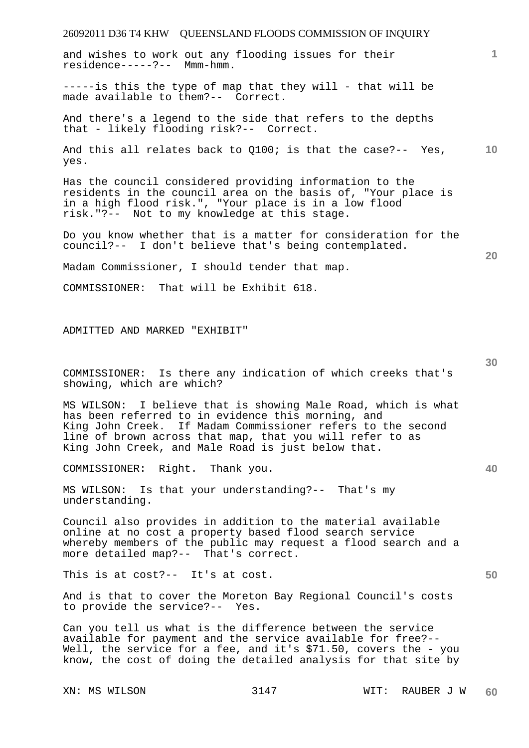and wishes to work out any flooding issues for their residence-----?-- Mmm-hmm.

 $---is$  this the type of map that they will - that will be made available to them?-- Correct.

And there's a legend to the side that refers to the depths that - likely flooding risk?-- Correct.

**10**  And this all relates back to Q100; is that the case?-- Yes, yes.

Has the council considered providing information to the residents in the council area on the basis of, "Your place is in a high flood risk.", "Your place is in a low flood risk."?-- Not to my knowledge at this stage.

Do you know whether that is a matter for consideration for the council?-- I don't believe that's being contemplated.

Madam Commissioner, I should tender that map.

COMMISSIONER: That will be Exhibit 618.

ADMITTED AND MARKED "EXHIBIT"

COMMISSIONER: Is there any indication of which creeks that's showing, which are which?

MS WILSON: I believe that is showing Male Road, which is what has been referred to in evidence this morning, and King John Creek. If Madam Commissioner refers to the second line of brown across that map, that you will refer to as King John Creek, and Male Road is just below that.

COMMISSIONER: Right. Thank you.

MS WILSON: Is that your understanding?-- That's my understanding.

Council also provides in addition to the material available online at no cost a property based flood search service whereby members of the public may request a flood search and a more detailed map?-- That's correct.

This is at cost?-- It's at cost.

And is that to cover the Moreton Bay Regional Council's costs to provide the service?-- Yes.

Can you tell us what is the difference between the service available for payment and the service available for free?-- Well, the service for a fee, and it's \$71.50, covers the - you know, the cost of doing the detailed analysis for that site by

**30** 

**20** 

**1**

**40**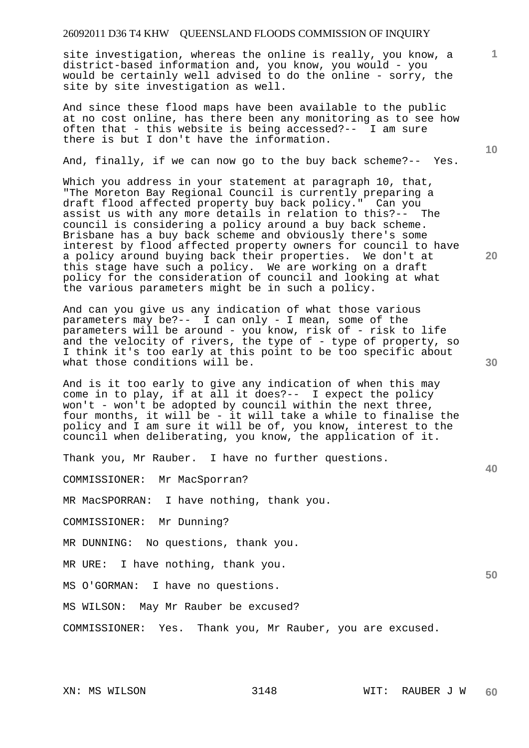site investigation, whereas the online is really, you know, a district-based information and, you know, you would - you would be certainly well advised to do the online - sorry, the site by site investigation as well.

And since these flood maps have been available to the public at no cost online, has there been any monitoring as to see how often that - this website is being accessed?-- I am sure there is but I don't have the information.

And, finally, if we can now go to the buy back scheme?-- Yes.

Which you address in your statement at paragraph 10, that, "The Moreton Bay Regional Council is currently preparing a draft flood affected property buy back policy." Can you assist us with any more details in relation to this?-- The council is considering a policy around a buy back scheme. Brisbane has a buy back scheme and obviously there's some interest by flood affected property owners for council to have a policy around buying back their properties. We don't at this stage have such a policy. We are working on a draft policy for the consideration of council and looking at what the various parameters might be in such a policy.

And can you give us any indication of what those various parameters may be?-- I can only - I mean, some of the parameters will be around - you know, risk of - risk to life and the velocity of rivers, the type of - type of property, so I think it's too early at this point to be too specific about what those conditions will be.

And is it too early to give any indication of when this may come in to play, if at all it does?-- I expect the policy won't - won't be adopted by council within the next three, four months, it will be - it will take a while to finalise the policy and I am sure it will be of, you know, interest to the council when deliberating, you know, the application of it.

Thank you, Mr Rauber. I have no further questions.

COMMISSIONER: Mr MacSporran?

MR MacSPORRAN: I have nothing, thank you.

COMMISSIONER: Mr Dunning?

MR DUNNING: No questions, thank you.

MR URE: I have nothing, thank you.

MS O'GORMAN: I have no questions.

MS WILSON: May Mr Rauber be excused?

COMMISSIONER: Yes. Thank you, Mr Rauber, you are excused.

**30** 

**20** 

**50** 

**10**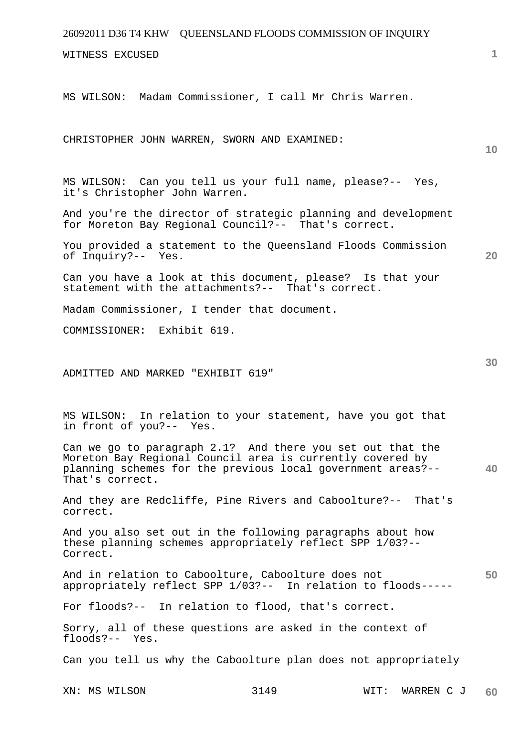| 26092011 D36 T4 KHW QUEENSLAND FLOODS COMMISSION OF INQUIRY                                                                                 |      |      |            |    |
|---------------------------------------------------------------------------------------------------------------------------------------------|------|------|------------|----|
| WITNESS EXCUSED                                                                                                                             |      |      |            | 1  |
|                                                                                                                                             |      |      |            |    |
| MS WILSON: Madam Commissioner, I call Mr Chris Warren.                                                                                      |      |      |            |    |
|                                                                                                                                             |      |      |            |    |
| CHRISTOPHER JOHN WARREN, SWORN AND EXAMINED:                                                                                                |      |      |            | 10 |
|                                                                                                                                             |      |      |            |    |
| MS WILSON: Can you tell us your full name, please?-- Yes,<br>it's Christopher John Warren.                                                  |      |      |            |    |
| And you're the director of strategic planning and development<br>for Moreton Bay Regional Council?-- That's correct.                        |      |      |            |    |
| You provided a statement to the Queensland Floods Commission<br>of Inquiry?-- Yes.                                                          |      |      |            | 20 |
| Can you have a look at this document, please? Is that your<br>statement with the attachments?-- That's correct.                             |      |      |            |    |
| Madam Commissioner, I tender that document.                                                                                                 |      |      |            |    |
| COMMISSIONER: Exhibit 619.                                                                                                                  |      |      |            |    |
|                                                                                                                                             |      |      |            |    |
| ADMITTED AND MARKED "EXHIBIT 619"                                                                                                           |      |      |            | 30 |
|                                                                                                                                             |      |      |            |    |
| In relation to your statement, have you got that<br>MS WILSON:<br>in front of you?-- Yes.                                                   |      |      |            |    |
| Can we go to paragraph 2.1? And there you set out that the                                                                                  |      |      |            |    |
| Moreton Bay Regional Council area is currently covered by<br>planning schemes for the previous local government areas?--<br>That's correct. |      |      |            | 40 |
| And they are Redcliffe, Pine Rivers and Caboolture?-- That's<br>correct.                                                                    |      |      |            |    |
| And you also set out in the following paragraphs about how<br>these planning schemes appropriately reflect SPP 1/03?--<br>Correct.          |      |      |            |    |
| And in relation to Caboolture, Caboolture does not<br>appropriately reflect SPP 1/03?-- In relation to floods-----                          |      |      |            | 50 |
| For floods?-- In relation to flood, that's correct.                                                                                         |      |      |            |    |
| Sorry, all of these questions are asked in the context of<br>floods?-- Yes.                                                                 |      |      |            |    |
| Can you tell us why the Caboolture plan does not appropriately                                                                              |      |      |            |    |
| XN: MS WILSON                                                                                                                               | 3149 | WIT: | WARREN C J | 60 |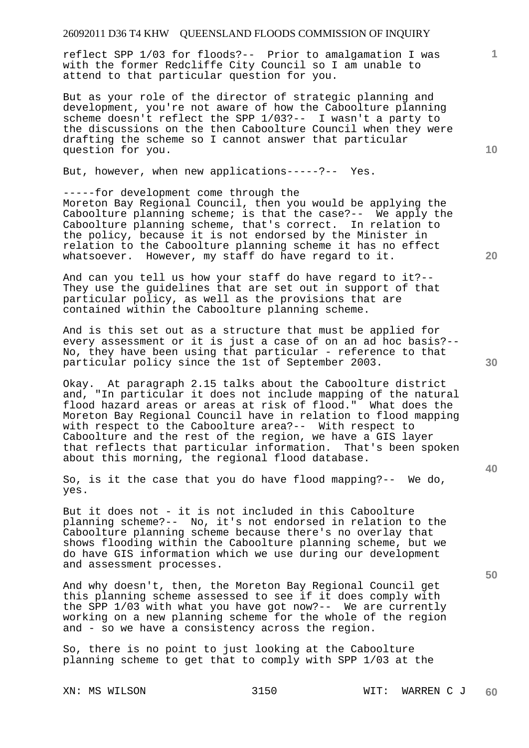reflect SPP 1/03 for floods?-- Prior to amalgamation I was with the former Redcliffe City Council so I am unable to attend to that particular question for you.

But as your role of the director of strategic planning and development, you're not aware of how the Caboolture planning scheme doesn't reflect the SPP 1/03?-- I wasn't a party to the discussions on the then Caboolture Council when they were drafting the scheme so I cannot answer that particular question for you.

But, however, when new applications-----?-- Yes.

-----for development come through the Moreton Bay Regional Council, then you would be applying the Caboolture planning scheme; is that the case?-- We apply the Caboolture planning scheme, that's correct. In relation to the policy, because it is not endorsed by the Minister in relation to the Caboolture planning scheme it has no effect whatsoever. However, my staff do have regard to it.

And can you tell us how your staff do have regard to it?-- They use the guidelines that are set out in support of that particular policy, as well as the provisions that are contained within the Caboolture planning scheme.

And is this set out as a structure that must be applied for every assessment or it is just a case of on an ad hoc basis?-- No, they have been using that particular - reference to that particular policy since the 1st of September 2003.

Okay. At paragraph 2.15 talks about the Caboolture district and, "In particular it does not include mapping of the natural flood hazard areas or areas at risk of flood." What does the Moreton Bay Regional Council have in relation to flood mapping with respect to the Caboolture area?-- With respect to Caboolture and the rest of the region, we have a GIS layer that reflects that particular information. That's been spoken about this morning, the regional flood database.

So, is it the case that you do have flood mapping?-- We do, yes.

But it does not - it is not included in this Caboolture planning scheme?-- No, it's not endorsed in relation to the Caboolture planning scheme because there's no overlay that shows flooding within the Caboolture planning scheme, but we do have GIS information which we use during our development and assessment processes.

And why doesn't, then, the Moreton Bay Regional Council get this planning scheme assessed to see if it does comply with the SPP 1/03 with what you have got now?-- We are currently working on a new planning scheme for the whole of the region and - so we have a consistency across the region.

So, there is no point to just looking at the Caboolture planning scheme to get that to comply with SPP 1/03 at the

**10** 

**1**

**20** 

**30** 

**50**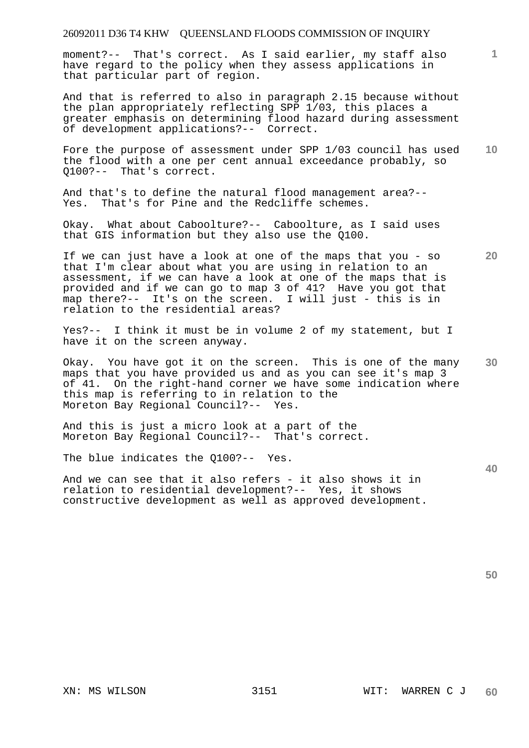moment?-- That's correct. As I said earlier, my staff also have regard to the policy when they assess applications in that particular part of region.

And that is referred to also in paragraph 2.15 because without the plan appropriately reflecting SPP 1/03, this places a greater emphasis on determining flood hazard during assessment of development applications?-- Correct.

**10**  Fore the purpose of assessment under SPP 1/03 council has used the flood with a one per cent annual exceedance probably, so Q100?-- That's correct.

And that's to define the natural flood management area?-- Yes. That's for Pine and the Redcliffe schemes.

Okay. What about Caboolture?-- Caboolture, as I said uses that GIS information but they also use the Q100.

If we can just have a look at one of the maps that you - so that I'm clear about what you are using in relation to an assessment, if we can have a look at one of the maps that is provided and if we can go to map 3 of 41? Have you got that map there?-- It's on the screen. I will just - this is in relation to the residential areas?

Yes?-- I think it must be in volume 2 of my statement, but I have it on the screen anyway.

**30**  Okay. You have got it on the screen. This is one of the many maps that you have provided us and as you can see it's map 3 of 41. On the right-hand corner we have some indication where this map is referring to in relation to the Moreton Bay Regional Council?-- Yes.

And this is just a micro look at a part of the Moreton Bay Regional Council?-- That's correct.

The blue indicates the Q100?-- Yes.

And we can see that it also refers - it also shows it in relation to residential development?-- Yes, it shows constructive development as well as approved development. **40** 

**50** 

**20**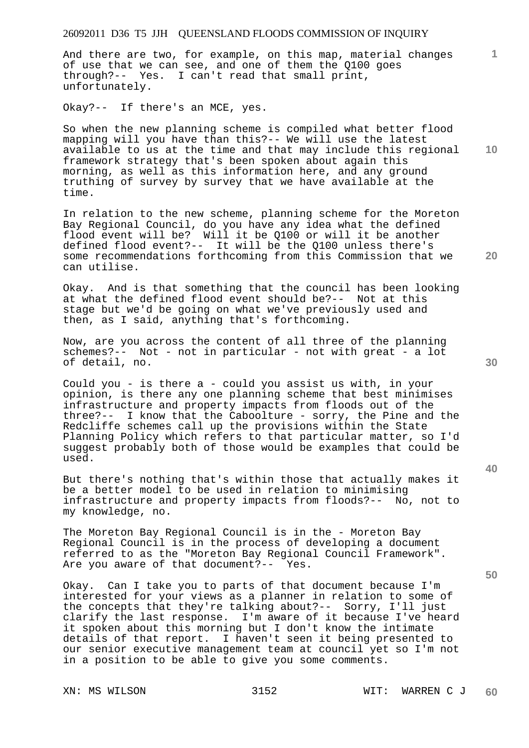And there are two, for example, on this map, material changes of use that we can see, and one of them the Q100 goes through?-- Yes. I can't read that small print, unfortunately.

Okay?-- If there's an MCE, yes.

**10**  So when the new planning scheme is compiled what better flood mapping will you have than this?-- We will use the latest available to us at the time and that may include this regional framework strategy that's been spoken about again this morning, as well as this information here, and any ground truthing of survey by survey that we have available at the time.

In relation to the new scheme, planning scheme for the Moreton Bay Regional Council, do you have any idea what the defined flood event will be? Will it be Q100 or will it be another defined flood event?-- It will be the Q100 unless there's some recommendations forthcoming from this Commission that we can utilise.

Okay. And is that something that the council has been looking at what the defined flood event should be?-- Not at this stage but we'd be going on what we've previously used and then, as I said, anything that's forthcoming.

Now, are you across the content of all three of the planning schemes?-- Not - not in particular - not with great - a lot of detail, no.

Could you - is there a - could you assist us with, in your opinion, is there any one planning scheme that best minimises infrastructure and property impacts from floods out of the three?-- I know that the Caboolture - sorry, the Pine and the Redcliffe schemes call up the provisions within the State Planning Policy which refers to that particular matter, so I'd suggest probably both of those would be examples that could be used.

But there's nothing that's within those that actually makes it be a better model to be used in relation to minimising infrastructure and property impacts from floods?-- No, not to my knowledge, no.

The Moreton Bay Regional Council is in the - Moreton Bay Regional Council is in the process of developing a document referred to as the "Moreton Bay Regional Council Framework". Are you aware of that document?-- Yes.

Okay. Can I take you to parts of that document because I'm interested for your views as a planner in relation to some of the concepts that they're talking about?-- Sorry, I'll just clarify the last response. I'm aware of it because I've heard it spoken about this morning but I don't know the intimate details of that report. I haven't seen it being presented to our senior executive management team at council yet so I'm not in a position to be able to give you some comments.

**30** 

**20** 

**50**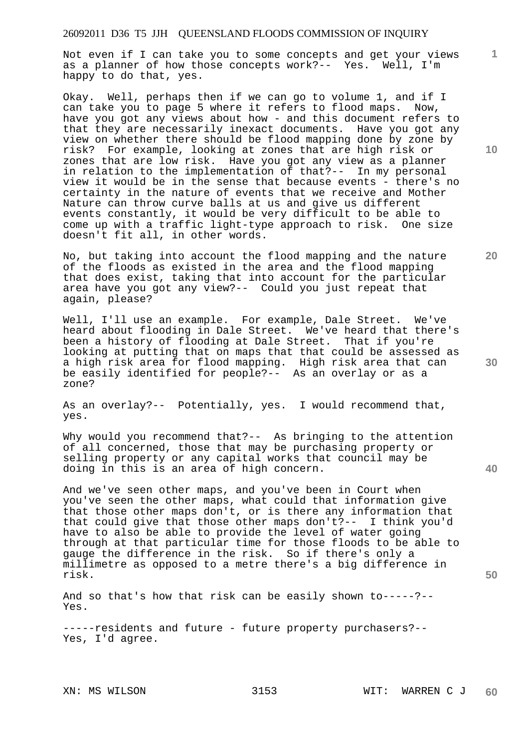Not even if I can take you to some concepts and get your views as a planner of how those concepts work?-- Yes. Well, I'm happy to do that, yes.

Okay. Well, perhaps then if we can go to volume 1, and if I can take you to page 5 where it refers to flood maps. Now, have you got any views about how - and this document refers to that they are necessarily inexact documents. Have you got any view on whether there should be flood mapping done by zone by risk? For example, looking at zones that are high risk or zones that are low risk. Have you got any view as a planner in relation to the implementation of that?-- In my personal view it would be in the sense that because events - there's no certainty in the nature of events that we receive and Mother Nature can throw curve balls at us and give us different events constantly, it would be very difficult to be able to come up with a traffic light-type approach to risk. One size doesn't fit all, in other words.

No, but taking into account the flood mapping and the nature of the floods as existed in the area and the flood mapping that does exist, taking that into account for the particular area have you got any view?-- Could you just repeat that again, please?

Well, I'll use an example. For example, Dale Street. We've heard about flooding in Dale Street. We've heard that there's been a history of flooding at Dale Street. That if you're looking at putting that on maps that that could be assessed as a high risk area for flood mapping. High risk area that can be easily identified for people?-- As an overlay or as a zone?

As an overlay?-- Potentially, yes. I would recommend that, yes.

Why would you recommend that?-- As bringing to the attention of all concerned, those that may be purchasing property or selling property or any capital works that council may be doing in this is an area of high concern.

And we've seen other maps, and you've been in Court when you've seen the other maps, what could that information give that those other maps don't, or is there any information that that could give that those other maps don't?-- I think you'd have to also be able to provide the level of water going through at that particular time for those floods to be able to gauge the difference in the risk. So if there's only a millimetre as opposed to a metre there's a big difference in risk.

And so that's how that risk can be easily shown to-----?-- Yes.

-----residents and future - future property purchasers?-- Yes, I'd agree.

**10** 

**1**

**20** 

**40**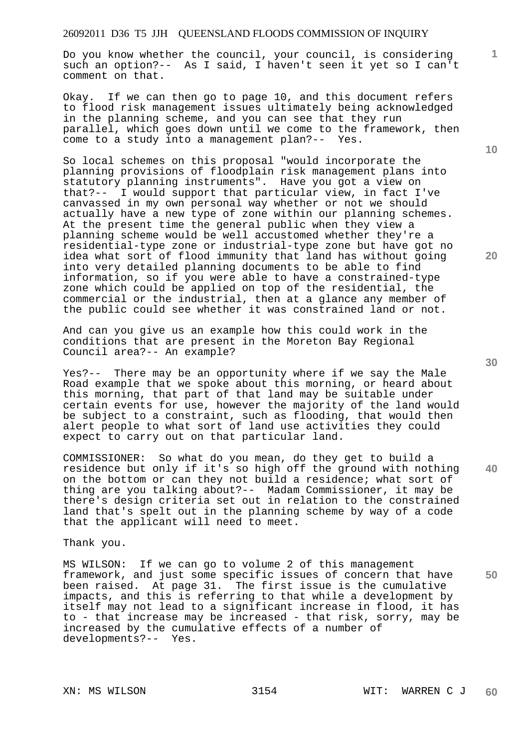Do you know whether the council, your council, is considering such an option?-- As I said, I haven't seen it yet so I can't comment on that.

Okay. If we can then go to page 10, and this document refers to flood risk management issues ultimately being acknowledged in the planning scheme, and you can see that they run parallel, which goes down until we come to the framework, then come to a study into a management plan?-- Yes.

So local schemes on this proposal "would incorporate the planning provisions of floodplain risk management plans into statutory planning instruments". Have you got a view on that?-- I would support that particular view, in fact I've canvassed in my own personal way whether or not we should actually have a new type of zone within our planning schemes. At the present time the general public when they view a planning scheme would be well accustomed whether they're a residential-type zone or industrial-type zone but have got no idea what sort of flood immunity that land has without going into very detailed planning documents to be able to find information, so if you were able to have a constrained-type zone which could be applied on top of the residential, the commercial or the industrial, then at a glance any member of the public could see whether it was constrained land or not.

And can you give us an example how this could work in the conditions that are present in the Moreton Bay Regional Council area?-- An example?

Yes?-- There may be an opportunity where if we say the Male Road example that we spoke about this morning, or heard about this morning, that part of that land may be suitable under certain events for use, however the majority of the land would be subject to a constraint, such as flooding, that would then alert people to what sort of land use activities they could expect to carry out on that particular land.

COMMISSIONER: So what do you mean, do they get to build a residence but only if it's so high off the ground with nothing on the bottom or can they not build a residence; what sort of thing are you talking about?-- Madam Commissioner, it may be there's design criteria set out in relation to the constrained land that's spelt out in the planning scheme by way of a code that the applicant will need to meet.

#### Thank you.

**50**  MS WILSON: If we can go to volume 2 of this management framework, and just some specific issues of concern that have been raised. At page 31. The first issue is the cumulative impacts, and this is referring to that while a development by itself may not lead to a significant increase in flood, it has to - that increase may be increased - that risk, sorry, may be increased by the cumulative effects of a number of developments?-- Yes.

**1**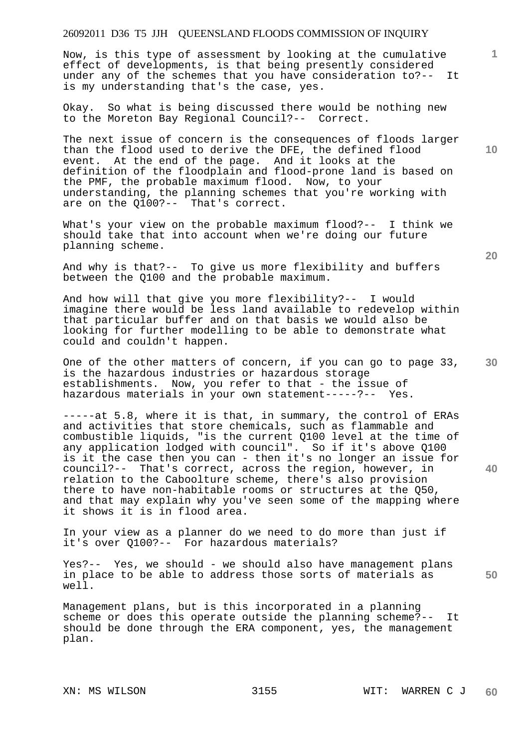Now, is this type of assessment by looking at the cumulative effect of developments, is that being presently considered under any of the schemes that you have consideration to?-- It is my understanding that's the case, yes.

Okay. So what is being discussed there would be nothing new to the Moreton Bay Regional Council?-- Correct.

The next issue of concern is the consequences of floods larger than the flood used to derive the DFE, the defined flood event. At the end of the page. And it looks at the definition of the floodplain and flood-prone land is based on the PMF, the probable maximum flood. Now, to your understanding, the planning schemes that you're working with are on the Q100?-- That's correct. are on the  $0100?--$ 

What's your view on the probable maximum flood?-- I think we should take that into account when we're doing our future planning scheme.

And why is that?-- To give us more flexibility and buffers between the Q100 and the probable maximum.

And how will that give you more flexibility?-- I would imagine there would be less land available to redevelop within that particular buffer and on that basis we would also be looking for further modelling to be able to demonstrate what could and couldn't happen.

One of the other matters of concern, if you can go to page 33, is the hazardous industries or hazardous storage establishments. Now, you refer to that - the issue of hazardous materials in your own statement-----?-- Yes.

-----at 5.8, where it is that, in summary, the control of ERAs and activities that store chemicals, such as flammable and combustible liquids, "is the current Q100 level at the time of any application lodged with council". So if it's above Q100 is it the case then you can - then it's no longer an issue for council?-- That's correct, across the region, however, in relation to the Caboolture scheme, there's also provision there to have non-habitable rooms or structures at the Q50, and that may explain why you've seen some of the mapping where it shows it is in flood area.

In your view as a planner do we need to do more than just if it's over Q100?-- For hazardous materials?

Yes?-- Yes, we should - we should also have management plans in place to be able to address those sorts of materials as well.

Management plans, but is this incorporated in a planning scheme or does this operate outside the planning scheme?-- It should be done through the ERA component, yes, the management plan.

**10** 

**1**

**30** 

**20** 

**40**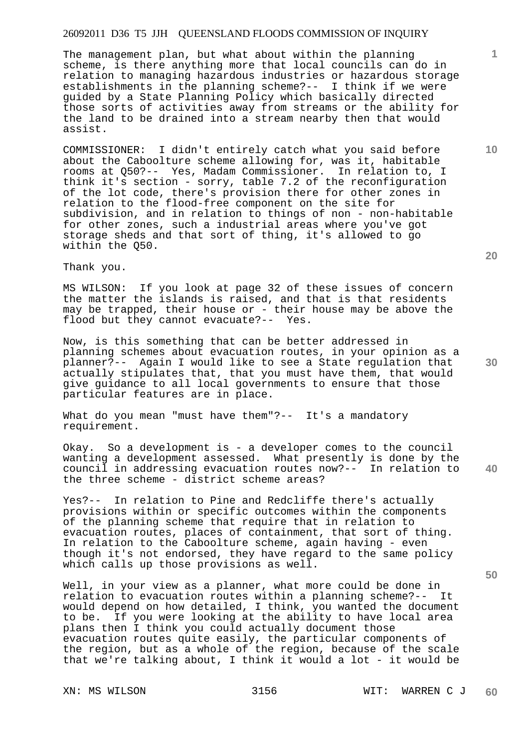The management plan, but what about within the planning scheme, is there anything more that local councils can do in relation to managing hazardous industries or hazardous storage establishments in the planning scheme?-- I think if we were guided by a State Planning Policy which basically directed those sorts of activities away from streams or the ability for the land to be drained into a stream nearby then that would assist.

COMMISSIONER: I didn't entirely catch what you said before about the Caboolture scheme allowing for, was it, habitable rooms at Q50?-- Yes, Madam Commissioner. In relation to, I think it's section - sorry, table 7.2 of the reconfiguration of the lot code, there's provision there for other zones in relation to the flood-free component on the site for subdivision, and in relation to things of non - non-habitable for other zones, such a industrial areas where you've got storage sheds and that sort of thing, it's allowed to go within the Q50.

Thank you.

MS WILSON: If you look at page 32 of these issues of concern the matter the islands is raised, and that is that residents may be trapped, their house or - their house may be above the flood but they cannot evacuate?-- Yes.

Now, is this something that can be better addressed in planning schemes about evacuation routes, in your opinion as a planner?-- Again I would like to see a State regulation that actually stipulates that, that you must have them, that would give guidance to all local governments to ensure that those particular features are in place.

What do you mean "must have them"?-- It's a mandatory requirement.

**40**  Okay. So a development is - a developer comes to the council wanting a development assessed. What presently is done by the council in addressing evacuation routes now?-- In relation to the three scheme - district scheme areas?

Yes?-- In relation to Pine and Redcliffe there's actually provisions within or specific outcomes within the components of the planning scheme that require that in relation to evacuation routes, places of containment, that sort of thing. In relation to the Caboolture scheme, again having - even though it's not endorsed, they have regard to the same policy which calls up those provisions as well.

Well, in your view as a planner, what more could be done in relation to evacuation routes within a planning scheme?-- It would depend on how detailed, I think, you wanted the document to be. If you were looking at the ability to have local area plans then I think you could actually document those evacuation routes quite easily, the particular components of the region, but as a whole of the region, because of the scale that we're talking about, I think it would a lot - it would be

**20** 

**50** 

**30** 

**10**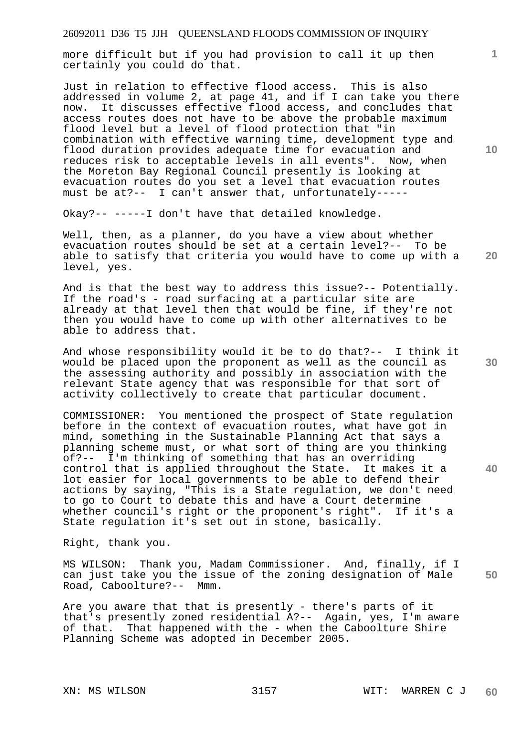more difficult but if you had provision to call it up then certainly you could do that.

Just in relation to effective flood access. This is also addressed in volume 2, at page 41, and if I can take you there now. It discusses effective flood access, and concludes that access routes does not have to be above the probable maximum flood level but a level of flood protection that "in combination with effective warning time, development type and flood duration provides adequate time for evacuation and reduces risk to acceptable levels in all events". Now, when the Moreton Bay Regional Council presently is looking at evacuation routes do you set a level that evacuation routes must be at?-- I can't answer that, unfortunately-----

Okay?-- -----I don't have that detailed knowledge.

Well, then, as a planner, do you have a view about whether evacuation routes should be set at a certain level?-- To be able to satisfy that criteria you would have to come up with a level, yes.

And is that the best way to address this issue?-- Potentially. If the road's - road surfacing at a particular site are already at that level then that would be fine, if they're not then you would have to come up with other alternatives to be able to address that.

And whose responsibility would it be to do that?-- I think it would be placed upon the proponent as well as the council as the assessing authority and possibly in association with the relevant State agency that was responsible for that sort of activity collectively to create that particular document.

COMMISSIONER: You mentioned the prospect of State regulation before in the context of evacuation routes, what have got in mind, something in the Sustainable Planning Act that says a planning scheme must, or what sort of thing are you thinking of?-- I'm thinking of something that has an overriding control that is applied throughout the State. It makes it a lot easier for local governments to be able to defend their actions by saying, "This is a State regulation, we don't need to go to Court to debate this and have a Court determine whether council's right or the proponent's right". If it's a State regulation it's set out in stone, basically.

Right, thank you.

**50**  MS WILSON: Thank you, Madam Commissioner. And, finally, if I can just take you the issue of the zoning designation of Male Road, Caboolture?-- Mmm.

Are you aware that that is presently - there's parts of it that's presently zoned residential A?-- Again, yes, I'm aware of that. That happened with the - when the Caboolture Shire Planning Scheme was adopted in December 2005.

**10** 

**1**

**30** 

**40**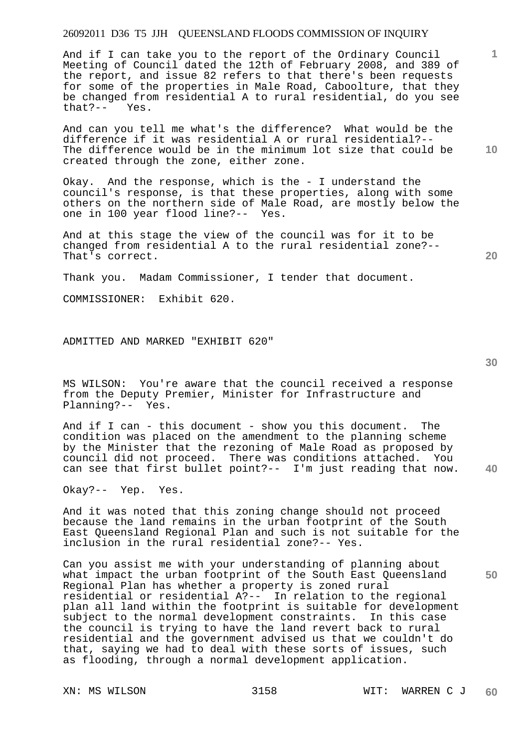And if I can take you to the report of the Ordinary Council Meeting of Council dated the 12th of February 2008, and 389 of the report, and issue 82 refers to that there's been requests for some of the properties in Male Road, Caboolture, that they be changed from residential A to rural residential, do you see  $that? --$ 

And can you tell me what's the difference? What would be the difference if it was residential A or rural residential?-- The difference would be in the minimum lot size that could be created through the zone, either zone.

Okay. And the response, which is the - I understand the council's response, is that these properties, along with some others on the northern side of Male Road, are mostly below the one in 100 year flood line?-- Yes.

And at this stage the view of the council was for it to be changed from residential A to the rural residential zone?-- That's correct.

Thank you. Madam Commissioner, I tender that document.

COMMISSIONER: Exhibit 620.

ADMITTED AND MARKED "EXHIBIT 620"

MS WILSON: You're aware that the council received a response from the Deputy Premier, Minister for Infrastructure and Planning?-- Yes.

And if I can - this document - show you this document. The condition was placed on the amendment to the planning scheme by the Minister that the rezoning of Male Road as proposed by council did not proceed. There was conditions attached. You can see that first bullet point?-- I'm just reading that now.

Okay?-- Yep. Yes.

And it was noted that this zoning change should not proceed because the land remains in the urban footprint of the South East Queensland Regional Plan and such is not suitable for the inclusion in the rural residential zone?-- Yes.

Can you assist me with your understanding of planning about what impact the urban footprint of the South East Queensland Regional Plan has whether a property is zoned rural residential or residential A?-- In relation to the regional plan all land within the footprint is suitable for development subject to the normal development constraints. In this case the council is trying to have the land revert back to rural residential and the government advised us that we couldn't do that, saying we had to deal with these sorts of issues, such as flooding, through a normal development application.

**30** 

**20** 

**50** 

**10**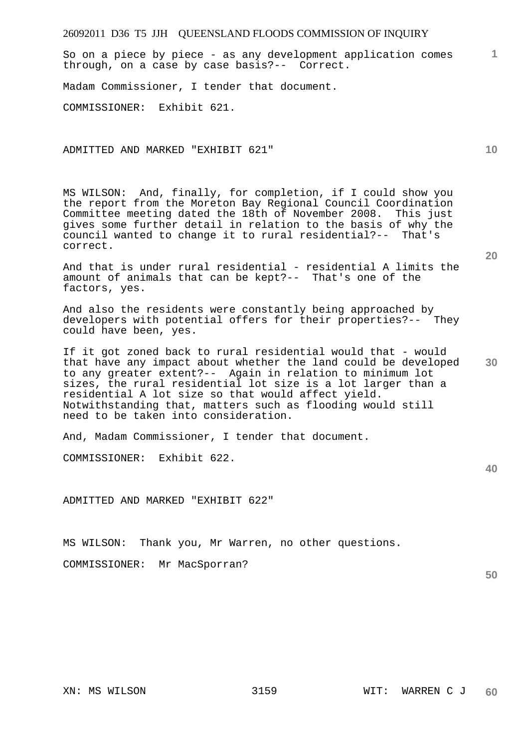**1** So on a piece by piece - as any development application comes through, on a case by case basis?-- Correct.

Madam Commissioner, I tender that document.

COMMISSIONER: Exhibit 621.

ADMITTED AND MARKED "EXHIBIT 621"

MS WILSON: And, finally, for completion, if I could show you the report from the Moreton Bay Regional Council Coordination Committee meeting dated the 18th of November 2008. This just gives some further detail in relation to the basis of why the council wanted to change it to rural residential?-- That's correct.

And that is under rural residential - residential A limits the amount of animals that can be kept?-- That's one of the factors, yes.

And also the residents were constantly being approached by developers with potential offers for their properties?-- They could have been, yes.

If it got zoned back to rural residential would that - would that have any impact about whether the land could be developed to any greater extent?-- Again in relation to minimum lot sizes, the rural residential lot size is a lot larger than a residential A lot size so that would affect yield. Notwithstanding that, matters such as flooding would still need to be taken into consideration.

And, Madam Commissioner, I tender that document.

COMMISSIONER: Exhibit 622.

ADMITTED AND MARKED "EXHIBIT 622"

MS WILSON: Thank you, Mr Warren, no other questions.

COMMISSIONER: Mr MacSporran?

**50** 

**20** 

**30**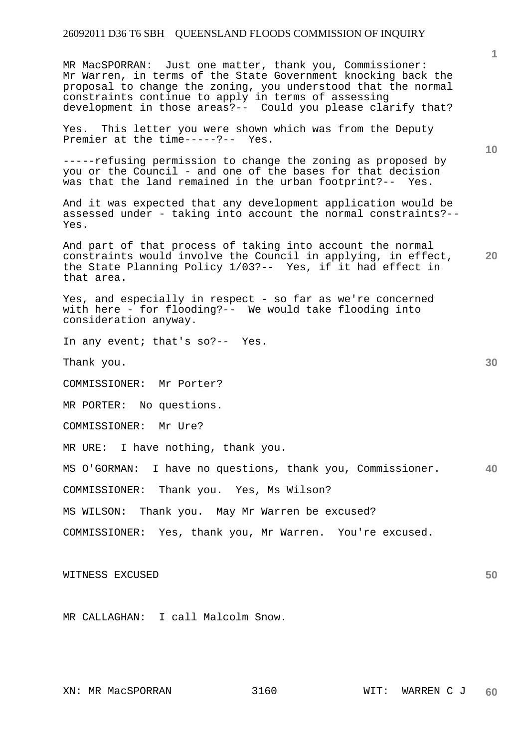MR MacSPORRAN: Just one matter, thank you, Commissioner: Mr Warren, in terms of the State Government knocking back the proposal to change the zoning, you understood that the normal constraints continue to apply in terms of assessing development in those areas?-- Could you please clarify that?

Yes. This letter you were shown which was from the Deputy Premier at the time-----?-- Yes.

-----refusing permission to change the zoning as proposed by you or the Council - and one of the bases for that decision was that the land remained in the urban footprint?-- Yes.

And it was expected that any development application would be assessed under - taking into account the normal constraints?-- Yes.

And part of that process of taking into account the normal constraints would involve the Council in applying, in effect, the State Planning Policy 1/03?-- Yes, if it had effect in that area.

Yes, and especially in respect - so far as we're concerned with here - for flooding?-- We would take flooding into consideration anyway.

In any event; that's so?-- Yes.

Thank you.

COMMISSIONER: Mr Porter?

MR PORTER: No questions.

COMMISSIONER: Mr Ure?

MR URE: I have nothing, thank you.

**40**  MS O'GORMAN: I have no questions, thank you, Commissioner.

COMMISSIONER: Thank you. Yes, Ms Wilson?

MS WILSON: Thank you. May Mr Warren be excused?

COMMISSIONER: Yes, thank you, Mr Warren. You're excused.

WITNESS EXCUSED

MR CALLAGHAN: I call Malcolm Snow.

**10** 

**1**

**20**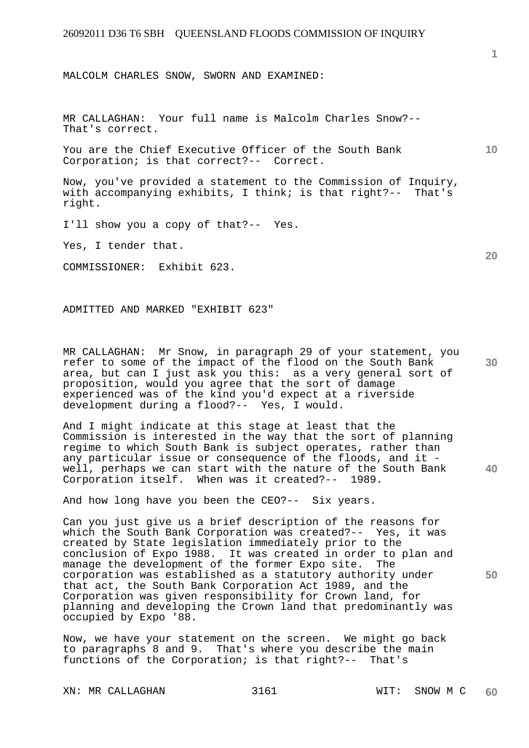MALCOLM CHARLES SNOW, SWORN AND EXAMINED:

MR CALLAGHAN: Your full name is Malcolm Charles Snow?-- That's correct.

You are the Chief Executive Officer of the South Bank Corporation; is that correct?-- Correct.

Now, you've provided a statement to the Commission of Inquiry, with accompanying exhibits, I think; is that right?-- That's right.

I'll show you a copy of that?-- Yes.

Yes, I tender that.

COMMISSIONER: Exhibit 623.

ADMITTED AND MARKED "EXHIBIT 623"

**30**  MR CALLAGHAN: Mr Snow, in paragraph 29 of your statement, you refer to some of the impact of the flood on the South Bank area, but can I just ask you this: as a very general sort of proposition, would you agree that the sort of damage experienced was of the kind you'd expect at a riverside development during a flood?-- Yes, I would.

**40**  And I might indicate at this stage at least that the Commission is interested in the way that the sort of planning regime to which South Bank is subject operates, rather than any particular issue or consequence of the floods, and it well, perhaps we can start with the nature of the South Bank<br>Corporation itself. When was it created?-- 1989. Corporation itself. When was it created?--

And how long have you been the CEO?-- Six years.

Can you just give us a brief description of the reasons for which the South Bank Corporation was created?-- Yes, it was created by State legislation immediately prior to the conclusion of Expo 1988. It was created in order to plan and manage the development of the former Expo site. The corporation was established as a statutory authority under that act, the South Bank Corporation Act 1989, and the Corporation was given responsibility for Crown land, for planning and developing the Crown land that predominantly was occupied by Expo '88.

Now, we have your statement on the screen. We might go back to paragraphs 8 and 9. That's where you describe the main functions of the Corporation; is that right?-- That's

XN: MR CALLAGHAN 3161 3161 WIT: SNOW M C

**1**

**20** 

**10**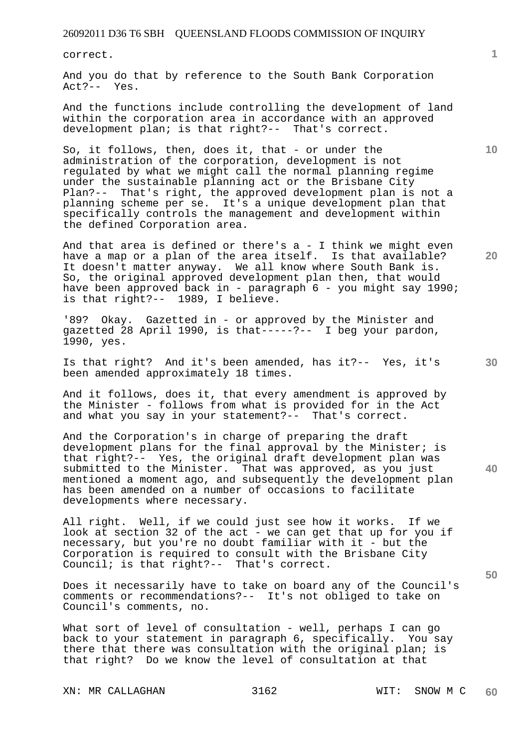correct.

And you do that by reference to the South Bank Corporation Act?-- Yes.

And the functions include controlling the development of land within the corporation area in accordance with an approved development plan; is that right?-- That's correct.

So, it follows, then, does it, that - or under the administration of the corporation, development is not regulated by what we might call the normal planning regime under the sustainable planning act or the Brisbane City Plan?-- That's right, the approved development plan is not a planning scheme per se. It's a unique development plan that specifically controls the management and development within the defined Corporation area.

And that area is defined or there's  $a - I$  think we might even have a map or a plan of the area itself. Is that available? It doesn't matter anyway. We all know where South Bank is. So, the original approved development plan then, that would have been approved back in - paragraph 6 - you might say 1990; is that right?-- 1989, I believe.

'89? Okay. Gazetted in - or approved by the Minister and gazetted 28 April 1990, is that-----?-- I beg your pardon, 1990, yes.

Is that right? And it's been amended, has it?-- Yes, it's been amended approximately 18 times.

And it follows, does it, that every amendment is approved by the Minister - follows from what is provided for in the Act and what you say in your statement?-- That's correct.

And the Corporation's in charge of preparing the draft development plans for the final approval by the Minister; is that right?-- Yes, the original draft development plan was submitted to the Minister. That was approved, as you just mentioned a moment ago, and subsequently the development plan has been amended on a number of occasions to facilitate developments where necessary.

All right. Well, if we could just see how it works. If we look at section 32 of the act - we can get that up for you if necessary, but you're no doubt familiar with it - but the Corporation is required to consult with the Brisbane City Council; is that right?-- That's correct.

Does it necessarily have to take on board any of the Council's comments or recommendations?-- It's not obliged to take on Council's comments, no.

What sort of level of consultation - well, perhaps I can go back to your statement in paragraph 6, specifically. You say there that there was consultation with the original plan; is that right? Do we know the level of consultation at that

XN: MR CALLAGHAN 3162 WIT: SNOW M C

**1**

**20** 

**10** 

**30** 

**50**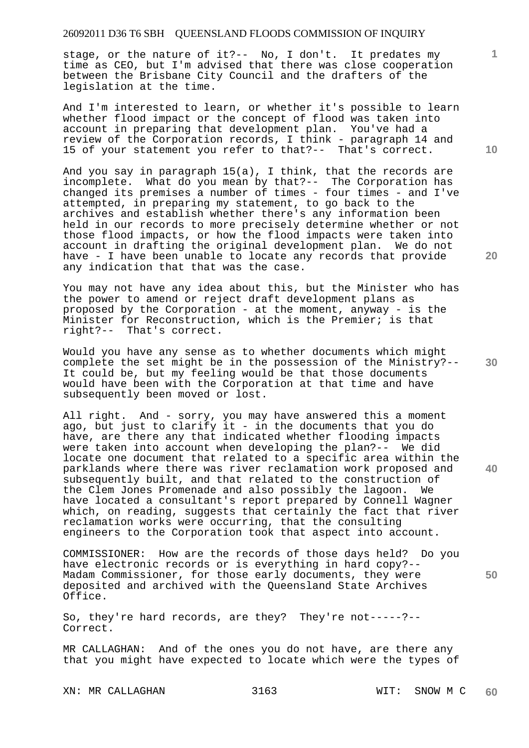stage, or the nature of it?-- No, I don't. It predates my time as CEO, but I'm advised that there was close cooperation between the Brisbane City Council and the drafters of the legislation at the time.

And I'm interested to learn, or whether it's possible to learn whether flood impact or the concept of flood was taken into account in preparing that development plan. You've had a review of the Corporation records, I think - paragraph 14 and 15 of your statement you refer to that?-- That's correct.

And you say in paragraph 15(a), I think, that the records are incomplete. What do you mean by that?-- The Corporation has changed its premises a number of times - four times - and I've attempted, in preparing my statement, to go back to the archives and establish whether there's any information been held in our records to more precisely determine whether or not those flood impacts, or how the flood impacts were taken into account in drafting the original development plan. We do not have - I have been unable to locate any records that provide any indication that that was the case.

You may not have any idea about this, but the Minister who has the power to amend or reject draft development plans as proposed by the Corporation - at the moment, anyway - is the Minister for Reconstruction, which is the Premier; is that right?-- That's correct.

Would you have any sense as to whether documents which might complete the set might be in the possession of the Ministry?-- It could be, but my feeling would be that those documents would have been with the Corporation at that time and have subsequently been moved or lost.

All right. And - sorry, you may have answered this a moment ago, but just to clarify it - in the documents that you do have, are there any that indicated whether flooding impacts were taken into account when developing the plan?-- We did locate one document that related to a specific area within the parklands where there was river reclamation work proposed and subsequently built, and that related to the construction of the Clem Jones Promenade and also possibly the lagoon. We have located a consultant's report prepared by Connell Wagner which, on reading, suggests that certainly the fact that river reclamation works were occurring, that the consulting engineers to the Corporation took that aspect into account.

COMMISSIONER: How are the records of those days held? Do you have electronic records or is everything in hard copy?-- Madam Commissioner, for those early documents, they were deposited and archived with the Queensland State Archives Office.

So, they're hard records, are they? They're not-----?-- Correct.

MR CALLAGHAN: And of the ones you do not have, are there any that you might have expected to locate which were the types of

XN: MR CALLAGHAN 3163 WIT: SNOW M C

**10** 

**1**

**20** 

**30** 

**40**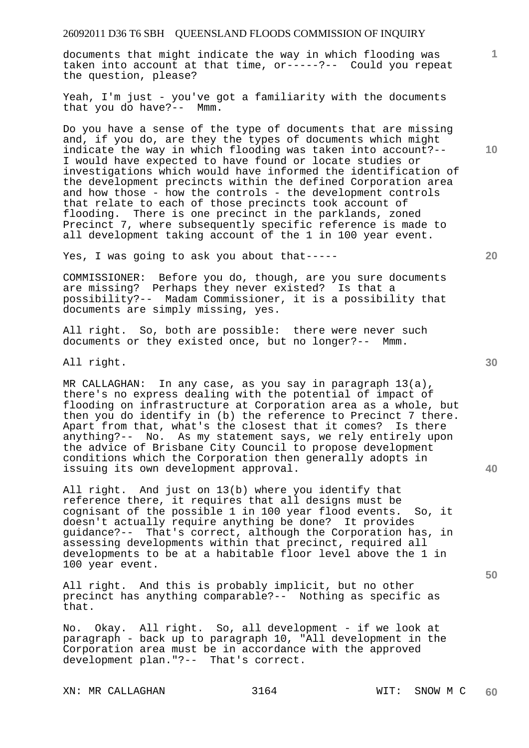documents that might indicate the way in which flooding was taken into account at that time, or-----?-- Could you repeat the question, please?

Yeah, I'm just - you've got a familiarity with the documents that you do have?-- Mmm.

Do you have a sense of the type of documents that are missing and, if you do, are they the types of documents which might indicate the way in which flooding was taken into account?-- I would have expected to have found or locate studies or investigations which would have informed the identification of the development precincts within the defined Corporation area and how those - how the controls - the development controls that relate to each of those precincts took account of flooding. There is one precinct in the parklands, zoned Precinct 7, where subsequently specific reference is made to all development taking account of the 1 in 100 year event.

Yes, I was going to ask you about that-----

COMMISSIONER: Before you do, though, are you sure documents are missing? Perhaps they never existed? Is that a possibility?-- Madam Commissioner, it is a possibility that documents are simply missing, yes.

All right. So, both are possible: there were never such documents or they existed once, but no longer?-- Mmm.

All right.

MR CALLAGHAN: In any case, as you say in paragraph 13(a), there's no express dealing with the potential of impact of flooding on infrastructure at Corporation area as a whole, but then you do identify in (b) the reference to Precinct 7 there. Apart from that, what's the closest that it comes? Is there anything?-- No. As my statement says, we rely entirely upon the advice of Brisbane City Council to propose development conditions which the Corporation then generally adopts in issuing its own development approval.

All right. And just on 13(b) where you identify that reference there, it requires that all designs must be cognisant of the possible 1 in 100 year flood events. So, it doesn't actually require anything be done? It provides guidance?-- That's correct, although the Corporation has, in assessing developments within that precinct, required all developments to be at a habitable floor level above the 1 in 100 year event.

All right. And this is probably implicit, but no other precinct has anything comparable?-- Nothing as specific as that.

No. Okay. All right. So, all development - if we look at paragraph - back up to paragraph 10, "All development in the Corporation area must be in accordance with the approved development plan."?-- That's correct.

XN: MR CALLAGHAN 3164 WIT: SNOW M C

**10** 

**1**

**20** 

**40**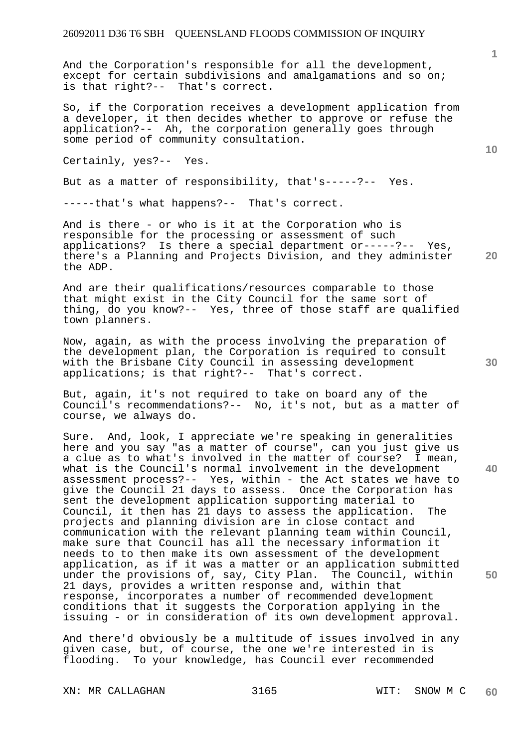And the Corporation's responsible for all the development, except for certain subdivisions and amalgamations and so on; is that right?-- That's correct.

So, if the Corporation receives a development application from a developer, it then decides whether to approve or refuse the application?-- Ah, the corporation generally goes through some period of community consultation.

Certainly, yes?-- Yes.

But as a matter of responsibility, that's-----?-- Yes.

-----that's what happens?-- That's correct.

**20**  And is there - or who is it at the Corporation who is responsible for the processing or assessment of such applications? Is there a special department or-----?-- Yes, there's a Planning and Projects Division, and they administer the ADP.

And are their qualifications/resources comparable to those that might exist in the City Council for the same sort of thing, do you know?-- Yes, three of those staff are qualified town planners.

Now, again, as with the process involving the preparation of the development plan, the Corporation is required to consult with the Brisbane City Council in assessing development applications; is that right?-- That's correct.

But, again, it's not required to take on board any of the Council's recommendations?-- No, it's not, but as a matter of course, we always do.

Sure. And, look, I appreciate we're speaking in generalities here and you say "as a matter of course", can you just give us a clue as to what's involved in the matter of course? I mean, what is the Council's normal involvement in the development assessment process?-- Yes, within - the Act states we have to give the Council 21 days to assess. Once the Corporation has sent the development application supporting material to Council, it then has 21 days to assess the application. The projects and planning division are in close contact and communication with the relevant planning team within Council, make sure that Council has all the necessary information it needs to to then make its own assessment of the development application, as if it was a matter or an application submitted under the provisions of, say, City Plan. The Council, within 21 days, provides a written response and, within that response, incorporates a number of recommended development conditions that it suggests the Corporation applying in the issuing - or in consideration of its own development approval.

And there'd obviously be a multitude of issues involved in any given case, but, of course, the one we're interested in is flooding. To your knowledge, has Council ever recommended

XN: MR CALLAGHAN 3165 WIT: SNOW M C

**1**

**10** 

**30** 

**40**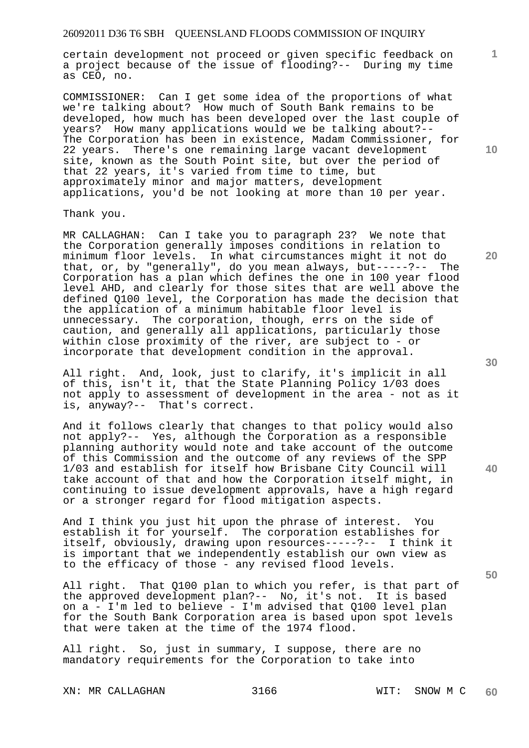certain development not proceed or given specific feedback on a project because of the issue of flooding?-- During my time as CEO, no.

COMMISSIONER: Can I get some idea of the proportions of what we're talking about? How much of South Bank remains to be developed, how much has been developed over the last couple of years? How many applications would we be talking about?-- The Corporation has been in existence, Madam Commissioner, for 22 years. There's one remaining large vacant development site, known as the South Point site, but over the period of that 22 years, it's varied from time to time, but approximately minor and major matters, development applications, you'd be not looking at more than 10 per year.

Thank you.

MR CALLAGHAN: Can I take you to paragraph 23? We note that the Corporation generally imposes conditions in relation to minimum floor levels. In what circumstances might it not do<br>that, or, by "generally", do you mean always, but-----?-- The that, or, by "generally", do you mean always, but-----?--Corporation has a plan which defines the one in 100 year flood level AHD, and clearly for those sites that are well above the defined Q100 level, the Corporation has made the decision that the application of a minimum habitable floor level is unnecessary. The corporation, though, errs on the side of caution, and generally all applications, particularly those within close proximity of the river, are subject to - or incorporate that development condition in the approval.

All right. And, look, just to clarify, it's implicit in all of this, isn't it, that the State Planning Policy 1/03 does not apply to assessment of development in the area - not as it is, anyway?-- That's correct.

And it follows clearly that changes to that policy would also not apply?-- Yes, although the Corporation as a responsible planning authority would note and take account of the outcome of this Commission and the outcome of any reviews of the SPP 1/03 and establish for itself how Brisbane City Council will take account of that and how the Corporation itself might, in continuing to issue development approvals, have a high regard or a stronger regard for flood mitigation aspects.

And I think you just hit upon the phrase of interest. You establish it for yourself. The corporation establishes for itself, obviously, drawing upon resources-----?-- I think it is important that we independently establish our own view as to the efficacy of those - any revised flood levels.

All right. That Q100 plan to which you refer, is that part of the approved development plan?-- No, it's not. It is based on a - I'm led to believe - I'm advised that Q100 level plan for the South Bank Corporation area is based upon spot levels that were taken at the time of the 1974 flood.

All right. So, just in summary, I suppose, there are no mandatory requirements for the Corporation to take into

XN: MR CALLAGHAN 3166 WIT: SNOW M C

**10** 

**1**

**30** 

**20**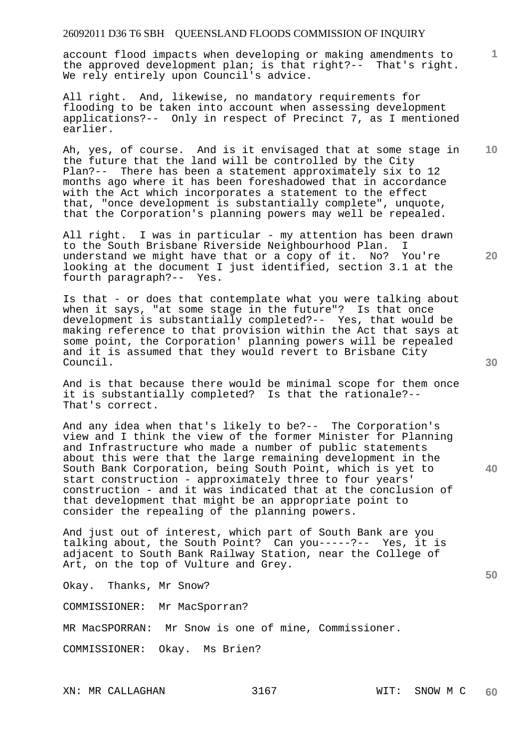account flood impacts when developing or making amendments to the approved development plan; is that right?-- That's right. We rely entirely upon Council's advice.

All right. And, likewise, no mandatory requirements for flooding to be taken into account when assessing development applications?-- Only in respect of Precinct 7, as I mentioned earlier.

**10**  Ah, yes, of course. And is it envisaged that at some stage in the future that the land will be controlled by the City Plan?-- There has been a statement approximately six to 12 months ago where it has been foreshadowed that in accordance with the Act which incorporates a statement to the effect that, "once development is substantially complete", unquote, that the Corporation's planning powers may well be repealed.

All right. I was in particular - my attention has been drawn to the South Brisbane Riverside Neighbourhood Plan. I understand we might have that or a copy of it. No? You're looking at the document I just identified, section 3.1 at the fourth paragraph?-- Yes.

Is that - or does that contemplate what you were talking about when it says, "at some stage in the future"? Is that once development is substantially completed?-- Yes, that would be making reference to that provision within the Act that says at some point, the Corporation' planning powers will be repealed and it is assumed that they would revert to Brisbane City Council.

And is that because there would be minimal scope for them once it is substantially completed? Is that the rationale?-- That's correct.

And any idea when that's likely to be?-- The Corporation's view and I think the view of the former Minister for Planning and Infrastructure who made a number of public statements about this were that the large remaining development in the South Bank Corporation, being South Point, which is yet to start construction - approximately three to four years' construction - and it was indicated that at the conclusion of that development that might be an appropriate point to consider the repealing of the planning powers.

And just out of interest, which part of South Bank are you talking about, the South Point? Can you-----?-- Yes, it is adjacent to South Bank Railway Station, near the College of Art, on the top of Vulture and Grey.

Okay. Thanks, Mr Snow?

COMMISSIONER: Mr MacSporran?

MR MacSPORRAN: Mr Snow is one of mine, Commissioner.

COMMISSIONER: Okay. Ms Brien?

**30** 

**20** 

**1**

**40**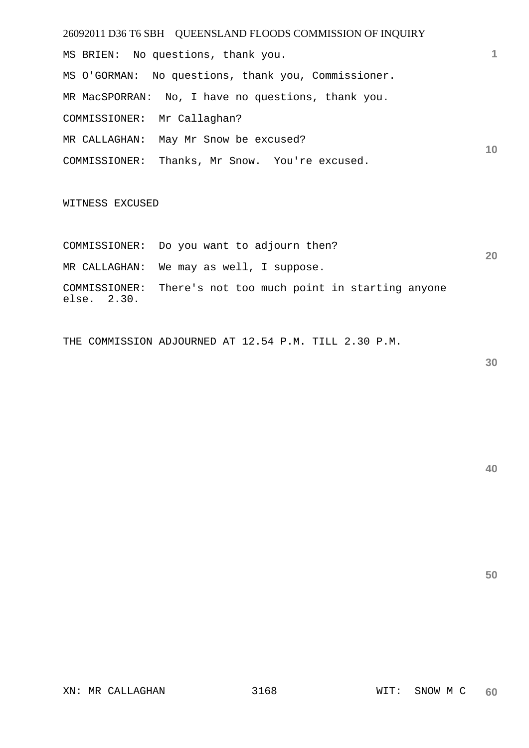26092011 D36 T6 SBH QUEENSLAND FLOODS COMMISSION OF INQUIRY **1 10**  MS BRIEN: No questions, thank you. MS O'GORMAN: No questions, thank you, Commissioner. MR MacSPORRAN: No, I have no questions, thank you. COMMISSIONER: Mr Callaghan? MR CALLAGHAN: May Mr Snow be excused? COMMISSIONER: Thanks, Mr Snow. You're excused. WITNESS EXCUSED

COMMISSIONER: Do you want to adjourn then? MR CALLAGHAN: We may as well, I suppose. COMMISSIONER: There's not too much point in starting anyone else. 2.30.

THE COMMISSION ADJOURNED AT 12.54 P.M. TILL 2.30 P.M.

**30** 

**20** 

**50** 

XN: MR CALLAGHAN 3168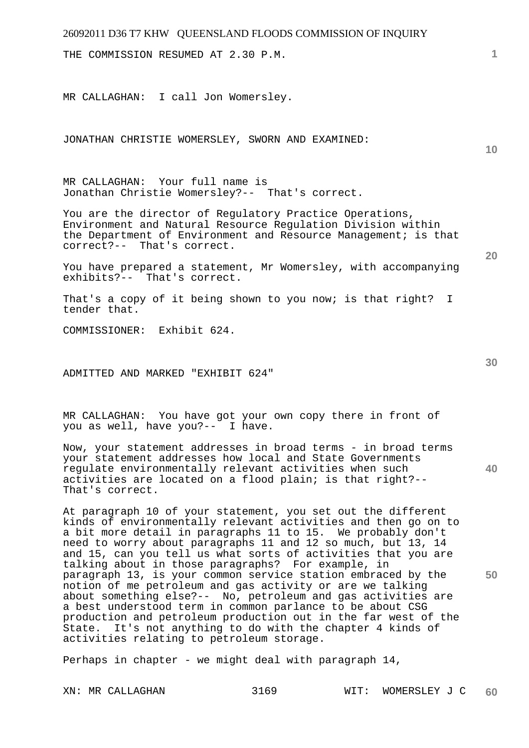THE COMMISSION RESUMED AT 2.30 P.M.

MR CALLAGHAN: I call Jon Womersley.

JONATHAN CHRISTIE WOMERSLEY, SWORN AND EXAMINED:

**1**

**10** 

MR CALLAGHAN: Your full name is Jonathan Christie Womersley?-- That's correct.

You are the director of Regulatory Practice Operations, Environment and Natural Resource Regulation Division within the Department of Environment and Resource Management; is that correct?-- That's correct.

You have prepared a statement, Mr Womersley, with accompanying exhibits?-- That's correct.

That's a copy of it being shown to you now; is that right? I tender that.

COMMISSIONER: Exhibit 624.

ADMITTED AND MARKED "EXHIBIT 624"

MR CALLAGHAN: You have got your own copy there in front of you as well, have you?-- I have.

**40**  Now, your statement addresses in broad terms - in broad terms your statement addresses how local and State Governments regulate environmentally relevant activities when such activities are located on a flood plain; is that right?-- That's correct.

At paragraph 10 of your statement, you set out the different kinds of environmentally relevant activities and then go on to a bit more detail in paragraphs 11 to 15. We probably don't need to worry about paragraphs 11 and 12 so much, but 13, 14 and 15, can you tell us what sorts of activities that you are talking about in those paragraphs? For example, in paragraph 13, is your common service station embraced by the notion of me petroleum and gas activity or are we talking about something else?-- No, petroleum and gas activities are a best understood term in common parlance to be about CSG production and petroleum production out in the far west of the State. It's not anything to do with the chapter 4 kinds of activities relating to petroleum storage.

Perhaps in chapter - we might deal with paragraph 14,

**30** 

**50**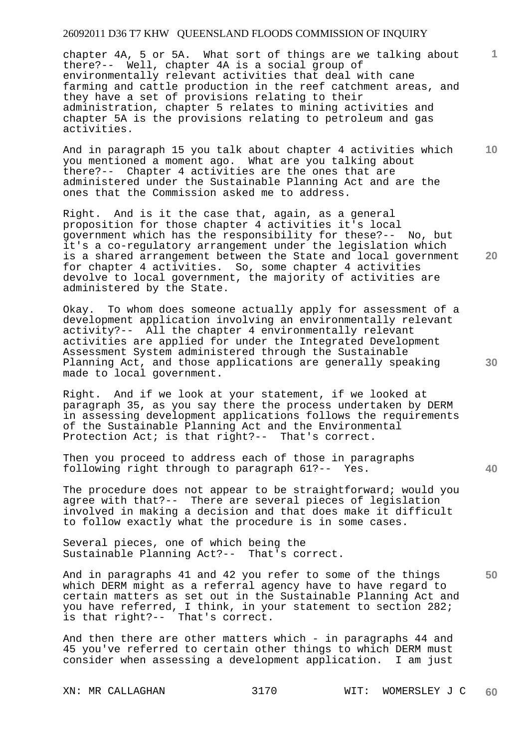chapter 4A, 5 or 5A. What sort of things are we talking about there?-- Well, chapter 4A is a social group of environmentally relevant activities that deal with cane farming and cattle production in the reef catchment areas, and they have a set of provisions relating to their administration, chapter 5 relates to mining activities and chapter 5A is the provisions relating to petroleum and gas activities.

And in paragraph 15 you talk about chapter 4 activities which you mentioned a moment ago. What are you talking about there?-- Chapter 4 activities are the ones that are administered under the Sustainable Planning Act and are the ones that the Commission asked me to address.

Right. And is it the case that, again, as a general proposition for those chapter 4 activities it's local government which has the responsibility for these?-- No, but it's a co-regulatory arrangement under the legislation which is a shared arrangement between the State and local government for chapter 4 activities. So, some chapter 4 activities devolve to local government, the majority of activities are administered by the State.

Okay. To whom does someone actually apply for assessment of a development application involving an environmentally relevant activity?-- All the chapter 4 environmentally relevant activities are applied for under the Integrated Development Assessment System administered through the Sustainable Planning Act, and those applications are generally speaking made to local government.

Right. And if we look at your statement, if we looked at paragraph 35, as you say there the process undertaken by DERM in assessing development applications follows the requirements of the Sustainable Planning Act and the Environmental Protection Act; is that right?-- That's correct.

Then you proceed to address each of those in paragraphs following right through to paragraph 61?-- Yes.

The procedure does not appear to be straightforward; would you agree with that?-- There are several pieces of legislation involved in making a decision and that does make it difficult to follow exactly what the procedure is in some cases.

Several pieces, one of which being the Sustainable Planning Act?-- That's correct.

**50**  And in paragraphs 41 and 42 you refer to some of the things which DERM might as a referral agency have to have regard to certain matters as set out in the Sustainable Planning Act and you have referred, I think, in your statement to section 282; is that right?-- That's correct.

And then there are other matters which - in paragraphs 44 and 45 you've referred to certain other things to which DERM must consider when assessing a development application. I am just

XN: MR CALLAGHAN 3170 WIT: WOMERSLEY J C **60** 

**30** 

**20** 

**40** 

**10**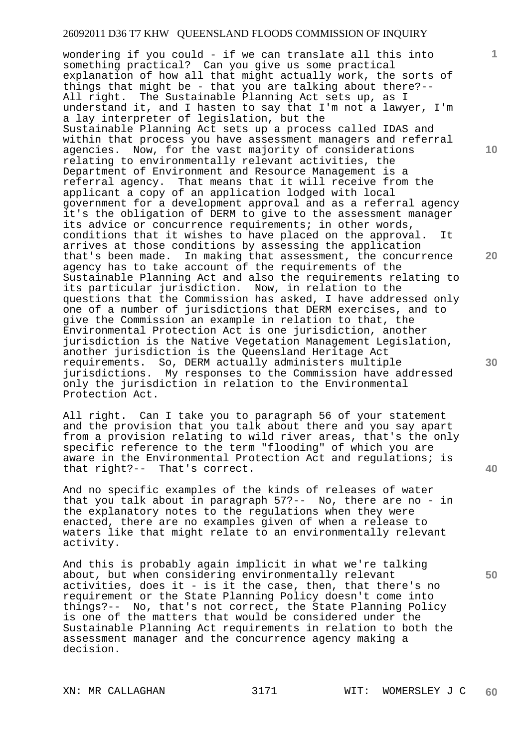wondering if you could - if we can translate all this into something practical? Can you give us some practical explanation of how all that might actually work, the sorts of things that might be - that you are talking about there?-- All right. The Sustainable Planning Act sets up, as I understand it, and I hasten to say that I'm not a lawyer, I'm a lay interpreter of legislation, but the Sustainable Planning Act sets up a process called IDAS and within that process you have assessment managers and referral agencies. Now, for the vast majority of considerations relating to environmentally relevant activities, the Department of Environment and Resource Management is a referral agency. That means that it will receive from the applicant a copy of an application lodged with local government for a development approval and as a referral agency it's the obligation of DERM to give to the assessment manager its advice or concurrence requirements; in other words, conditions that it wishes to have placed on the approval. It arrives at those conditions by assessing the application that's been made. In making that assessment, the concurrence agency has to take account of the requirements of the Sustainable Planning Act and also the requirements relating to its particular jurisdiction. Now, in relation to the questions that the Commission has asked, I have addressed only one of a number of jurisdictions that DERM exercises, and to give the Commission an example in relation to that, the Environmental Protection Act is one jurisdiction, another jurisdiction is the Native Vegetation Management Legislation, another jurisdiction is the Queensland Heritage Act requirements. So, DERM actually administers multiple jurisdictions. My responses to the Commission have addressed only the jurisdiction in relation to the Environmental Protection Act.

All right. Can I take you to paragraph 56 of your statement and the provision that you talk about there and you say apart from a provision relating to wild river areas, that's the only specific reference to the term "flooding" of which you are aware in the Environmental Protection Act and regulations; is that right?-- That's correct.

And no specific examples of the kinds of releases of water that you talk about in paragraph 57?-- No, there are no - in the explanatory notes to the regulations when they were enacted, there are no examples given of when a release to waters like that might relate to an environmentally relevant activity.

And this is probably again implicit in what we're talking about, but when considering environmentally relevant activities, does it - is it the case, then, that there's no requirement or the State Planning Policy doesn't come into things?-- No, that's not correct, the State Planning Policy is one of the matters that would be considered under the Sustainable Planning Act requirements in relation to both the assessment manager and the concurrence agency making a decision.

**10** 

**1**

**20** 

**30** 

**40**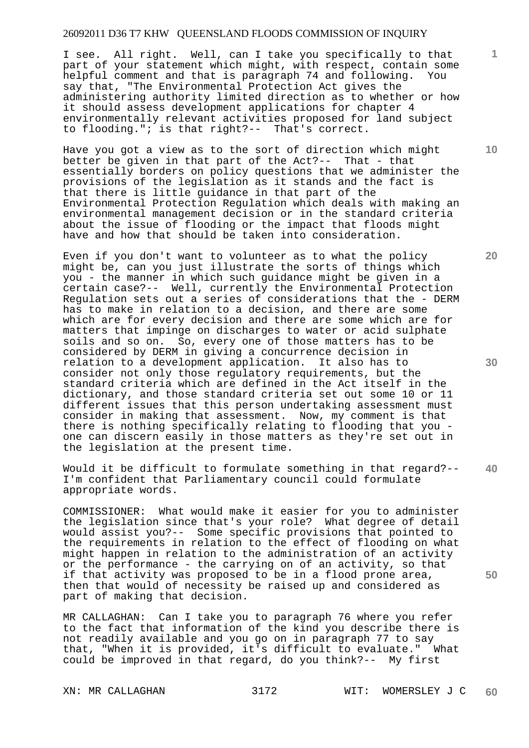I see. All right. Well, can I take you specifically to that part of your statement which might, with respect, contain some helpful comment and that is paragraph 74 and following. You say that, "The Environmental Protection Act gives the administering authority limited direction as to whether or how it should assess development applications for chapter 4 environmentally relevant activities proposed for land subject to flooding."; is that right?-- That's correct.

Have you got a view as to the sort of direction which might better be given in that part of the Act?-- That - that essentially borders on policy questions that we administer the provisions of the legislation as it stands and the fact is that there is little guidance in that part of the Environmental Protection Regulation which deals with making an environmental management decision or in the standard criteria about the issue of flooding or the impact that floods might have and how that should be taken into consideration.

Even if you don't want to volunteer as to what the policy might be, can you just illustrate the sorts of things which you - the manner in which such guidance might be given in a certain case?-- Well, currently the Environmental Protection Regulation sets out a series of considerations that the - DERM has to make in relation to a decision, and there are some which are for every decision and there are some which are for matters that impinge on discharges to water or acid sulphate soils and so on. So, every one of those matters has to be considered by DERM in giving a concurrence decision in relation to a development application. It also has to consider not only those regulatory requirements, but the standard criteria which are defined in the Act itself in the dictionary, and those standard criteria set out some 10 or 11 different issues that this person undertaking assessment must consider in making that assessment. Now, my comment is that there is nothing specifically relating to flooding that you one can discern easily in those matters as they're set out in the legislation at the present time.

**40**  Would it be difficult to formulate something in that regard?-- I'm confident that Parliamentary council could formulate appropriate words.

COMMISSIONER: What would make it easier for you to administer the legislation since that's your role? What degree of detail would assist you?-- Some specific provisions that pointed to the requirements in relation to the effect of flooding on what might happen in relation to the administration of an activity or the performance - the carrying on of an activity, so that if that activity was proposed to be in a flood prone area, then that would of necessity be raised up and considered as part of making that decision.

MR CALLAGHAN: Can I take you to paragraph 76 where you refer to the fact that information of the kind you describe there is not readily available and you go on in paragraph 77 to say that, "When it is provided, it's difficult to evaluate." What could be improved in that regard, do you think?-- My first

**10** 

**1**

**20**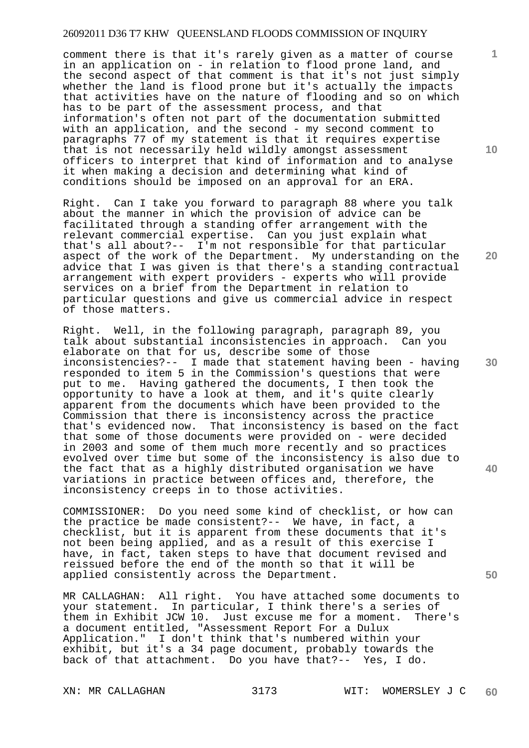comment there is that it's rarely given as a matter of course in an application on - in relation to flood prone land, and the second aspect of that comment is that it's not just simply whether the land is flood prone but it's actually the impacts that activities have on the nature of flooding and so on which has to be part of the assessment process, and that information's often not part of the documentation submitted with an application, and the second - my second comment to paragraphs 77 of my statement is that it requires expertise that is not necessarily held wildly amongst assessment officers to interpret that kind of information and to analyse it when making a decision and determining what kind of conditions should be imposed on an approval for an ERA.

Right. Can I take you forward to paragraph 88 where you talk about the manner in which the provision of advice can be facilitated through a standing offer arrangement with the relevant commercial expertise. Can you just explain what that's all about?-- I'm not responsible for that particular aspect of the work of the Department. My understanding on the advice that I was given is that there's a standing contractual arrangement with expert providers - experts who will provide services on a brief from the Department in relation to particular questions and give us commercial advice in respect of those matters.

Right. Well, in the following paragraph, paragraph 89, you talk about substantial inconsistencies in approach. Can you elaborate on that for us, describe some of those inconsistencies?-- I made that statement having been - having responded to item 5 in the Commission's questions that were put to me. Having gathered the documents, I then took the opportunity to have a look at them, and it's quite clearly apparent from the documents which have been provided to the Commission that there is inconsistency across the practice that's evidenced now. That inconsistency is based on the fact that some of those documents were provided on - were decided in 2003 and some of them much more recently and so practices evolved over time but some of the inconsistency is also due to the fact that as a highly distributed organisation we have variations in practice between offices and, therefore, the inconsistency creeps in to those activities.

COMMISSIONER: Do you need some kind of checklist, or how can the practice be made consistent?-- We have, in fact, a checklist, but it is apparent from these documents that it's not been being applied, and as a result of this exercise I have, in fact, taken steps to have that document revised and reissued before the end of the month so that it will be applied consistently across the Department.

MR CALLAGHAN: All right. You have attached some documents to your statement. In particular, I think there's a series of them in Exhibit JCW 10. Just excuse me for a moment. There's a document entitled, "Assessment Report For a Dulux Application." I don't think that's numbered within your exhibit, but it's a 34 page document, probably towards the back of that attachment. Do you have that?-- Yes, I do.

**10** 

**1**

**20** 

**30** 

**40**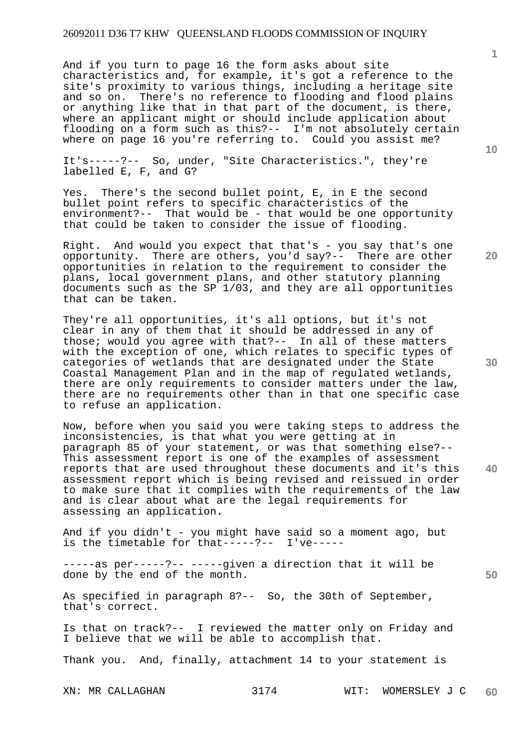And if you turn to page 16 the form asks about site characteristics and, for example, it's got a reference to the site's proximity to various things, including a heritage site and so on. There's no reference to flooding and flood plains or anything like that in that part of the document, is there, where an applicant might or should include application about flooding on a form such as this?-- I'm not absolutely certain where on page 16 you're referring to. Could you assist me?

It's-----?-- So, under, "Site Characteristics.", they're labelled E, F, and G?

Yes. There's the second bullet point, E, in E the second bullet point refers to specific characteristics of the environment?-- That would be - that would be one opportunity that could be taken to consider the issue of flooding.

Right. And would you expect that that's - you say that's one opportunity. There are others, you'd say?-- There are other opportunities in relation to the requirement to consider the plans, local government plans, and other statutory planning documents such as the SP 1/03, and they are all opportunities that can be taken.

They're all opportunities, it's all options, but it's not clear in any of them that it should be addressed in any of those; would you agree with that?-- In all of these matters with the exception of one, which relates to specific types of categories of wetlands that are designated under the State Coastal Management Plan and in the map of regulated wetlands, there are only requirements to consider matters under the law, there are no requirements other than in that one specific case to refuse an application.

Now, before when you said you were taking steps to address the inconsistencies, is that what you were getting at in paragraph 85 of your statement, or was that something else?-- This assessment report is one of the examples of assessment reports that are used throughout these documents and it's this assessment report which is being revised and reissued in order to make sure that it complies with the requirements of the law and is clear about what are the legal requirements for assessing an application.

And if you didn't - you might have said so a moment ago, but is the timetable for that-----?-- I've-----

-----as per-----?-- -----given a direction that it will be done by the end of the month.

As specified in paragraph 8?-- So, the 30th of September, that's correct.

Is that on track?-- I reviewed the matter only on Friday and I believe that we will be able to accomplish that.

Thank you. And, finally, attachment 14 to your statement is

XN: MR CALLAGHAN 3174 WIT: WOMERSLEY J C **60** 

**10** 

**1**

**20** 

**30** 

**40**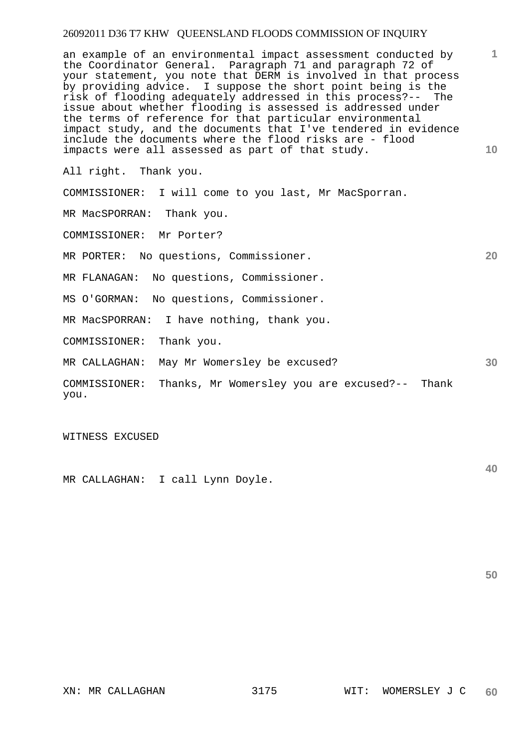**1 10**  an example of an environmental impact assessment conducted by the Coordinator General. Paragraph 71 and paragraph 72 of your statement, you note that DERM is involved in that process by providing advice. I suppose the short point being is the risk of flooding adequately addressed in this process?-- The issue about whether flooding is assessed is addressed under the terms of reference for that particular environmental impact study, and the documents that I've tendered in evidence include the documents where the flood risks are - flood impacts were all assessed as part of that study.

All right. Thank you.

COMMISSIONER: I will come to you last, Mr MacSporran.

MR MacSPORRAN: Thank you.

COMMISSIONER: Mr Porter?

MR PORTER: No questions, Commissioner.

MR FLANAGAN: No questions, Commissioner.

MS O'GORMAN: No questions, Commissioner.

MR MacSPORRAN: I have nothing, thank you.

COMMISSIONER: Thank you.

MR CALLAGHAN: May Mr Womersley be excused?

COMMISSIONER: Thanks, Mr Womersley you are excused?-- Thank you.

WITNESS EXCUSED

MR CALLAGHAN: I call Lynn Doyle.

**40** 

**50** 

**30**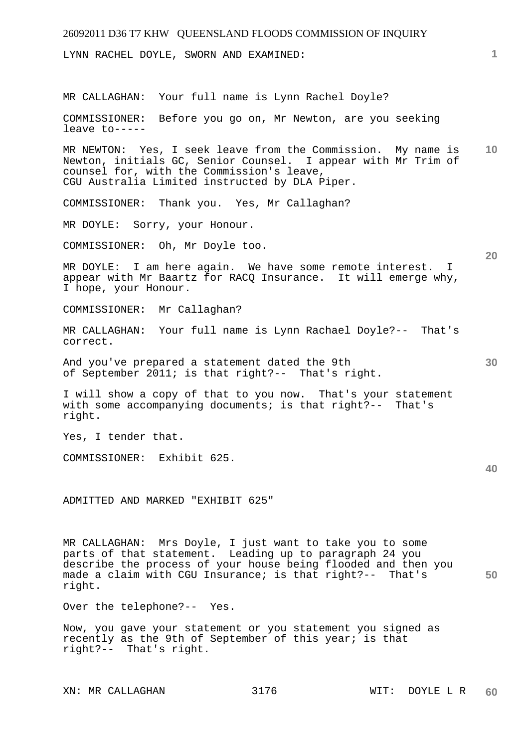| 26092011 D36 T7 KHW QUEENSLAND FLOODS COMMISSION OF INQUIRY                                                                                                                                                                                                |    |
|------------------------------------------------------------------------------------------------------------------------------------------------------------------------------------------------------------------------------------------------------------|----|
| LYNN RACHEL DOYLE, SWORN AND EXAMINED:                                                                                                                                                                                                                     | 1. |
| MR CALLAGHAN: Your full name is Lynn Rachel Doyle?                                                                                                                                                                                                         |    |
| COMMISSIONER:<br>Before you go on, Mr Newton, are you seeking<br>leave to-----                                                                                                                                                                             |    |
| MR NEWTON: Yes, I seek leave from the Commission. My name is<br>Newton, initials GC, Senior Counsel. I appear with Mr Trim of<br>counsel for, with the Commission's leave,<br>CGU Australia Limited instructed by DLA Piper.                               | 10 |
| COMMISSIONER:<br>Thank you. Yes, Mr Callaghan?                                                                                                                                                                                                             |    |
| MR DOYLE:<br>Sorry, your Honour.                                                                                                                                                                                                                           |    |
| COMMISSIONER: Oh, Mr Doyle too.                                                                                                                                                                                                                            | 20 |
| MR DOYLE: I am here again. We have some remote interest. I<br>appear with Mr Baartz for RACQ Insurance. It will emerge why,<br>I hope, your Honour.                                                                                                        |    |
| COMMISSIONER: Mr Callaghan?                                                                                                                                                                                                                                |    |
| MR CALLAGHAN: Your full name is Lynn Rachael Doyle?-- That's<br>correct.                                                                                                                                                                                   |    |
| And you've prepared a statement dated the 9th<br>of September 2011; is that right?-- That's right.                                                                                                                                                         | 30 |
| I will show a copy of that to you now. That's your statement<br>with some accompanying documents; is that right?-- That's<br>right.                                                                                                                        |    |
| Yes, I tender that.                                                                                                                                                                                                                                        |    |
| COMMISSIONER: Exhibit 625.                                                                                                                                                                                                                                 | 40 |
| ADMITTED AND MARKED "EXHIBIT 625"                                                                                                                                                                                                                          |    |
| MR CALLAGHAN: Mrs Doyle, I just want to take you to some<br>parts of that statement. Leading up to paragraph 24 you<br>describe the process of your house being flooded and then you<br>made a claim with CGU Insurance; is that right?-- That's<br>right. | 50 |
| Over the telephone?-- Yes.                                                                                                                                                                                                                                 |    |
| Now, you gave your statement or you statement you signed as<br>recently as the 9th of September of this year; is that<br>right?-- That's right.                                                                                                            |    |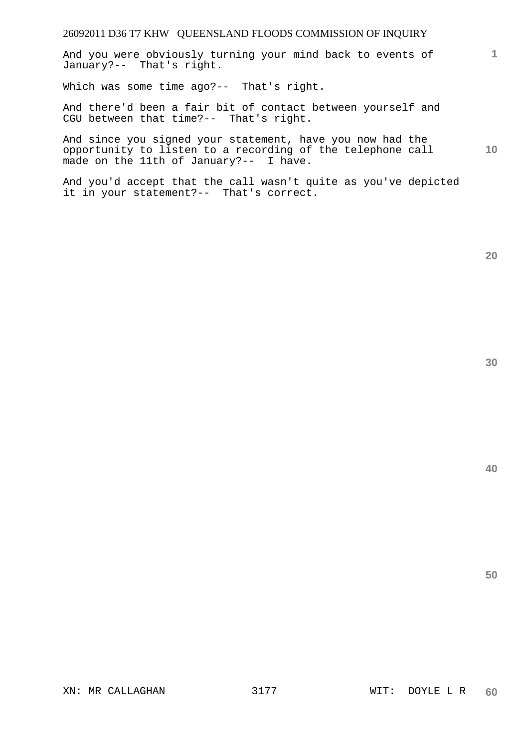And you were obviously turning your mind back to events of January?-- That's right.

Which was some time ago?-- That's right.

And there'd been a fair bit of contact between yourself and CGU between that time?-- That's right.

**10**  And since you signed your statement, have you now had the opportunity to listen to a recording of the telephone call made on the 11th of January?-- I have.

And you'd accept that the call wasn't quite as you've depicted it in your statement?-- That's correct.

**1**

**40**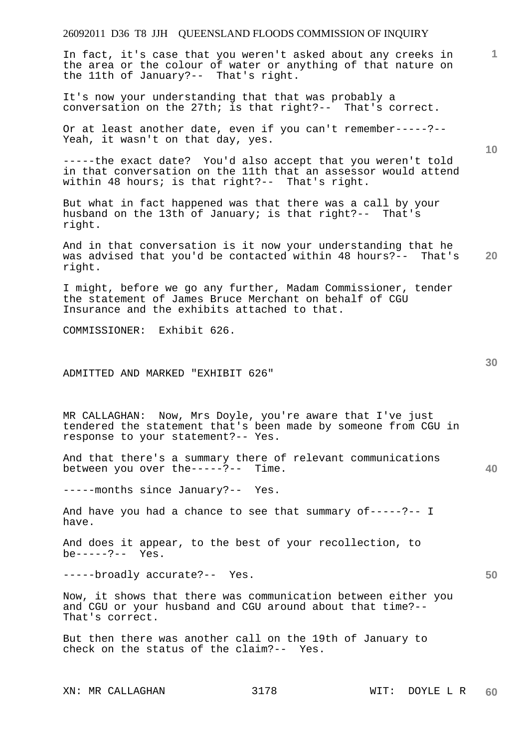In fact, it's case that you weren't asked about any creeks in the area or the colour of water or anything of that nature on the 11th of January?-- That's right.

It's now your understanding that that was probably a conversation on the 27th; is that right?-- That's correct.

Or at least another date, even if you can't remember-----?-- Yeah, it wasn't on that day, yes.

-----the exact date? You'd also accept that you weren't told in that conversation on the 11th that an assessor would attend within 48 hours; is that right?-- That's right.

But what in fact happened was that there was a call by your husband on the 13th of January; is that right?-- That's right.

**20**  And in that conversation is it now your understanding that he was advised that you'd be contacted within 48 hours?-- That's right.

I might, before we go any further, Madam Commissioner, tender the statement of James Bruce Merchant on behalf of CGU Insurance and the exhibits attached to that.

COMMISSIONER: Exhibit 626.

#### ADMITTED AND MARKED "EXHIBIT 626"

MR CALLAGHAN: Now, Mrs Doyle, you're aware that I've just tendered the statement that's been made by someone from CGU in response to your statement?-- Yes.

And that there's a summary there of relevant communications between you over the-----?-- Time.

-----months since January?-- Yes.

And have you had a chance to see that summary of-----?-- I have.

And does it appear, to the best of your recollection, to be-----?-- Yes.

-----broadly accurate?-- Yes.

Now, it shows that there was communication between either you and CGU or your husband and CGU around about that time?-- That's correct.

But then there was another call on the 19th of January to check on the status of the claim?-- Yes.

**1**

**10** 

**30** 

**40**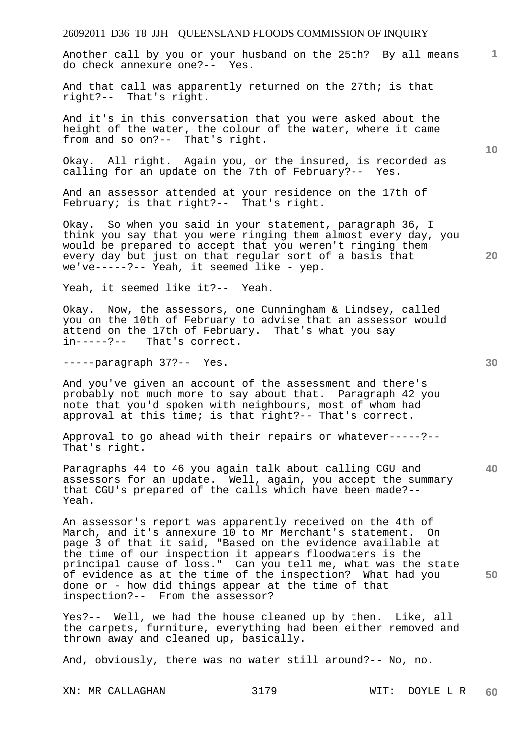**1** Another call by you or your husband on the 25th? By all means do check annexure one?-- Yes.

And that call was apparently returned on the 27th; is that right?-- That's right.

And it's in this conversation that you were asked about the height of the water, the colour of the water, where it came from and so on?-- That's right.

Okay. All right. Again you, or the insured, is recorded as calling for an update on the 7th of February?-- Yes.

And an assessor attended at your residence on the 17th of February; is that right?-- That's right.

Okay. So when you said in your statement, paragraph 36, I think you say that you were ringing them almost every day, you would be prepared to accept that you weren't ringing them every day but just on that regular sort of a basis that we've-----?-- Yeah, it seemed like - yep.

Yeah, it seemed like it?-- Yeah.

Okay. Now, the assessors, one Cunningham & Lindsey, called you on the 10th of February to advise that an assessor would attend on the 17th of February. That's what you say in-----?-- That's correct.

-----paragraph 37?-- Yes.

And you've given an account of the assessment and there's probably not much more to say about that. Paragraph 42 you note that you'd spoken with neighbours, most of whom had approval at this time; is that right?-- That's correct.

Approval to go ahead with their repairs or whatever-----?-- That's right.

Paragraphs 44 to 46 you again talk about calling CGU and assessors for an update. Well, again, you accept the summary that CGU's prepared of the calls which have been made?-- Yeah.

An assessor's report was apparently received on the 4th of March, and it's annexure 10 to Mr Merchant's statement. On page 3 of that it said, "Based on the evidence available at the time of our inspection it appears floodwaters is the principal cause of loss." Can you tell me, what was the state of evidence as at the time of the inspection? What had you done or - how did things appear at the time of that inspection?-- From the assessor?

Yes?-- Well, we had the house cleaned up by then. Like, all the carpets, furniture, everything had been either removed and thrown away and cleaned up, basically.

And, obviously, there was no water still around?-- No, no.

**10** 

**30** 

**40** 

**50**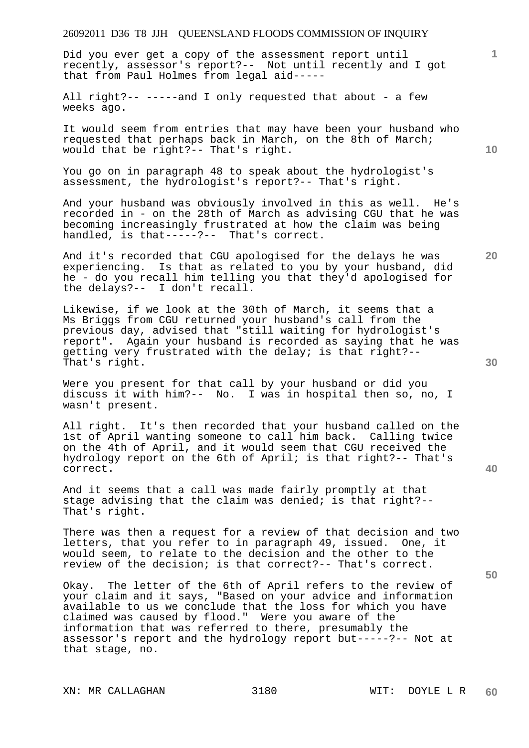Did you ever get a copy of the assessment report until recently, assessor's report?-- Not until recently and I got that from Paul Holmes from legal aid-----

All right?-- -----and I only requested that about - a few weeks ago.

It would seem from entries that may have been your husband who requested that perhaps back in March, on the 8th of March; would that be right?-- That's right.

You go on in paragraph 48 to speak about the hydrologist's assessment, the hydrologist's report?-- That's right.

And your husband was obviously involved in this as well. He's recorded in - on the 28th of March as advising CGU that he was becoming increasingly frustrated at how the claim was being handled, is that-----?-- That's correct.

And it's recorded that CGU apologised for the delays he was experiencing. Is that as related to you by your husband, did he - do you recall him telling you that they'd apologised for the delays?-- I don't recall.

Likewise, if we look at the 30th of March, it seems that a Ms Briggs from CGU returned your husband's call from the previous day, advised that "still waiting for hydrologist's report". Again your husband is recorded as saying that he was getting very frustrated with the delay; is that right?-- That's right.

Were you present for that call by your husband or did you discuss it with him?-- No. I was in hospital then so, no, I wasn't present.

All right. It's then recorded that your husband called on the 1st of April wanting someone to call him back. Calling twice on the 4th of April, and it would seem that CGU received the hydrology report on the 6th of April; is that right?-- That's correct.

And it seems that a call was made fairly promptly at that stage advising that the claim was denied; is that right?-- That's right.

There was then a request for a review of that decision and two letters, that you refer to in paragraph 49, issued. One, it would seem, to relate to the decision and the other to the review of the decision; is that correct?-- That's correct.

Okay. The letter of the 6th of April refers to the review of your claim and it says, "Based on your advice and information available to us we conclude that the loss for which you have claimed was caused by flood." Were you aware of the information that was referred to there, presumably the assessor's report and the hydrology report but-----?-- Not at that stage, no.

XN: MR CALLAGHAN 3180 WIT: DOYLE L R

**20** 

**30** 

**50** 

**10**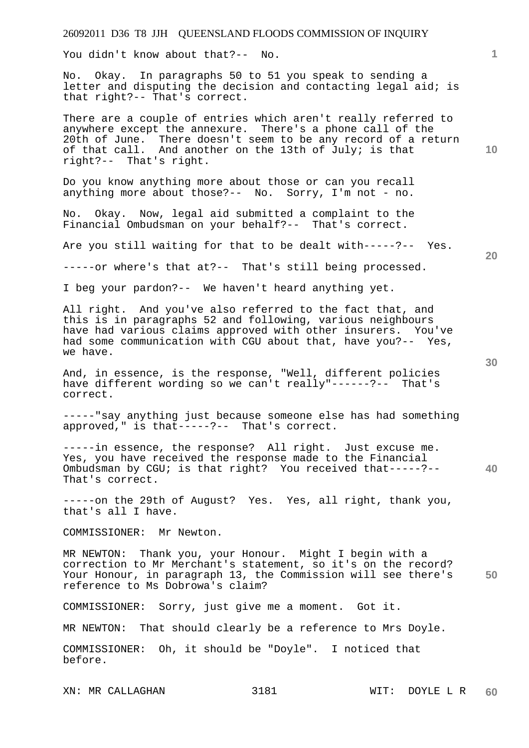You didn't know about that?-- No.

No. Okay. In paragraphs 50 to 51 you speak to sending a letter and disputing the decision and contacting legal aid; is that right?-- That's correct.

There are a couple of entries which aren't really referred to anywhere except the annexure. There's a phone call of the 20th of June. There doesn't seem to be any record of a return of that call. And another on the 13th of July; is that right?-- That's right.

Do you know anything more about those or can you recall anything more about those?-- No. Sorry, I'm not - no.

No. Okay. Now, legal aid submitted a complaint to the Financial Ombudsman on your behalf?-- That's correct.

Are you still waiting for that to be dealt with-----?-- Yes.

-----or where's that at?-- That's still being processed.

I beg your pardon?-- We haven't heard anything yet.

All right. And you've also referred to the fact that, and this is in paragraphs 52 and following, various neighbours have had various claims approved with other insurers. You've had some communication with CGU about that, have you?-- Yes, we have.

And, in essence, is the response, "Well, different policies have different wording so we can't really"------?-- That's correct.

-----"say anything just because someone else has had something approved," is that-----?-- That's correct.

**40**  -----in essence, the response? All right. Just excuse me. Yes, you have received the response made to the Financial Ombudsman by CGU; is that right? You received that-----?-- That's correct.

-----on the 29th of August? Yes. Yes, all right, thank you, that's all I have.

COMMISSIONER: Mr Newton.

**50**  MR NEWTON: Thank you, your Honour. Might I begin with a correction to Mr Merchant's statement, so it's on the record? Your Honour, in paragraph 13, the Commission will see there's reference to Ms Dobrowa's claim?

COMMISSIONER: Sorry, just give me a moment. Got it.

MR NEWTON: That should clearly be a reference to Mrs Doyle.

COMMISSIONER: Oh, it should be "Doyle". I noticed that before.

**30** 

**20** 

**10**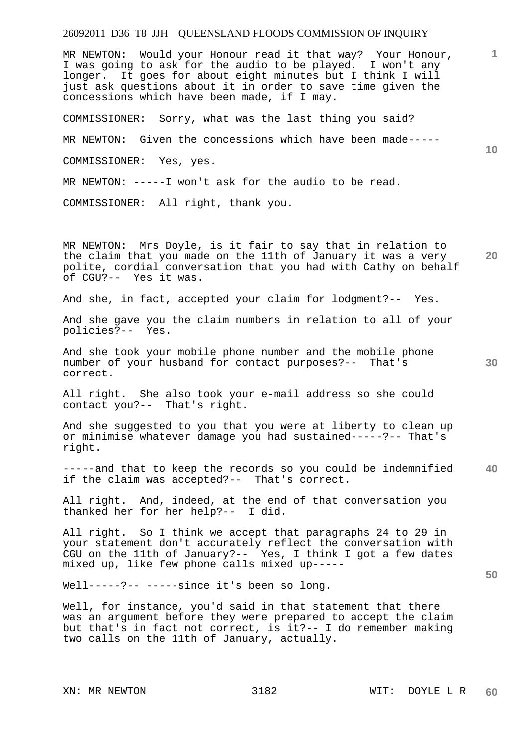**1 10 20**  MR NEWTON: Would your Honour read it that way? Your Honour, I was going to ask for the audio to be played. I won't any longer. It goes for about eight minutes but I think I will just ask questions about it in order to save time given the concessions which have been made, if I may. COMMISSIONER: Sorry, what was the last thing you said? MR NEWTON: Given the concessions which have been made----- COMMISSIONER: Yes, yes. MR NEWTON: -----I won't ask for the audio to be read. COMMISSIONER: All right, thank you. MR NEWTON: Mrs Doyle, is it fair to say that in relation to

the claim that you made on the 11th of January it was a very polite, cordial conversation that you had with Cathy on behalf of CGU?-- Yes it was.

And she, in fact, accepted your claim for lodgment?-- Yes.

And she gave you the claim numbers in relation to all of your policies?-- Yes.

And she took your mobile phone number and the mobile phone number of your husband for contact purposes?-- That's correct.

All right. She also took your e-mail address so she could contact you?-- That's right.

And she suggested to you that you were at liberty to clean up or minimise whatever damage you had sustained-----?-- That's right.

**40**  -----and that to keep the records so you could be indemnified if the claim was accepted?-- That's correct.

All right. And, indeed, at the end of that conversation you thanked her for her help?-- I did.

All right. So I think we accept that paragraphs 24 to 29 in your statement don't accurately reflect the conversation with CGU on the 11th of January?-- Yes, I think I got a few dates mixed up, like few phone calls mixed up-----

Well-----?-- -----since it's been so long.

Well, for instance, you'd said in that statement that there was an argument before they were prepared to accept the claim but that's in fact not correct, is it?-- I do remember making two calls on the 11th of January, actually.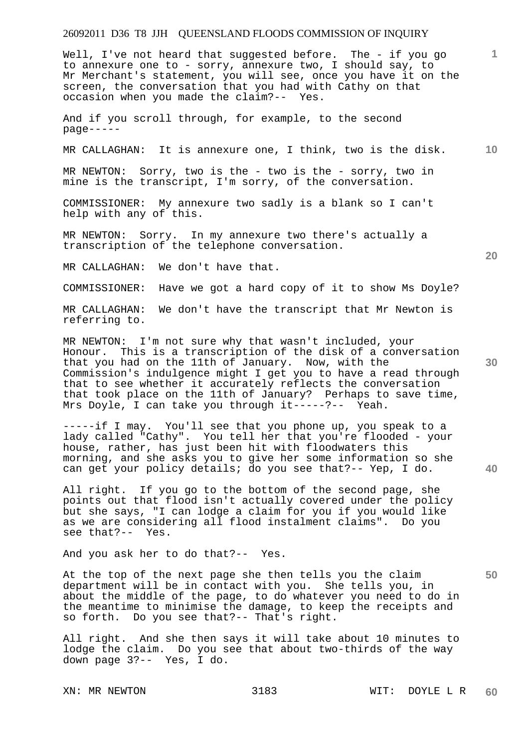Well, I've not heard that suggested before. The - if you go to annexure one to - sorry, annexure two, I should say, to Mr Merchant's statement, you will see, once you have it on the screen, the conversation that you had with Cathy on that occasion when you made the claim?-- Yes.

And if you scroll through, for example, to the second page-----

MR CALLAGHAN: It is annexure one, I think, two is the disk.

MR NEWTON: Sorry, two is the - two is the - sorry, two in mine is the transcript, I'm sorry, of the conversation.

COMMISSIONER: My annexure two sadly is a blank so I can't help with any of this.

MR NEWTON: Sorry. In my annexure two there's actually a transcription of the telephone conversation.

MR CALLAGHAN: We don't have that.

COMMISSIONER: Have we got a hard copy of it to show Ms Doyle?

MR CALLAGHAN: We don't have the transcript that Mr Newton is referring to.

MR NEWTON: I'm not sure why that wasn't included, your Honour. This is a transcription of the disk of a conversation that you had on the 11th of January. Now, with the Commission's indulgence might I get you to have a read through that to see whether it accurately reflects the conversation that took place on the 11th of January? Perhaps to save time, Mrs Doyle, I can take you through it-----?-- Yeah.

-----if I may. You'll see that you phone up, you speak to a lady called "Cathy". You tell her that you're flooded - your house, rather, has just been hit with floodwaters this morning, and she asks you to give her some information so she can get your policy details; do you see that?-- Yep, I do.

All right. If you go to the bottom of the second page, she points out that flood isn't actually covered under the policy but she says, "I can lodge a claim for you if you would like as we are considering all flood instalment claims". Do you see that?-- Yes.

And you ask her to do that?-- Yes.

At the top of the next page she then tells you the claim department will be in contact with you. She tells you, in about the middle of the page, to do whatever you need to do in the meantime to minimise the damage, to keep the receipts and so forth. Do you see that?-- That's right.

All right. And she then says it will take about 10 minutes to lodge the claim. Do you see that about two-thirds of the way down page 3?-- Yes, I do.

**20** 

**40** 

**50** 

**30** 

**10**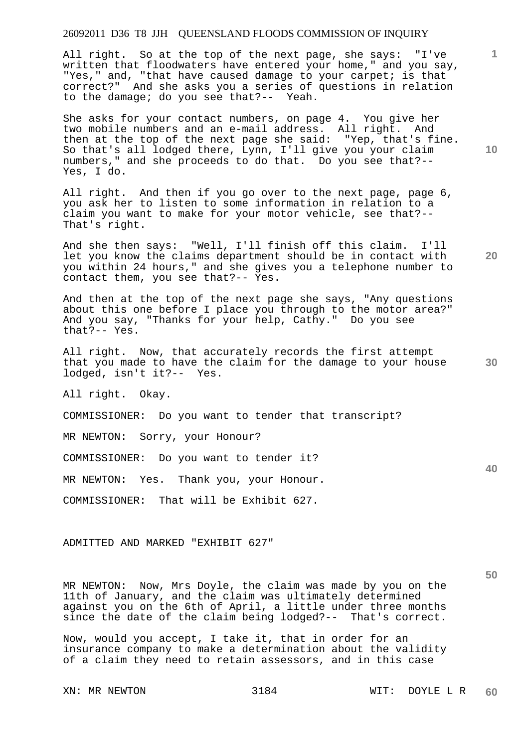All right. So at the top of the next page, she says: "I've written that floodwaters have entered your home," and you say, "Yes," and, "that have caused damage to your carpet; is that correct?" And she asks you a series of questions in relation to the damage; do you see that?-- Yeah.

She asks for your contact numbers, on page 4. You give her two mobile numbers and an e-mail address. All right. And then at the top of the next page she said: "Yep, that's fine. So that's all lodged there, Lynn, I'll give you your claim numbers," and she proceeds to do that. Do you see that?-- Yes, I do.

All right. And then if you go over to the next page, page 6, you ask her to listen to some information in relation to a claim you want to make for your motor vehicle, see that?-- That's right.

And she then says: "Well, I'll finish off this claim. I'll let you know the claims department should be in contact with you within 24 hours," and she gives you a telephone number to contact them, you see that?-- Yes.

And then at the top of the next page she says, "Any questions about this one before I place you through to the motor area?" And you say, "Thanks for your help, Cathy." Do you see that?-- Yes.

All right. Now, that accurately records the first attempt that you made to have the claim for the damage to your house lodged, isn't it?-- Yes.

All right. Okay.

COMMISSIONER: Do you want to tender that transcript?

MR NEWTON: Sorry, your Honour?

COMMISSIONER: Do you want to tender it?

MR NEWTON: Yes. Thank you, your Honour.

COMMISSIONER: That will be Exhibit 627.

ADMITTED AND MARKED "EXHIBIT 627"

MR NEWTON: Now, Mrs Doyle, the claim was made by you on the 11th of January, and the claim was ultimately determined against you on the 6th of April, a little under three months since the date of the claim being lodged?-- That's correct.

Now, would you accept, I take it, that in order for an insurance company to make a determination about the validity of a claim they need to retain assessors, and in this case

**10** 

**1**

**20** 

**30**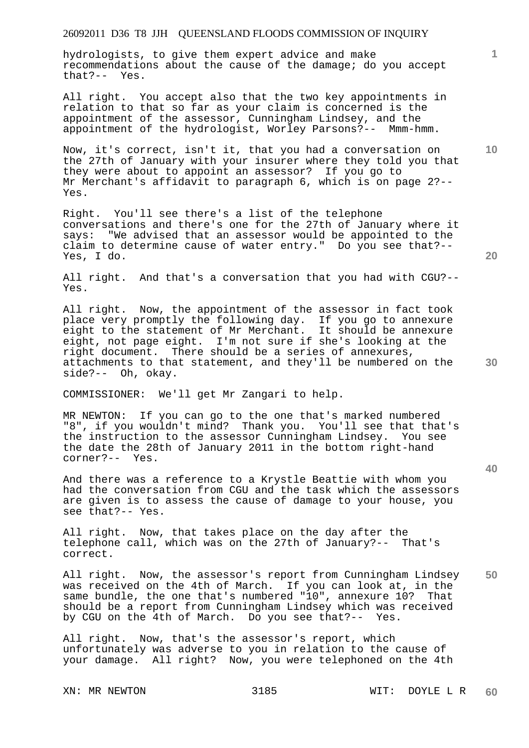# 26092011 D36 T8 JJH QUEENSLAND FLOODS COMMISSION OF INQUIRY

hydrologists, to give them expert advice and make recommendations about the cause of the damage; do you accept that?-- Yes.

All right. You accept also that the two key appointments in relation to that so far as your claim is concerned is the appointment of the assessor, Cunningham Lindsey, and the appointment of the hydrologist, Worley Parsons?-- Mmm-hmm.

Now, it's correct, isn't it, that you had a conversation on the 27th of January with your insurer where they told you that they were about to appoint an assessor? If you go to Mr Merchant's affidavit to paragraph 6, which is on page 2?-- Yes.

Right. You'll see there's a list of the telephone conversations and there's one for the 27th of January where it says: "We advised that an assessor would be appointed to the claim to determine cause of water entry." Do you see that?-- Yes, I do.

All right. And that's a conversation that you had with CGU?-- Yes.

All right. Now, the appointment of the assessor in fact took place very promptly the following day. If you go to annexure eight to the statement of Mr Merchant. It should be annexure eight, not page eight. I'm not sure if she's looking at the right document. There should be a series of annexures, attachments to that statement, and they'll be numbered on the side?-- Oh, okay.

COMMISSIONER: We'll get Mr Zangari to help.

MR NEWTON: If you can go to the one that's marked numbered "8", if you wouldn't mind? Thank you. You'll see that that's the instruction to the assessor Cunningham Lindsey. You see the date the 28th of January 2011 in the bottom right-hand corner?-- Yes.

And there was a reference to a Krystle Beattie with whom you had the conversation from CGU and the task which the assessors are given is to assess the cause of damage to your house, you see that?-- Yes.

All right. Now, that takes place on the day after the telephone call, which was on the 27th of January?-- That's correct.

**50**  All right. Now, the assessor's report from Cunningham Lindsey was received on the 4th of March. If you can look at, in the same bundle, the one that's numbered "10", annexure 10? That should be a report from Cunningham Lindsey which was received by CGU on the 4th of March. Do you see that?-- Yes.

All right. Now, that's the assessor's report, which unfortunately was adverse to you in relation to the cause of your damage. All right? Now, you were telephoned on the 4th

**10** 

**20** 

**1**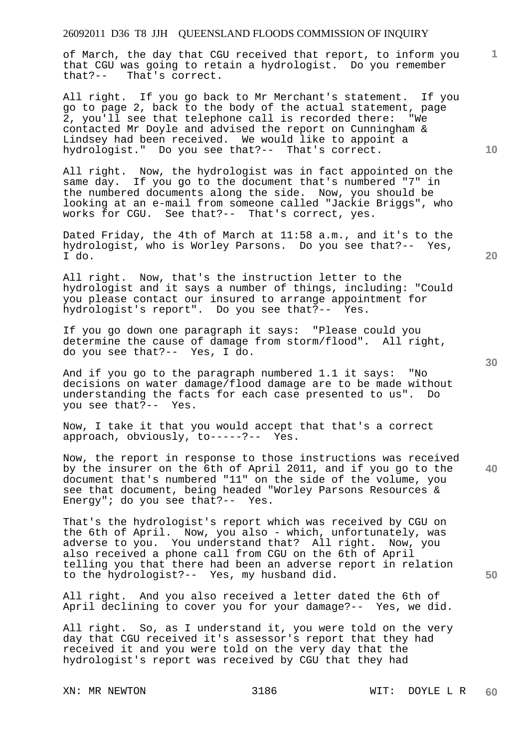### 26092011 D36 T8 JJH QUEENSLAND FLOODS COMMISSION OF INQUIRY

of March, the day that CGU received that report, to inform you that CGU was going to retain a hydrologist. Do you remember that?-- That's correct.

All right. If you go back to Mr Merchant's statement. If you go to page 2, back to the body of the actual statement, page 2, you'll see that telephone call is recorded there: "We contacted Mr Doyle and advised the report on Cunningham & Lindsey had been received. We would like to appoint a hydrologist." Do you see that?-- That's correct.

All right. Now, the hydrologist was in fact appointed on the same day. If you go to the document that's numbered "7" in the numbered documents along the side. Now, you should be looking at an e-mail from someone called "Jackie Briggs", who works for CGU. See that?-- That's correct, yes.

Dated Friday, the 4th of March at 11:58 a.m., and it's to the hydrologist, who is Worley Parsons. Do you see that?-- Yes, I do.

All right. Now, that's the instruction letter to the hydrologist and it says a number of things, including: "Could you please contact our insured to arrange appointment for hydrologist's report". Do you see that?-- Yes.

If you go down one paragraph it says: "Please could you determine the cause of damage from storm/flood". All right, do you see that?-- Yes, I do.

And if you go to the paragraph numbered 1.1 it says: "No decisions on water damage/flood damage are to be made without understanding the facts for each case presented to us". Do you see that?-- Yes.

Now, I take it that you would accept that that's a correct approach, obviously, to-----?-- Yes.

Now, the report in response to those instructions was received by the insurer on the 6th of April 2011, and if you go to the document that's numbered "11" on the side of the volume, you see that document, being headed "Worley Parsons Resources & Energy"; do you see that?-- Yes.

That's the hydrologist's report which was received by CGU on the 6th of April. Now, you also - which, unfortunately, was adverse to you. You understand that? All right. Now, you also received a phone call from CGU on the 6th of April telling you that there had been an adverse report in relation to the hydrologist?-- Yes, my husband did.

All right. And you also received a letter dated the 6th of April declining to cover you for your damage?-- Yes, we did.

All right. So, as I understand it, you were told on the very day that CGU received it's assessor's report that they had received it and you were told on the very day that the hydrologist's report was received by CGU that they had

**20** 

**40** 

**50** 

**10**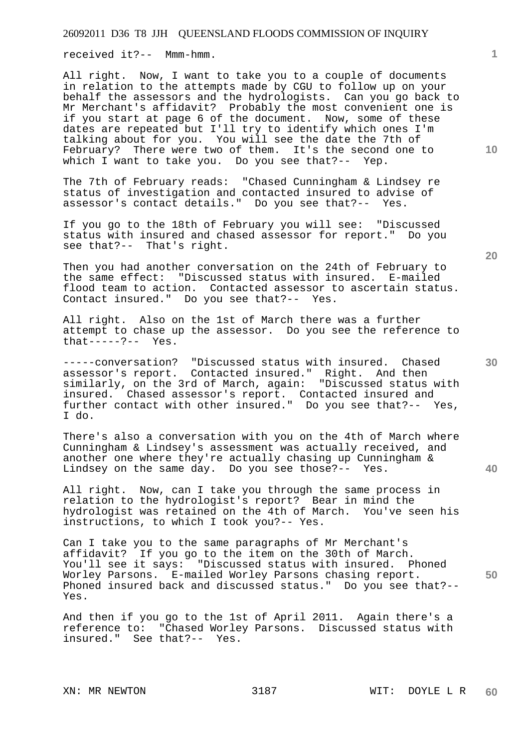received it?-- Mmm-hmm.

All right. Now, I want to take you to a couple of documents in relation to the attempts made by CGU to follow up on your behalf the assessors and the hydrologists. Can you go back to Mr Merchant's affidavit? Probably the most convenient one is if you start at page 6 of the document. Now, some of these dates are repeated but I'll try to identify which ones I'm talking about for you. You will see the date the 7th of February? There were two of them. It's the second one to which I want to take you. Do you see that?-- Yep.

The 7th of February reads: "Chased Cunningham & Lindsey re status of investigation and contacted insured to advise of assessor's contact details." Do you see that?-- Yes.

If you go to the 18th of February you will see: "Discussed status with insured and chased assessor for report." Do you see that?-- That's right.

Then you had another conversation on the 24th of February to the same effect: "Discussed status with insured. E-mailed flood team to action. Contacted assessor to ascertain status. Contact insured." Do you see that?-- Yes.

All right. Also on the 1st of March there was a further attempt to chase up the assessor. Do you see the reference to that-----?-- Yes.

-----conversation? "Discussed status with insured. Chased assessor's report. Contacted insured." Right. And then similarly, on the 3rd of March, again: "Discussed status with insured. Chased assessor's report. Contacted insured and further contact with other insured." Do you see that?-- Yes, I do.

There's also a conversation with you on the 4th of March where Cunningham & Lindsey's assessment was actually received, and another one where they're actually chasing up Cunningham & Lindsey on the same day. Do you see those?-- Yes.

All right. Now, can I take you through the same process in relation to the hydrologist's report? Bear in mind the hydrologist was retained on the 4th of March. You've seen his instructions, to which I took you?-- Yes.

Can I take you to the same paragraphs of Mr Merchant's affidavit? If you go to the item on the 30th of March. You'll see it says: "Discussed status with insured. Phoned Worley Parsons. E-mailed Worley Parsons chasing report. Phoned insured back and discussed status." Do you see that?-- Yes.

And then if you go to the 1st of April 2011. Again there's a reference to: "Chased Worley Parsons. Discussed status with insured." See that?-- Yes.

**1**

**20** 

**10** 

**30** 

**40**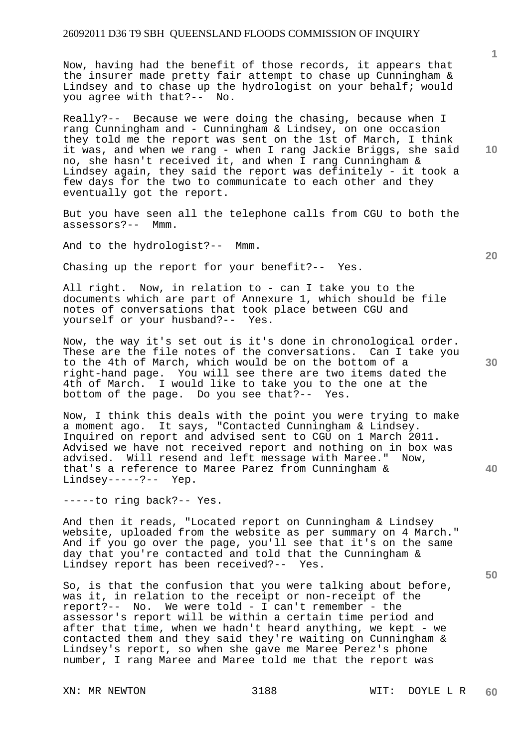## 26092011 D36 T9 SBH QUEENSLAND FLOODS COMMISSION OF INQUIRY

Now, having had the benefit of those records, it appears that the insurer made pretty fair attempt to chase up Cunningham & Lindsey and to chase up the hydrologist on your behalf; would you agree with that?-- No.

Really?-- Because we were doing the chasing, because when I rang Cunningham and - Cunningham & Lindsey, on one occasion they told me the report was sent on the 1st of March, I think it was, and when we rang - when I rang Jackie Briggs, she said no, she hasn't received it, and when I rang Cunningham & Lindsey again, they said the report was definitely - it took a few days for the two to communicate to each other and they eventually got the report.

But you have seen all the telephone calls from CGU to both the assessors?-- Mmm.

And to the hydrologist?-- Mmm.

Chasing up the report for your benefit?-- Yes.

All right. Now, in relation to - can I take you to the documents which are part of Annexure 1, which should be file notes of conversations that took place between CGU and yourself or your husband?-- Yes.

Now, the way it's set out is it's done in chronological order. These are the file notes of the conversations. Can I take you to the 4th of March, which would be on the bottom of a right-hand page. You will see there are two items dated the 4th of March. I would like to take you to the one at the bottom of the page. Do you see that?-- Yes.

Now, I think this deals with the point you were trying to make a moment ago. It says, "Contacted Cunningham & Lindsey. Inquired on report and advised sent to CGU on 1 March 2011. Advised we have not received report and nothing on in box was advised. Will resend and left message with Maree." Now, that's a reference to Maree Parez from Cunningham & Lindsey-----?-- Yep.

-----to ring back?-- Yes.

And then it reads, "Located report on Cunningham & Lindsey website, uploaded from the website as per summary on 4 March." And if you go over the page, you'll see that it's on the same day that you're contacted and told that the Cunningham & Lindsey report has been received?-- Yes.

So, is that the confusion that you were talking about before, was it, in relation to the receipt or non-receipt of the report?-- No. We were told - I can't remember - the assessor's report will be within a certain time period and after that time, when we hadn't heard anything, we kept - we contacted them and they said they're waiting on Cunningham & Lindsey's report, so when she gave me Maree Perez's phone number, I rang Maree and Maree told me that the report was

**1**

**10** 

**20** 

**30** 

**40**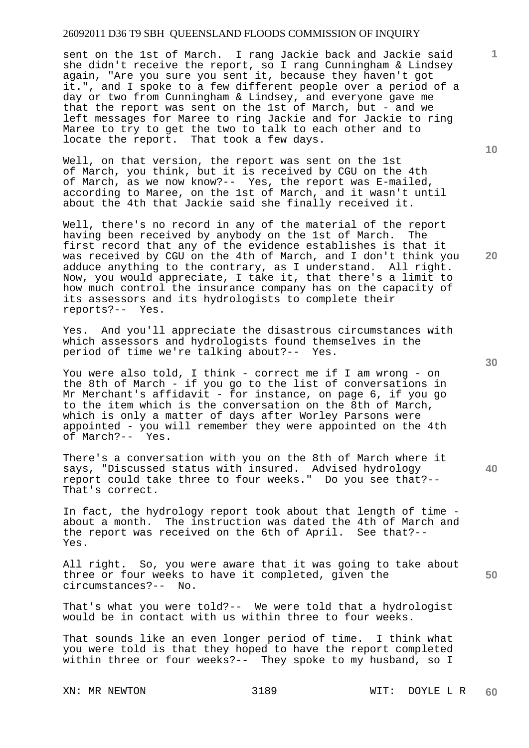## 26092011 D36 T9 SBH QUEENSLAND FLOODS COMMISSION OF INQUIRY

sent on the 1st of March. I rang Jackie back and Jackie said she didn't receive the report, so I rang Cunningham & Lindsey again, "Are you sure you sent it, because they haven't got it.", and I spoke to a few different people over a period of a day or two from Cunningham & Lindsey, and everyone gave me that the report was sent on the 1st of March, but - and we left messages for Maree to ring Jackie and for Jackie to ring Maree to try to get the two to talk to each other and to locate the report. That took a few days.

Well, on that version, the report was sent on the 1st of March, you think, but it is received by CGU on the 4th of March, as we now know?-- Yes, the report was E-mailed, according to Maree, on the 1st of March, and it wasn't until about the 4th that Jackie said she finally received it.

Well, there's no record in any of the material of the report having been received by anybody on the 1st of March. The first record that any of the evidence establishes is that it was received by CGU on the 4th of March, and I don't think you adduce anything to the contrary, as I understand. All right. Now, you would appreciate, I take it, that there's a limit to how much control the insurance company has on the capacity of its assessors and its hydrologists to complete their reports?-- Yes.

Yes. And you'll appreciate the disastrous circumstances with which assessors and hydrologists found themselves in the period of time we're talking about?-- Yes.

You were also told, I think - correct me if I am wrong - on the 8th of March - if you go to the list of conversations in Mr Merchant's affidavit - for instance, on page 6, if you go to the item which is the conversation on the 8th of March, which is only a matter of days after Worley Parsons were appointed - you will remember they were appointed on the 4th of March?-- Yes.

There's a conversation with you on the 8th of March where it says, "Discussed status with insured. Advised hydrology report could take three to four weeks." Do you see that?-- That's correct.

In fact, the hydrology report took about that length of time about a month. The instruction was dated the 4th of March and the report was received on the 6th of April. See that?-- Yes.

All right. So, you were aware that it was going to take about three or four weeks to have it completed, given the circumstances?-- No.

That's what you were told?-- We were told that a hydrologist would be in contact with us within three to four weeks.

That sounds like an even longer period of time. I think what you were told is that they hoped to have the report completed within three or four weeks?-- They spoke to my husband, so I

XN: MR NEWTON 3189 WIT: DOYLE L R **60** 

**20** 

**40** 

**50** 

**1**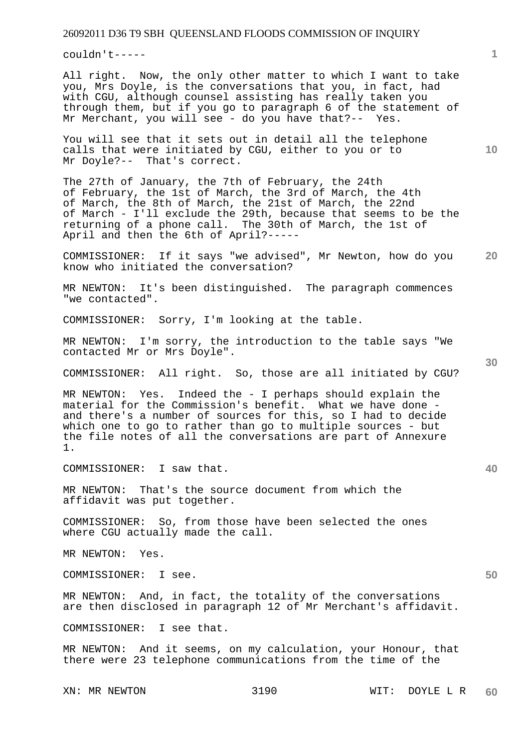couldn't-----

All right. Now, the only other matter to which I want to take you, Mrs Doyle, is the conversations that you, in fact, had with CGU, although counsel assisting has really taken you through them, but if you go to paragraph 6 of the statement of Mr Merchant, you will see - do you have that?-- Yes.

You will see that it sets out in detail all the telephone calls that were initiated by CGU, either to you or to Mr Doyle?-- That's correct.

The 27th of January, the 7th of February, the 24th of February, the 1st of March, the 3rd of March, the 4th of March, the 8th of March, the 21st of March, the 22nd of March - I'll exclude the 29th, because that seems to be the returning of a phone call. The 30th of March, the 1st of April and then the 6th of April?-----

**20**  COMMISSIONER: If it says "we advised", Mr Newton, how do you know who initiated the conversation?

MR NEWTON: It's been distinguished. The paragraph commences "we contacted".

COMMISSIONER: Sorry, I'm looking at the table.

MR NEWTON: I'm sorry, the introduction to the table says "We contacted Mr or Mrs Doyle".

COMMISSIONER: All right. So, those are all initiated by CGU?

MR NEWTON: Yes. Indeed the - I perhaps should explain the material for the Commission's benefit. What we have done and there's a number of sources for this, so I had to decide which one to go to rather than go to multiple sources - but the file notes of all the conversations are part of Annexure 1.

COMMISSIONER: I saw that.

MR NEWTON: That's the source document from which the affidavit was put together.

COMMISSIONER: So, from those have been selected the ones where CGU actually made the call.

MR NEWTON: Yes.

COMMISSIONER: I see.

MR NEWTON: And, in fact, the totality of the conversations are then disclosed in paragraph 12 of Mr Merchant's affidavit.

COMMISSIONER: I see that.

MR NEWTON: And it seems, on my calculation, your Honour, that there were 23 telephone communications from the time of the

**10** 

**1**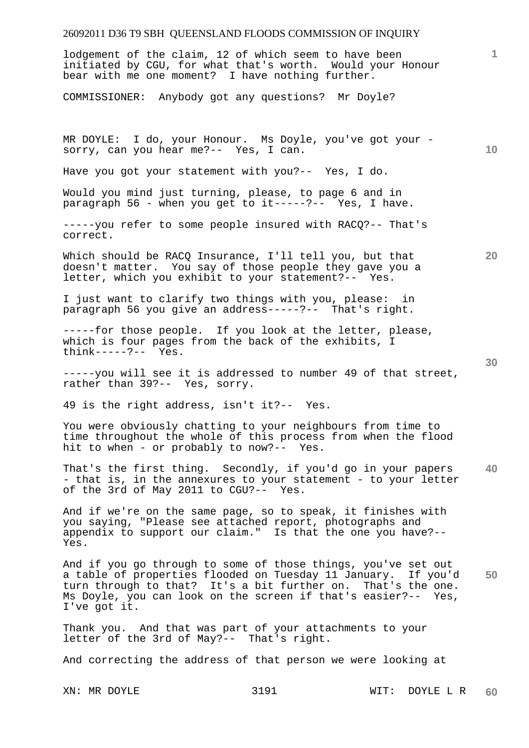### 26092011 D36 T9 SBH QUEENSLAND FLOODS COMMISSION OF INQUIRY

lodgement of the claim, 12 of which seem to have been initiated by CGU, for what that's worth. Would your Honour bear with me one moment? I have nothing further.

COMMISSIONER: Anybody got any questions? Mr Doyle?

**10**  MR DOYLE: I do, your Honour. Ms Doyle, you've got your sorry, can you hear me?-- Yes, I can.

Have you got your statement with you?-- Yes, I do.

Would you mind just turning, please, to page 6 and in paragraph 56 - when you get to it-----?-- Yes, I have.

-----you refer to some people insured with RACQ?-- That's correct.

Which should be RACQ Insurance, I'll tell you, but that doesn't matter. You say of those people they gave you a letter, which you exhibit to your statement?-- Yes.

I just want to clarify two things with you, please: in paragraph 56 you give an address-----?-- That's right.

-----for those people. If you look at the letter, please, which is four pages from the back of the exhibits, I think-----?-- Yes.

-----you will see it is addressed to number 49 of that street, rather than 39?-- Yes, sorry.

49 is the right address, isn't it?-- Yes.

You were obviously chatting to your neighbours from time to time throughout the whole of this process from when the flood hit to when - or probably to now?-- Yes.

**40**  That's the first thing. Secondly, if you'd go in your papers - that is, in the annexures to your statement - to your letter of the 3rd of May 2011 to CGU?-- Yes.

And if we're on the same page, so to speak, it finishes with you saying, "Please see attached report, photographs and appendix to support our claim." Is that the one you have?-- Yes.

**50**  And if you go through to some of those things, you've set out a table of properties flooded on Tuesday 11 January. If you'd turn through to that? It's a bit further on. That's the one. Ms Doyle, you can look on the screen if that's easier?-- Yes, I've got it.

Thank you. And that was part of your attachments to your letter of the 3rd of May?-- That's right.

And correcting the address of that person we were looking at

**1**

**30**